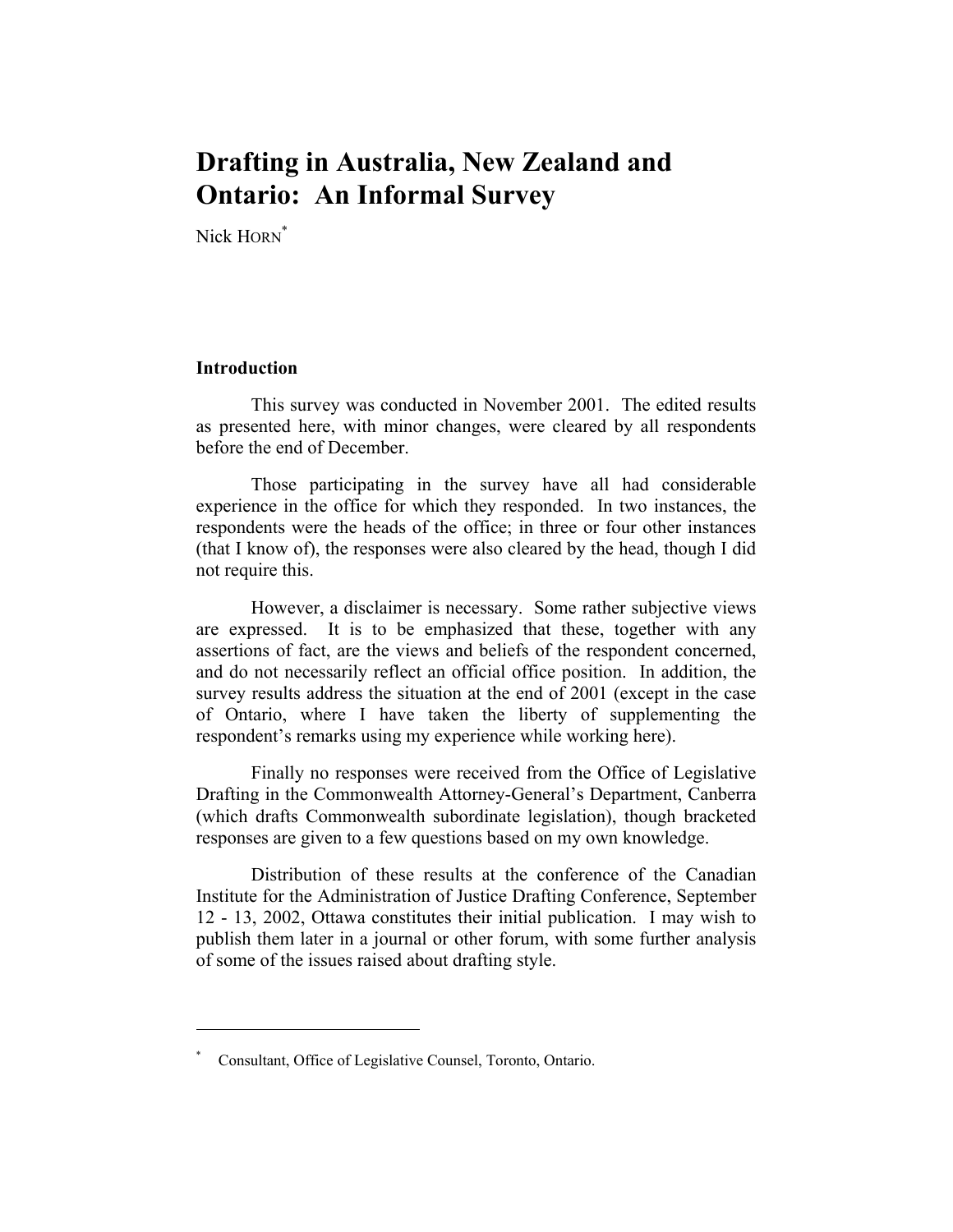# **Drafting in Australia, New Zealand and Ontario: An Informal Survey**

Nick HORN<sup>\*</sup>

#### **Introduction**

 This survey was conducted in November 2001. The edited results as presented here, with minor changes, were cleared by all respondents before the end of December.

 Those participating in the survey have all had considerable experience in the office for which they responded. In two instances, the respondents were the heads of the office; in three or four other instances (that I know of), the responses were also cleared by the head, though I did not require this.

 However, a disclaimer is necessary. Some rather subjective views are expressed. It is to be emphasized that these, together with any assertions of fact, are the views and beliefs of the respondent concerned, and do not necessarily reflect an official office position. In addition, the survey results address the situation at the end of 2001 (except in the case of Ontario, where I have taken the liberty of supplementing the respondent's remarks using my experience while working here).

 Finally no responses were received from the Office of Legislative Drafting in the Commonwealth Attorney-General's Department, Canberra (which drafts Commonwealth subordinate legislation), though bracketed responses are given to a few questions based on my own knowledge.

 Distribution of these results at the conference of the Canadian Institute for the Administration of Justice Drafting Conference, September 12 - 13, 2002, Ottawa constitutes their initial publication. I may wish to publish them later in a journal or other forum, with some further analysis of some of the issues raised about drafting style.

<sup>\*</sup> Consultant, Office of Legislative Counsel, Toronto, Ontario.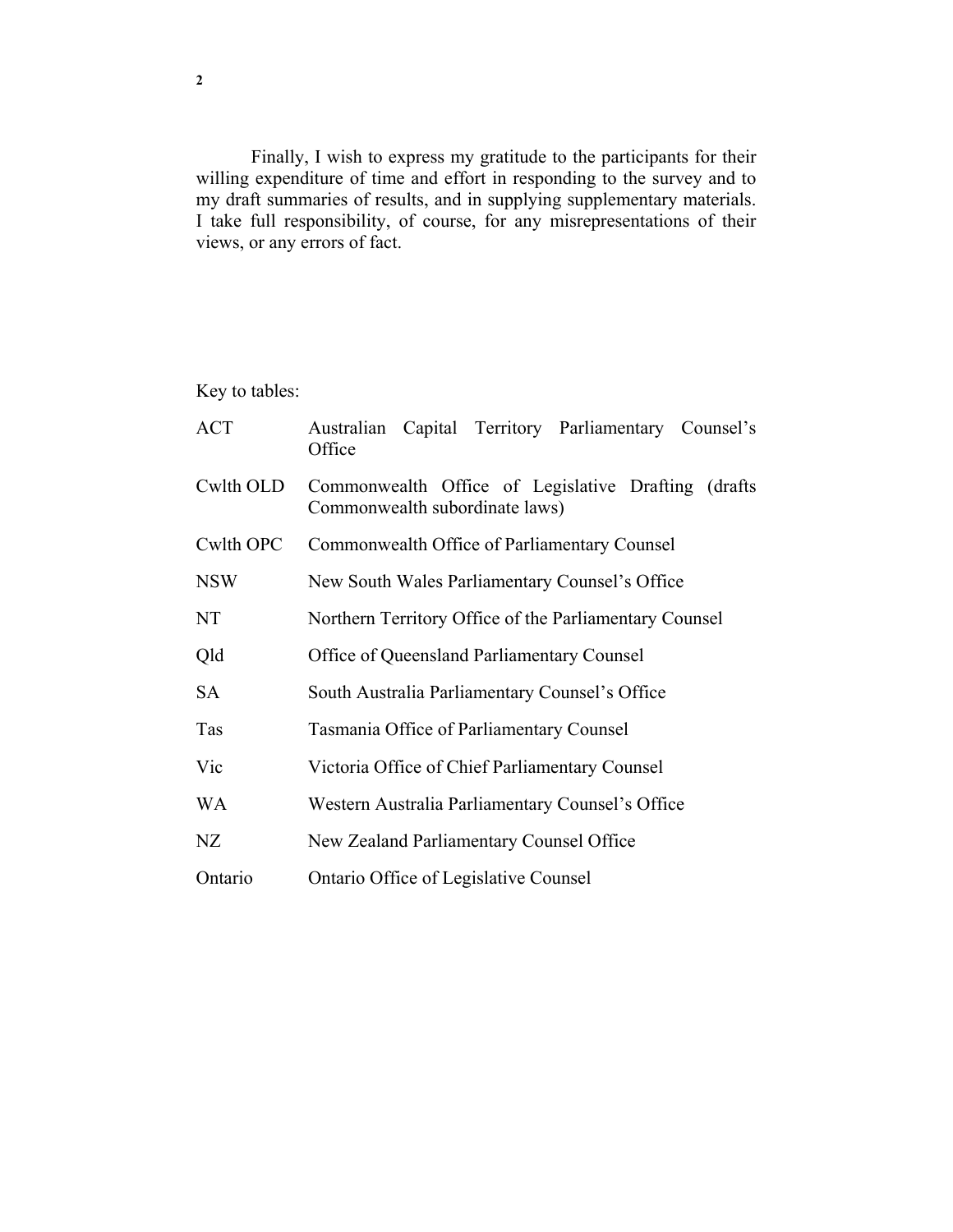Finally, I wish to express my gratitude to the participants for their willing expenditure of time and effort in responding to the survey and to my draft summaries of results, and in supplying supplementary materials. I take full responsibility, of course, for any misrepresentations of their views, or any errors of fact.

Key to tables:

| <b>ACT</b> | Australian Capital Territory Parliamentary Counsel's<br>Office                        |
|------------|---------------------------------------------------------------------------------------|
| Cwlth OLD  | Commonwealth Office of Legislative Drafting (drafts<br>Commonwealth subordinate laws) |
| Cwlth OPC  | Commonwealth Office of Parliamentary Counsel                                          |
| <b>NSW</b> | New South Wales Parliamentary Counsel's Office                                        |
| NT         | Northern Territory Office of the Parliamentary Counsel                                |
| Qld        | Office of Queensland Parliamentary Counsel                                            |
| SA         | South Australia Parliamentary Counsel's Office                                        |
| <b>Tas</b> | Tasmania Office of Parliamentary Counsel                                              |
| Vic        | Victoria Office of Chief Parliamentary Counsel                                        |
| <b>WA</b>  | Western Australia Parliamentary Counsel's Office                                      |
| NZ         | New Zealand Parliamentary Counsel Office                                              |
| Ontario    | Ontario Office of Legislative Counsel                                                 |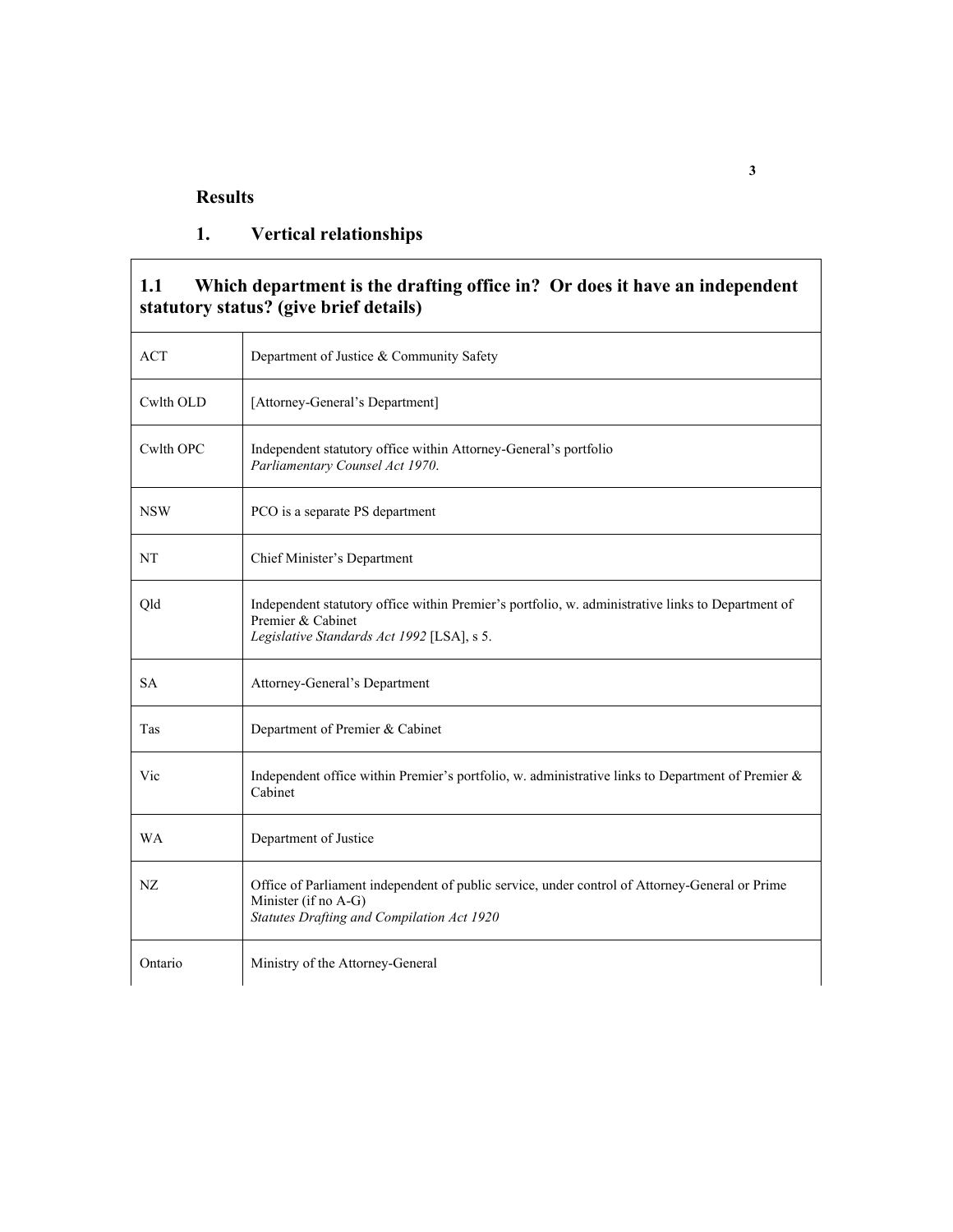#### **Results**

### **1. Vertical relationships**

#### **1.1 Which department is the drafting office in? Or does it have an independent statutory status? (give brief details)**

| <b>ACT</b> | Department of Justice & Community Safety                                                                                                                             |
|------------|----------------------------------------------------------------------------------------------------------------------------------------------------------------------|
| Cwlth OLD  | [Attorney-General's Department]                                                                                                                                      |
| Cwlth OPC  | Independent statutory office within Attorney-General's portfolio<br>Parliamentary Counsel Act 1970.                                                                  |
| <b>NSW</b> | PCO is a separate PS department                                                                                                                                      |
| NT         | Chief Minister's Department                                                                                                                                          |
| Qld        | Independent statutory office within Premier's portfolio, w. administrative links to Department of<br>Premier & Cabinet<br>Legislative Standards Act 1992 [LSA], s 5. |
| <b>SA</b>  | Attorney-General's Department                                                                                                                                        |
| Tas        | Department of Premier & Cabinet                                                                                                                                      |
| Vic        | Independent office within Premier's portfolio, w. administrative links to Department of Premier $\&$<br>Cabinet                                                      |
| <b>WA</b>  | Department of Justice                                                                                                                                                |
| NZ.        | Office of Parliament independent of public service, under control of Attorney-General or Prime<br>Minister (if no A-G)<br>Statutes Drafting and Compilation Act 1920 |
| Ontario    | Ministry of the Attorney-General                                                                                                                                     |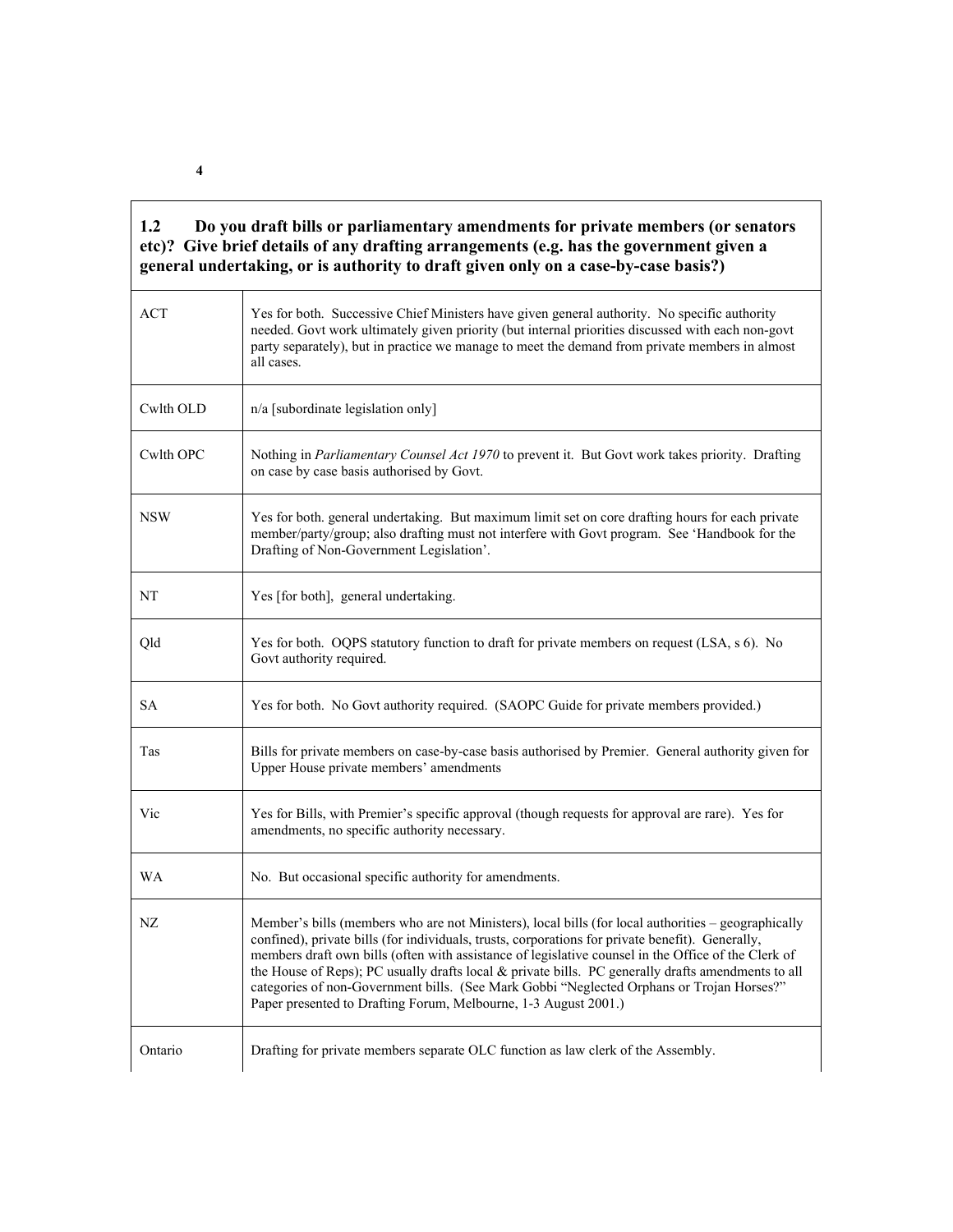| 1.2 | Do you draft bills or parliamentary amendments for private members (or senators        |
|-----|----------------------------------------------------------------------------------------|
|     | etc)? Give brief details of any drafting arrangements (e.g. has the government given a |
|     | general undertaking, or is authority to draft given only on a case-by-case basis?)     |

| <b>ACT</b> | Yes for both. Successive Chief Ministers have given general authority. No specific authority<br>needed. Govt work ultimately given priority (but internal priorities discussed with each non-govt<br>party separately), but in practice we manage to meet the demand from private members in almost<br>all cases.                                                                                                                                                                                                                                                                    |
|------------|--------------------------------------------------------------------------------------------------------------------------------------------------------------------------------------------------------------------------------------------------------------------------------------------------------------------------------------------------------------------------------------------------------------------------------------------------------------------------------------------------------------------------------------------------------------------------------------|
| Cwlth OLD  | n/a [subordinate legislation only]                                                                                                                                                                                                                                                                                                                                                                                                                                                                                                                                                   |
| Cwlth OPC  | Nothing in Parliamentary Counsel Act 1970 to prevent it. But Govt work takes priority. Drafting<br>on case by case basis authorised by Govt.                                                                                                                                                                                                                                                                                                                                                                                                                                         |
| <b>NSW</b> | Yes for both, general undertaking. But maximum limit set on core drafting hours for each private<br>member/party/group; also drafting must not interfere with Govt program. See 'Handbook for the<br>Drafting of Non-Government Legislation'.                                                                                                                                                                                                                                                                                                                                        |
| NT         | Yes [for both], general undertaking.                                                                                                                                                                                                                                                                                                                                                                                                                                                                                                                                                 |
| Qld        | Yes for both. OQPS statutory function to draft for private members on request (LSA, s 6). No<br>Govt authority required.                                                                                                                                                                                                                                                                                                                                                                                                                                                             |
| <b>SA</b>  | Yes for both. No Govt authority required. (SAOPC Guide for private members provided.)                                                                                                                                                                                                                                                                                                                                                                                                                                                                                                |
| Tas        | Bills for private members on case-by-case basis authorised by Premier. General authority given for<br>Upper House private members' amendments                                                                                                                                                                                                                                                                                                                                                                                                                                        |
| Vic        | Yes for Bills, with Premier's specific approval (though requests for approval are rare). Yes for<br>amendments, no specific authority necessary.                                                                                                                                                                                                                                                                                                                                                                                                                                     |
| <b>WA</b>  | No. But occasional specific authority for amendments.                                                                                                                                                                                                                                                                                                                                                                                                                                                                                                                                |
| NZ         | Member's bills (members who are not Ministers), local bills (for local authorities – geographically<br>confined), private bills (for individuals, trusts, corporations for private benefit). Generally,<br>members draft own bills (often with assistance of legislative counsel in the Office of the Clerk of<br>the House of Reps); PC usually drafts local & private bills. PC generally drafts amendments to all<br>categories of non-Government bills. (See Mark Gobbi "Neglected Orphans or Trojan Horses?"<br>Paper presented to Drafting Forum, Melbourne, 1-3 August 2001.) |
| Ontario    | Drafting for private members separate OLC function as law clerk of the Assembly.                                                                                                                                                                                                                                                                                                                                                                                                                                                                                                     |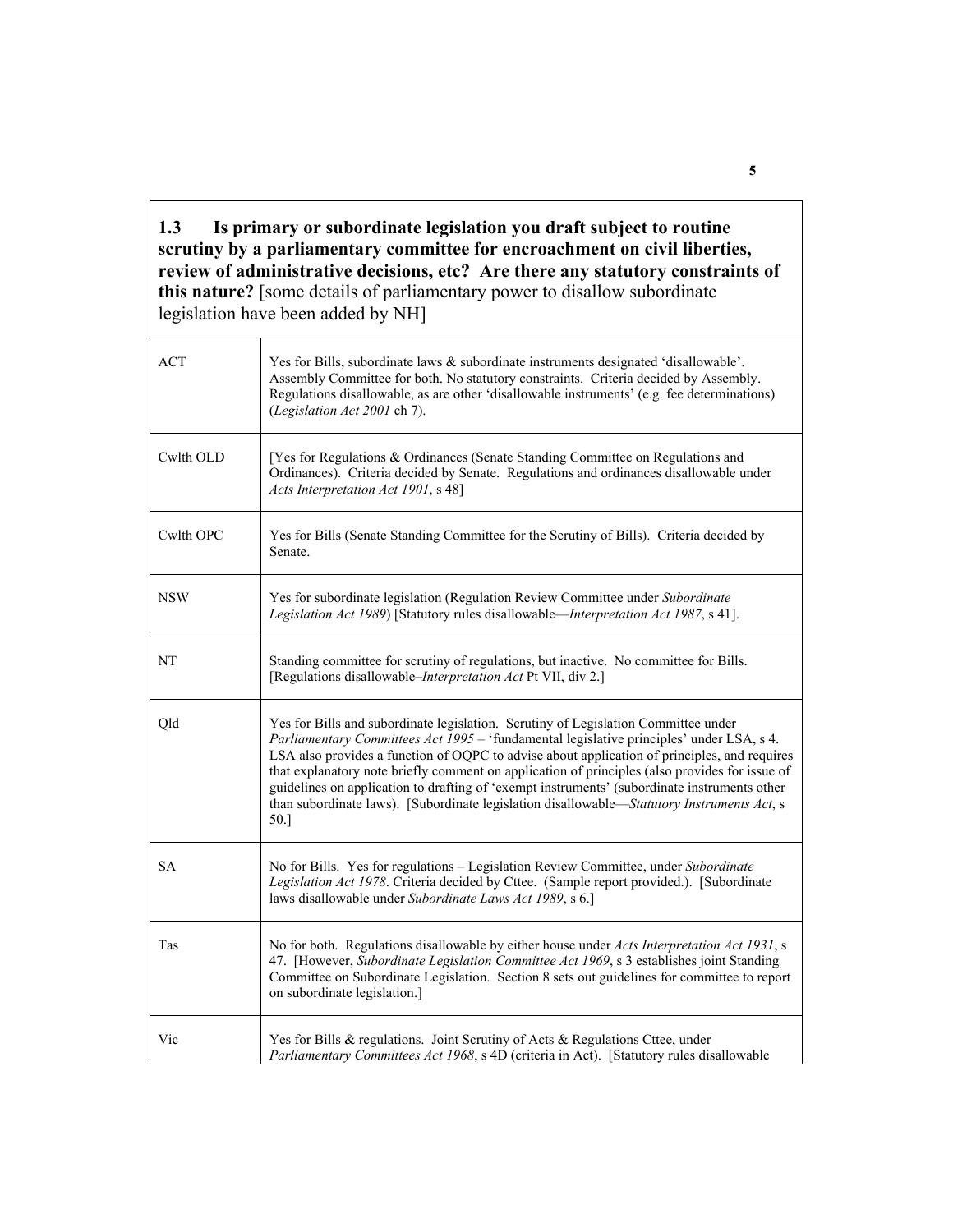**1.3 Is primary or subordinate legislation you draft subject to routine scrutiny by a parliamentary committee for encroachment on civil liberties, review of administrative decisions, etc? Are there any statutory constraints of this nature?** [some details of parliamentary power to disallow subordinate legislation have been added by NH]

| <b>ACT</b> | Yes for Bills, subordinate laws & subordinate instruments designated 'disallowable'.<br>Assembly Committee for both. No statutory constraints. Criteria decided by Assembly.<br>Regulations disallowable, as are other 'disallowable instruments' (e.g. fee determinations)<br>(Legislation Act 2001 ch 7).                                                                                                                                                                                                                                                                            |
|------------|----------------------------------------------------------------------------------------------------------------------------------------------------------------------------------------------------------------------------------------------------------------------------------------------------------------------------------------------------------------------------------------------------------------------------------------------------------------------------------------------------------------------------------------------------------------------------------------|
| Cwlth OLD  | [Yes for Regulations & Ordinances (Senate Standing Committee on Regulations and<br>Ordinances). Criteria decided by Senate. Regulations and ordinances disallowable under<br>Acts Interpretation Act 1901, s 48]                                                                                                                                                                                                                                                                                                                                                                       |
| Cwlth OPC  | Yes for Bills (Senate Standing Committee for the Scrutiny of Bills). Criteria decided by<br>Senate.                                                                                                                                                                                                                                                                                                                                                                                                                                                                                    |
| <b>NSW</b> | Yes for subordinate legislation (Regulation Review Committee under Subordinate<br>Legislation Act 1989) [Statutory rules disallowable-Interpretation Act 1987, s 41].                                                                                                                                                                                                                                                                                                                                                                                                                  |
| NT         | Standing committee for scrutiny of regulations, but inactive. No committee for Bills.<br>[Regulations disallowable– <i>Interpretation Act</i> Pt VII, div 2.]                                                                                                                                                                                                                                                                                                                                                                                                                          |
| Qld        | Yes for Bills and subordinate legislation. Scrutiny of Legislation Committee under<br>Parliamentary Committees Act 1995 - 'fundamental legislative principles' under LSA, s 4.<br>LSA also provides a function of OQPC to advise about application of principles, and requires<br>that explanatory note briefly comment on application of principles (also provides for issue of<br>guidelines on application to drafting of 'exempt instruments' (subordinate instruments other<br>than subordinate laws). [Subordinate legislation disallowable-Statutory Instruments Act, s<br>50.] |
| <b>SA</b>  | No for Bills. Yes for regulations – Legislation Review Committee, under Subordinate<br>Legislation Act 1978. Criteria decided by Cttee. (Sample report provided.). [Subordinate<br>laws disallowable under Subordinate Laws Act 1989, s 6.]                                                                                                                                                                                                                                                                                                                                            |
| Tas        | No for both. Regulations disallowable by either house under Acts Interpretation Act 1931, s<br>47. [However, Subordinate Legislation Committee Act 1969, s 3 establishes joint Standing<br>Committee on Subordinate Legislation. Section 8 sets out guidelines for committee to report<br>on subordinate legislation.]                                                                                                                                                                                                                                                                 |
| Vic        | Yes for Bills & regulations. Joint Scrutiny of Acts & Regulations Cttee, under<br>Parliamentary Committees Act 1968, s 4D (criteria in Act). [Statutory rules disallowable                                                                                                                                                                                                                                                                                                                                                                                                             |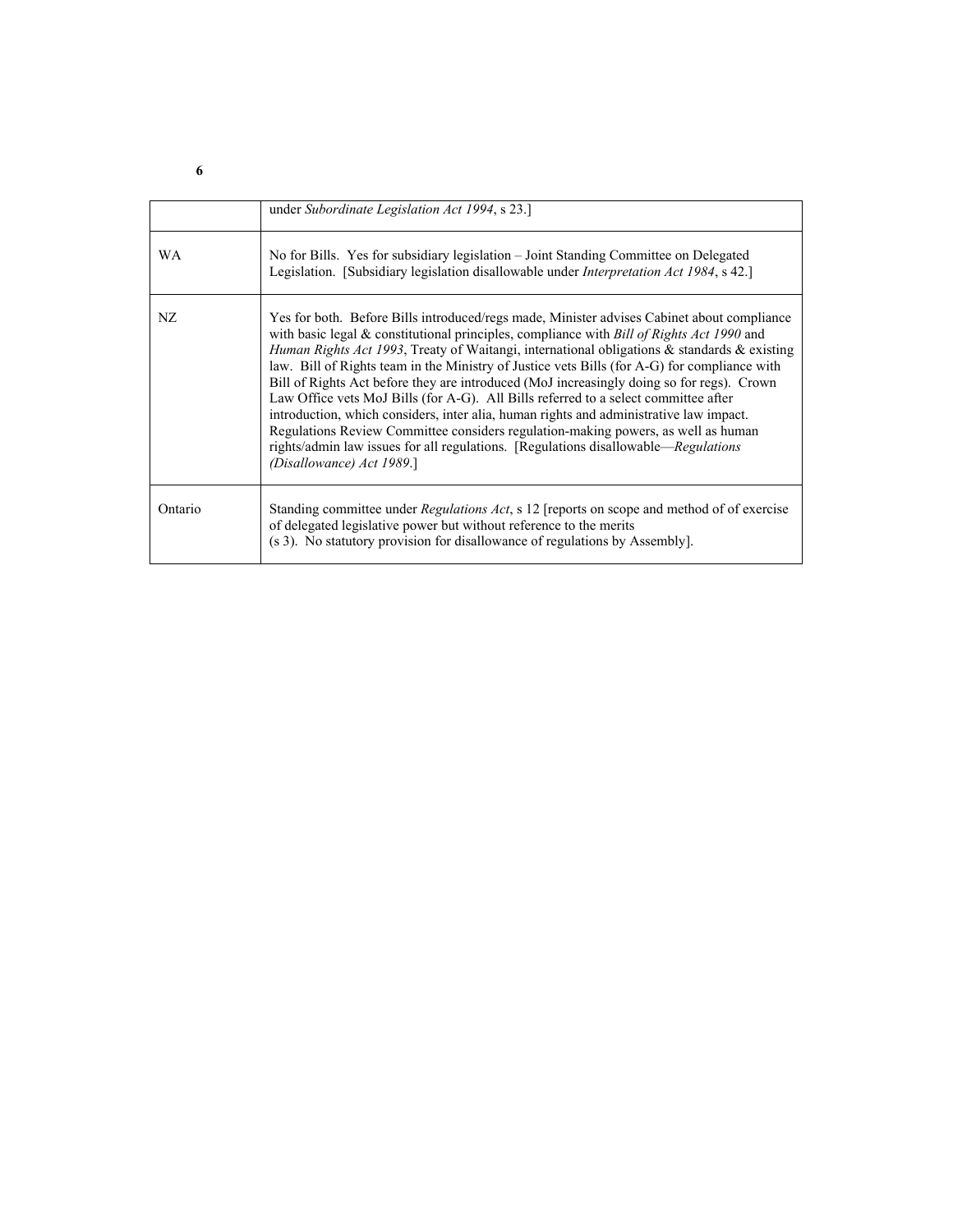|           | under Subordinate Legislation Act 1994, s 23.]                                                                                                                                                                                                                                                                                                                                                                                                                                                                                                                                                                                                                                                                                                                                                                                                                                                  |
|-----------|-------------------------------------------------------------------------------------------------------------------------------------------------------------------------------------------------------------------------------------------------------------------------------------------------------------------------------------------------------------------------------------------------------------------------------------------------------------------------------------------------------------------------------------------------------------------------------------------------------------------------------------------------------------------------------------------------------------------------------------------------------------------------------------------------------------------------------------------------------------------------------------------------|
| <b>WA</b> | No for Bills. Yes for subsidiary legislation – Joint Standing Committee on Delegated<br>Legislation. [Subsidiary legislation disallowable under Interpretation Act 1984, s 42.]                                                                                                                                                                                                                                                                                                                                                                                                                                                                                                                                                                                                                                                                                                                 |
| NZ.       | Yes for both. Before Bills introduced/regs made, Minister advises Cabinet about compliance<br>with basic legal $\&$ constitutional principles, compliance with <i>Bill of Rights Act 1990</i> and<br><i>Human Rights Act 1993</i> , Treaty of Waitangi, international obligations & standards & existing<br>law. Bill of Rights team in the Ministry of Justice vets Bills (for A-G) for compliance with<br>Bill of Rights Act before they are introduced (MoJ increasingly doing so for regs). Crown<br>Law Office vets MoJ Bills (for A-G). All Bills referred to a select committee after<br>introduction, which considers, inter alia, human rights and administrative law impact.<br>Regulations Review Committee considers regulation-making powers, as well as human<br>rights/admin law issues for all regulations. [Regulations disallowable—Regulations]<br>(Disallowance) Act 1989.] |
| Ontario   | Standing committee under <i>Regulations Act</i> , s 12 [reports on scope and method of of exercise<br>of delegated legislative power but without reference to the merits<br>(s 3). No statutory provision for disallowance of regulations by Assembly].                                                                                                                                                                                                                                                                                                                                                                                                                                                                                                                                                                                                                                         |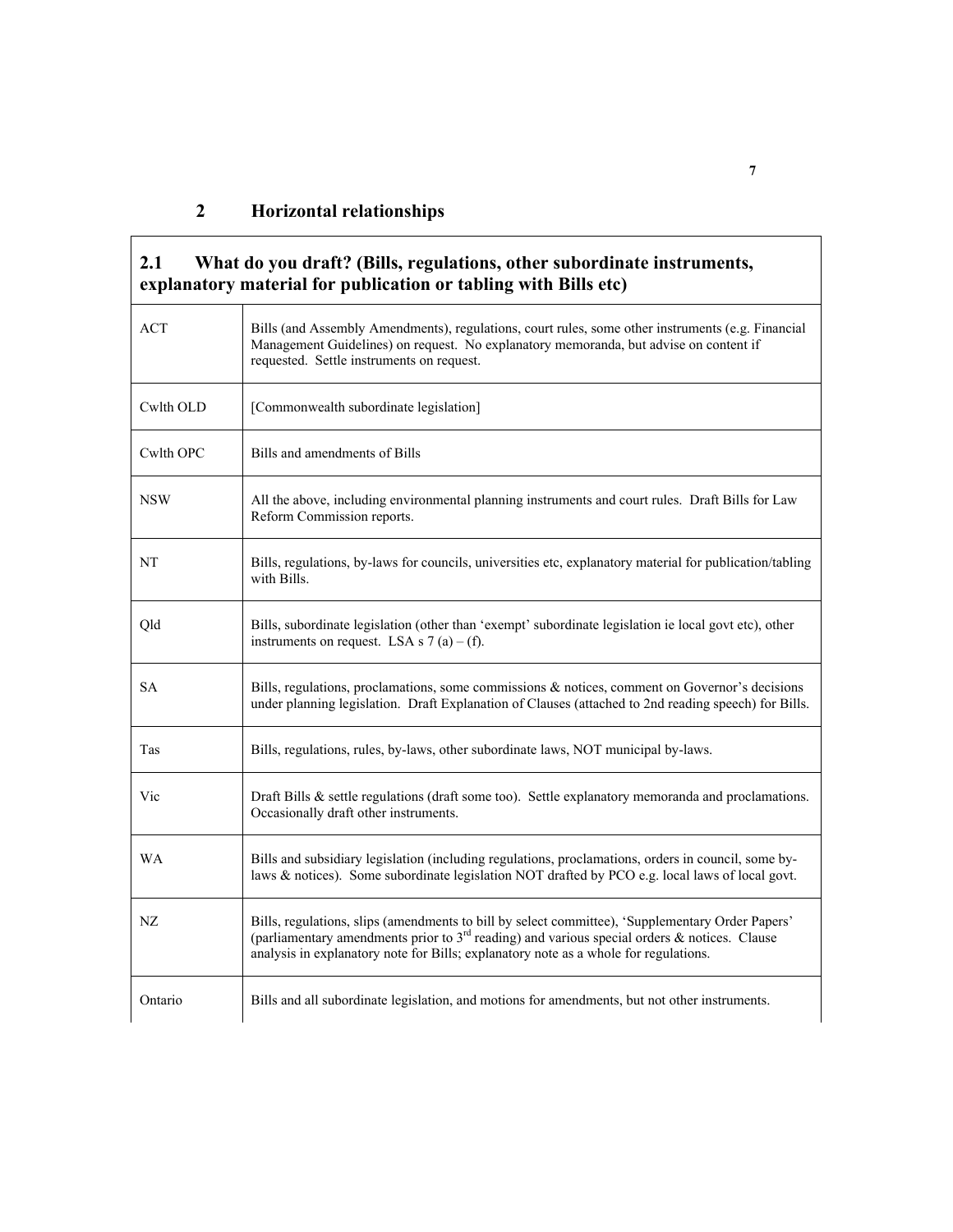| <b>ACT</b> | Bills (and Assembly Amendments), regulations, court rules, some other instruments (e.g. Financial<br>Management Guidelines) on request. No explanatory memoranda, but advise on content if<br>requested. Settle instruments on request.                                                    |
|------------|--------------------------------------------------------------------------------------------------------------------------------------------------------------------------------------------------------------------------------------------------------------------------------------------|
| Cwlth OLD  | [Commonwealth subordinate legislation]                                                                                                                                                                                                                                                     |
| Cwlth OPC  | Bills and amendments of Bills                                                                                                                                                                                                                                                              |
| <b>NSW</b> | All the above, including environmental planning instruments and court rules. Draft Bills for Law<br>Reform Commission reports.                                                                                                                                                             |
| <b>NT</b>  | Bills, regulations, by-laws for councils, universities etc, explanatory material for publication/tabling<br>with Bills.                                                                                                                                                                    |
| Qld        | Bills, subordinate legislation (other than 'exempt' subordinate legislation ie local govt etc), other<br>instruments on request. LSA s $7(a) - (f)$ .                                                                                                                                      |
| <b>SA</b>  | Bills, regulations, proclamations, some commissions $\&$ notices, comment on Governor's decisions<br>under planning legislation. Draft Explanation of Clauses (attached to 2nd reading speech) for Bills.                                                                                  |
| Tas        | Bills, regulations, rules, by-laws, other subordinate laws, NOT municipal by-laws.                                                                                                                                                                                                         |
| Vic        | Draft Bills $\&$ settle regulations (draft some too). Settle explanatory memoranda and proclamations.<br>Occasionally draft other instruments.                                                                                                                                             |
| <b>WA</b>  | Bills and subsidiary legislation (including regulations, proclamations, orders in council, some by-<br>laws & notices). Some subordinate legislation NOT drafted by PCO e.g. local laws of local govt.                                                                                     |
| NZ         | Bills, regulations, slips (amendments to bill by select committee), 'Supplementary Order Papers'<br>(parliamentary amendments prior to $3rd$ reading) and various special orders & notices. Clause<br>analysis in explanatory note for Bills; explanatory note as a whole for regulations. |
| Ontario    | Bills and all subordinate legislation, and motions for amendments, but not other instruments.                                                                                                                                                                                              |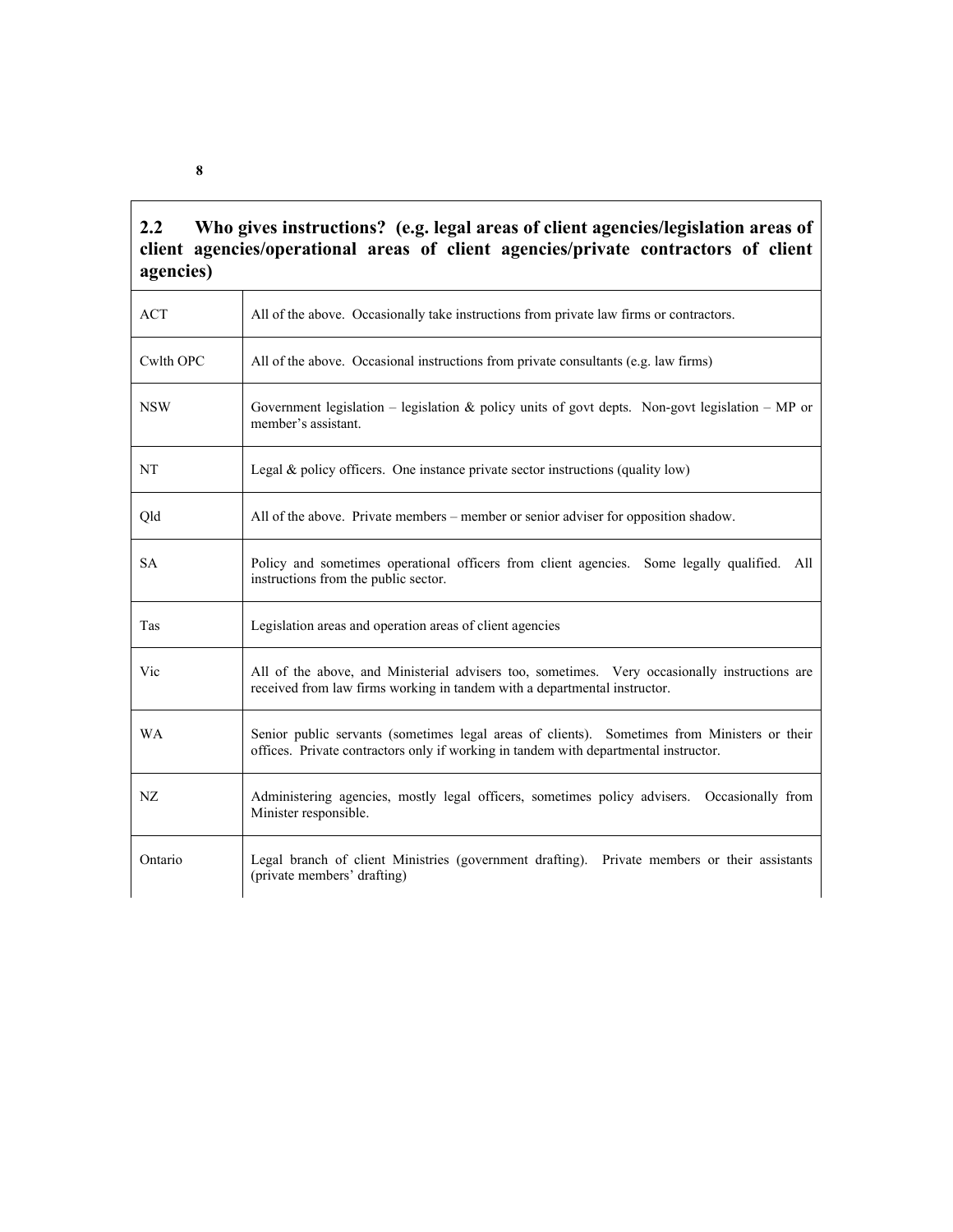### **2.2 Who gives instructions? (e.g. legal areas of client agencies/legislation areas of client agencies/operational areas of client agencies/private contractors of client agencies)**

| <b>ACT</b> | All of the above. Occasionally take instructions from private law firms or contractors.                                                                                              |
|------------|--------------------------------------------------------------------------------------------------------------------------------------------------------------------------------------|
| Cwlth OPC  | All of the above. Occasional instructions from private consultants (e.g. law firms)                                                                                                  |
| <b>NSW</b> | Government legislation – legislation & policy units of govt depts. Non-govt legislation – MP or<br>member's assistant.                                                               |
| <b>NT</b>  | Legal $\&$ policy officers. One instance private sector instructions (quality low)                                                                                                   |
| Qld        | All of the above. Private members – member or senior adviser for opposition shadow.                                                                                                  |
| <b>SA</b>  | Policy and sometimes operational officers from client agencies. Some legally qualified. All<br>instructions from the public sector.                                                  |
| Tas        | Legislation areas and operation areas of client agencies                                                                                                                             |
| Vic        | All of the above, and Ministerial advisers too, sometimes. Very occasionally instructions are<br>received from law firms working in tandem with a departmental instructor.           |
| <b>WA</b>  | Senior public servants (sometimes legal areas of clients). Sometimes from Ministers or their<br>offices. Private contractors only if working in tandem with departmental instructor. |
| NZ         | Administering agencies, mostly legal officers, sometimes policy advisers. Occasionally from<br>Minister responsible.                                                                 |
| Ontario    | Legal branch of client Ministries (government drafting). Private members or their assistants<br>(private members' drafting)                                                          |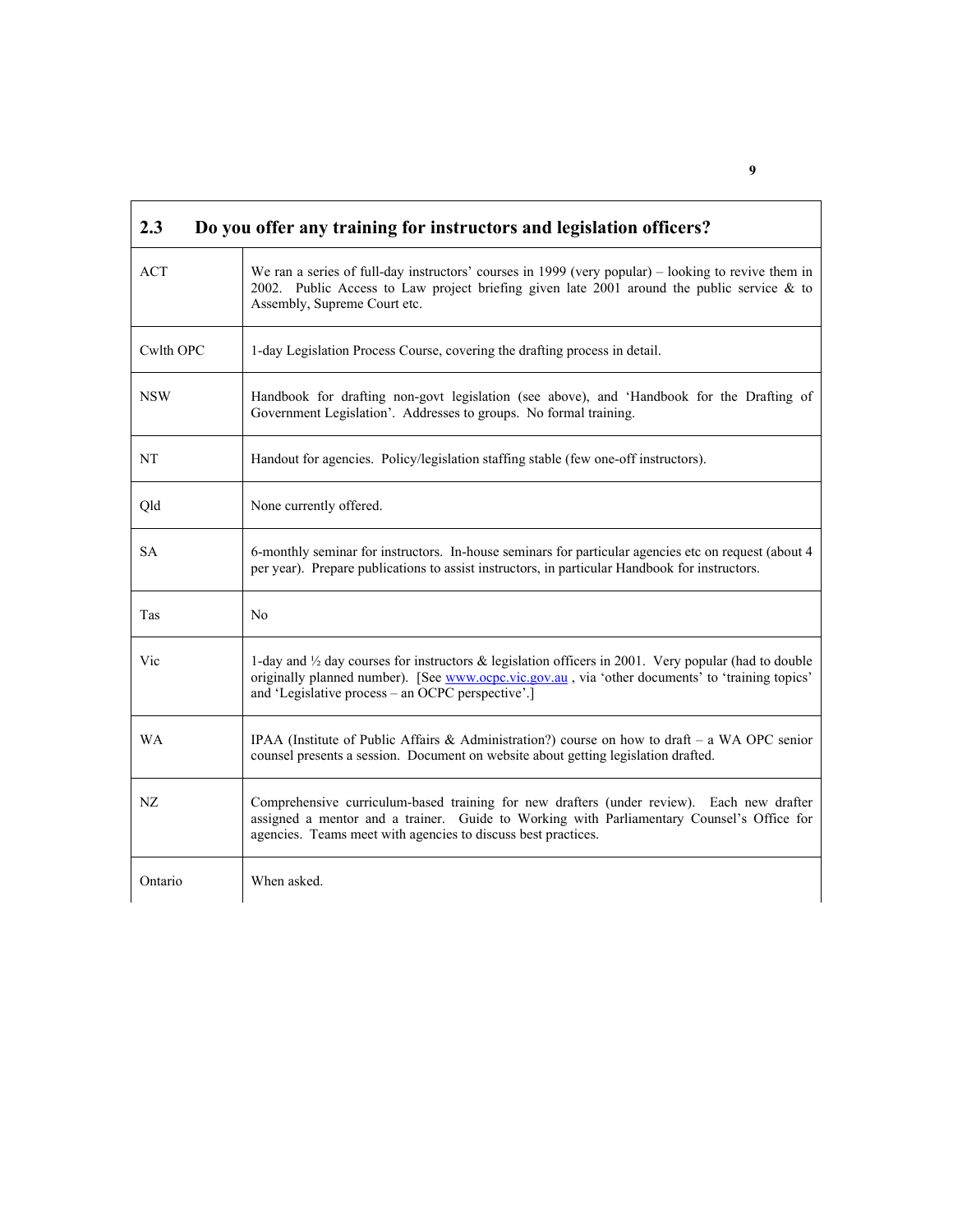| 2.3<br>Do you offer any training for instructors and legislation officers? |                                                                                                                                                                                                                                                                          |  |
|----------------------------------------------------------------------------|--------------------------------------------------------------------------------------------------------------------------------------------------------------------------------------------------------------------------------------------------------------------------|--|
| <b>ACT</b>                                                                 | We ran a series of full-day instructors' courses in 1999 (very popular) – looking to revive them in<br>2002. Public Access to Law project briefing given late 2001 around the public service & to<br>Assembly, Supreme Court etc.                                        |  |
| Cwlth OPC                                                                  | 1-day Legislation Process Course, covering the drafting process in detail.                                                                                                                                                                                               |  |
| <b>NSW</b>                                                                 | Handbook for drafting non-govt legislation (see above), and 'Handbook for the Drafting of<br>Government Legislation'. Addresses to groups. No formal training.                                                                                                           |  |
| NT                                                                         | Handout for agencies. Policy/legislation staffing stable (few one-off instructors).                                                                                                                                                                                      |  |
| Qld                                                                        | None currently offered.                                                                                                                                                                                                                                                  |  |
| SА                                                                         | 6-monthly seminar for instructors. In-house seminars for particular agencies etc on request (about 4<br>per year). Prepare publications to assist instructors, in particular Handbook for instructors.                                                                   |  |
| Tas                                                                        | No                                                                                                                                                                                                                                                                       |  |
| Vic                                                                        | 1-day and $\frac{1}{2}$ day courses for instructors & legislation officers in 2001. Very popular (had to double<br>originally planned number). [See www.ocpc.vic.gov.au, via 'other documents' to 'training topics'<br>and 'Legislative process – an OCPC perspective'.] |  |
| WA                                                                         | IPAA (Institute of Public Affairs & Administration?) course on how to draft – a WA OPC senior<br>counsel presents a session. Document on website about getting legislation drafted.                                                                                      |  |
| NZ                                                                         | Comprehensive curriculum-based training for new drafters (under review). Each new drafter<br>assigned a mentor and a trainer. Guide to Working with Parliamentary Counsel's Office for<br>agencies. Teams meet with agencies to discuss best practices.                  |  |
| Ontario                                                                    | When asked.                                                                                                                                                                                                                                                              |  |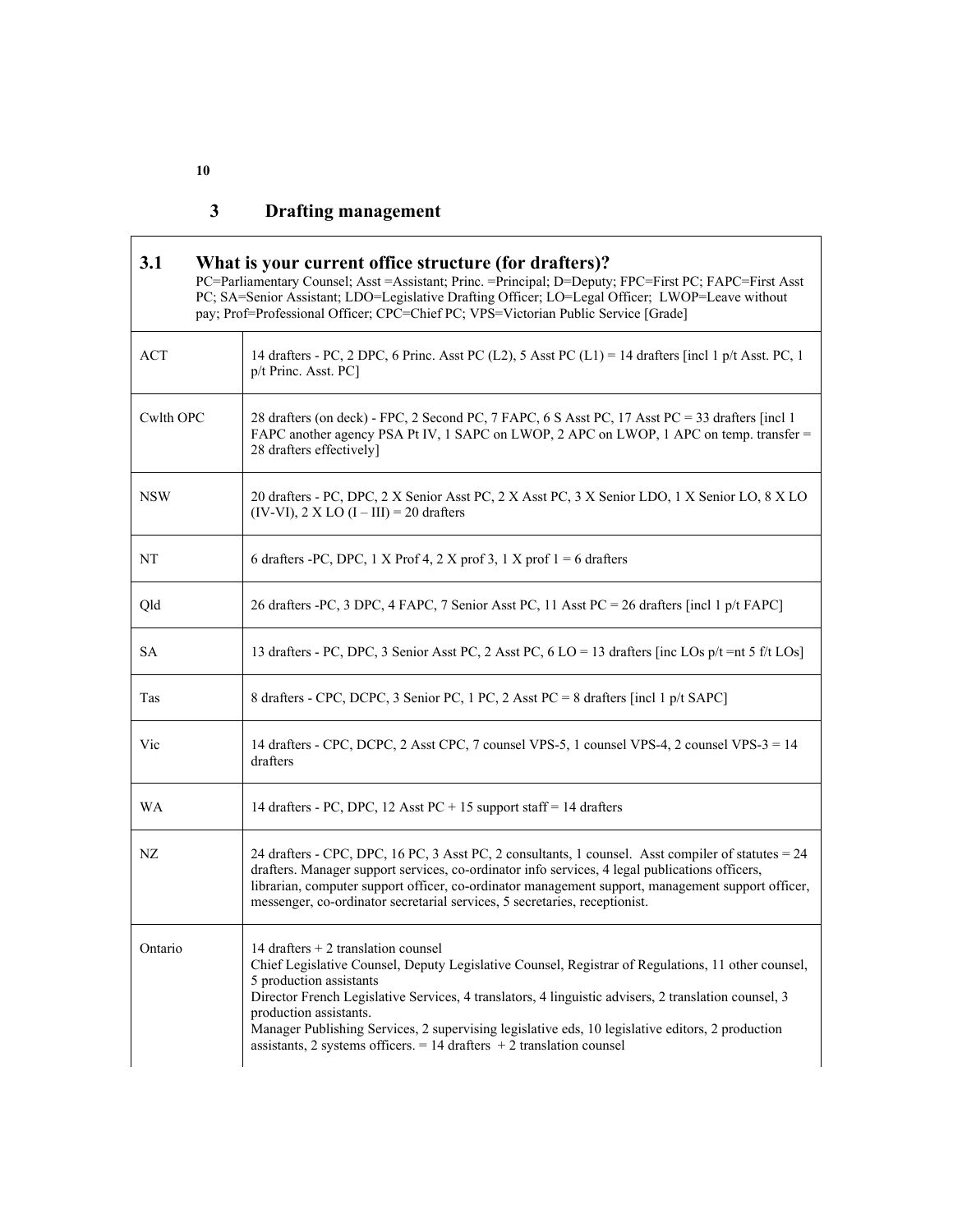### **3 Drafting management**

| 3.1<br>What is your current office structure (for drafters)?<br>PC=Parliamentary Counsel; Asst =Assistant; Princ. =Principal; D=Deputy; FPC=First PC; FAPC=First Asst<br>PC; SA=Senior Assistant; LDO=Legislative Drafting Officer; LO=Legal Officer; LWOP=Leave without<br>pay; Prof=Professional Officer; CPC=Chief PC; VPS=Victorian Public Service [Grade] |                                                                                                                                                                                                                                                                                                                                                                                                                                                                                           |  |
|----------------------------------------------------------------------------------------------------------------------------------------------------------------------------------------------------------------------------------------------------------------------------------------------------------------------------------------------------------------|-------------------------------------------------------------------------------------------------------------------------------------------------------------------------------------------------------------------------------------------------------------------------------------------------------------------------------------------------------------------------------------------------------------------------------------------------------------------------------------------|--|
| <b>ACT</b>                                                                                                                                                                                                                                                                                                                                                     | 14 drafters - PC, 2 DPC, 6 Princ. Asst PC (L2), 5 Asst PC (L1) = 14 drafters [incl 1 p/t Asst. PC, 1<br>p/t Princ. Asst. PC]                                                                                                                                                                                                                                                                                                                                                              |  |
| Cwlth OPC                                                                                                                                                                                                                                                                                                                                                      | 28 drafters (on deck) - FPC, 2 Second PC, 7 FAPC, 6 S Asst PC, 17 Asst PC = 33 drafters [incl 1<br>FAPC another agency PSA Pt IV, 1 SAPC on LWOP, 2 APC on LWOP, 1 APC on temp. transfer =<br>28 drafters effectively]                                                                                                                                                                                                                                                                    |  |
| <b>NSW</b>                                                                                                                                                                                                                                                                                                                                                     | 20 drafters - PC, DPC, 2 X Senior Asst PC, 2 X Asst PC, 3 X Senior LDO, 1 X Senior LO, 8 X LO<br>$(IV-VI)$ , 2 X LO $(I-III) = 20$ drafters                                                                                                                                                                                                                                                                                                                                               |  |
| NT                                                                                                                                                                                                                                                                                                                                                             | 6 drafters -PC, DPC, 1 X Prof 4, 2 X prof 3, 1 X prof $1 = 6$ drafters                                                                                                                                                                                                                                                                                                                                                                                                                    |  |
| Qld                                                                                                                                                                                                                                                                                                                                                            | 26 drafters -PC, 3 DPC, 4 FAPC, 7 Senior Asst PC, 11 Asst PC = 26 drafters [incl 1 p/t FAPC]                                                                                                                                                                                                                                                                                                                                                                                              |  |
| <b>SA</b>                                                                                                                                                                                                                                                                                                                                                      | 13 drafters - PC, DPC, 3 Senior Asst PC, 2 Asst PC, 6 LO = 13 drafters [inc LOs p/t = nt 5 f/t LOs]                                                                                                                                                                                                                                                                                                                                                                                       |  |
| Tas                                                                                                                                                                                                                                                                                                                                                            | 8 drafters - CPC, DCPC, 3 Senior PC, 1 PC, 2 Asst PC = 8 drafters [incl 1 p/t SAPC]                                                                                                                                                                                                                                                                                                                                                                                                       |  |
| Vic                                                                                                                                                                                                                                                                                                                                                            | 14 drafters - CPC, DCPC, 2 Asst CPC, 7 counsel VPS-5, 1 counsel VPS-4, 2 counsel VPS-3 = 14<br>drafters                                                                                                                                                                                                                                                                                                                                                                                   |  |
| <b>WA</b>                                                                                                                                                                                                                                                                                                                                                      | 14 drafters - PC, DPC, 12 Asst PC + 15 support staff = 14 drafters                                                                                                                                                                                                                                                                                                                                                                                                                        |  |
| NZ                                                                                                                                                                                                                                                                                                                                                             | 24 drafters - CPC, DPC, 16 PC, 3 Asst PC, 2 consultants, 1 counsel. Asst compiler of statutes = 24<br>drafters. Manager support services, co-ordinator info services, 4 legal publications officers,<br>librarian, computer support officer, co-ordinator management support, management support officer,<br>messenger, co-ordinator secretarial services, 5 secretaries, receptionist.                                                                                                   |  |
| Ontario                                                                                                                                                                                                                                                                                                                                                        | 14 drafters $+ 2$ translation counsel<br>Chief Legislative Counsel, Deputy Legislative Counsel, Registrar of Regulations, 11 other counsel,<br>5 production assistants<br>Director French Legislative Services, 4 translators, 4 linguistic advisers, 2 translation counsel, 3<br>production assistants.<br>Manager Publishing Services, 2 supervising legislative eds, 10 legislative editors, 2 production<br>assistants, 2 systems officers. $= 14$ drafters $+ 2$ translation counsel |  |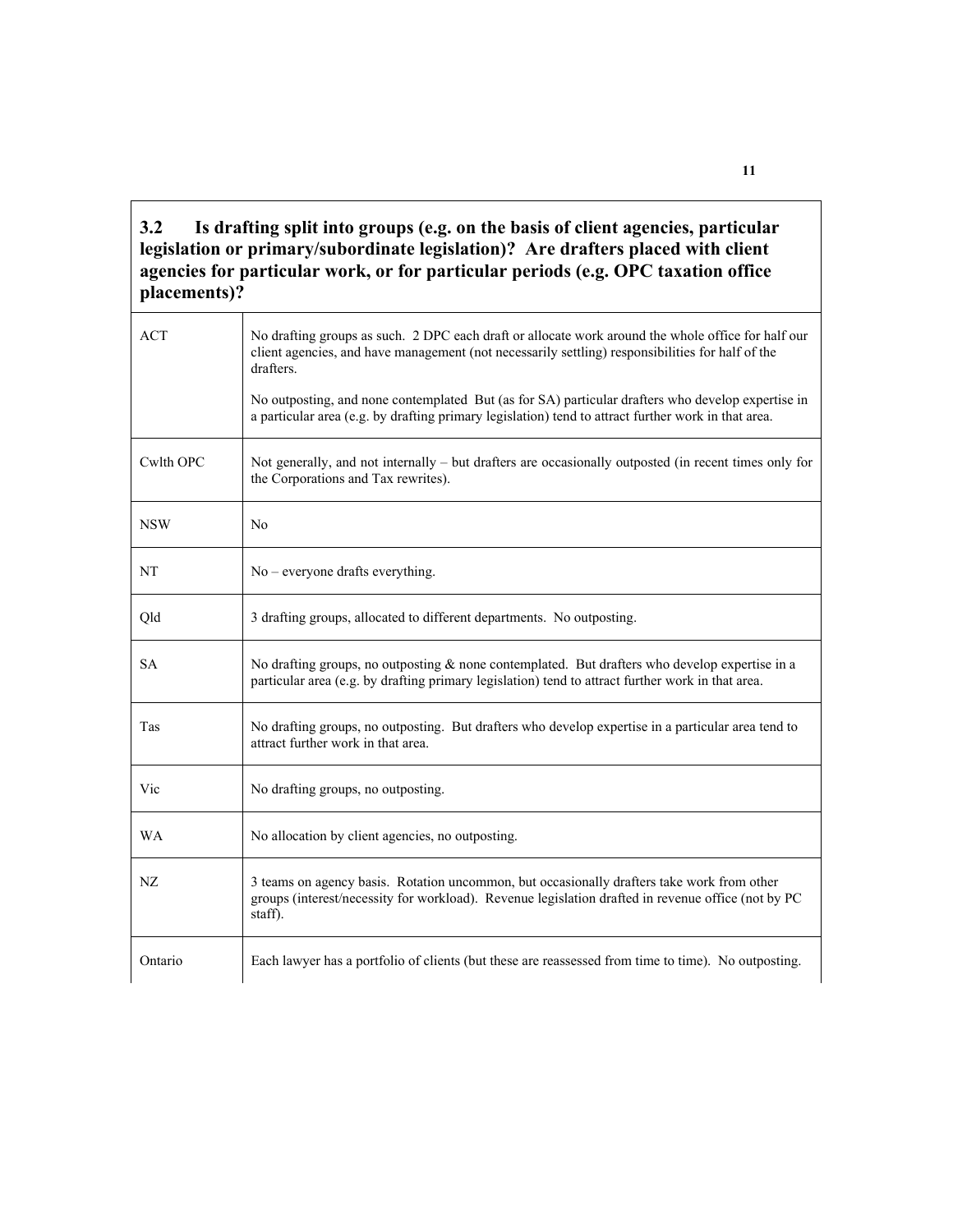**3.2 Is drafting split into groups (e.g. on the basis of client agencies, particular legislation or primary/subordinate legislation)? Are drafters placed with client agencies for particular work, or for particular periods (e.g. OPC taxation office placements)?** 

| <b>ACT</b> | No drafting groups as such. 2 DPC each draft or allocate work around the whole office for half our<br>client agencies, and have management (not necessarily settling) responsibilities for half of the<br>drafters.<br>No outposting, and none contemplated But (as for SA) particular drafters who develop expertise in<br>a particular area (e.g. by drafting primary legislation) tend to attract further work in that area. |
|------------|---------------------------------------------------------------------------------------------------------------------------------------------------------------------------------------------------------------------------------------------------------------------------------------------------------------------------------------------------------------------------------------------------------------------------------|
| Cwlth OPC  | Not generally, and not internally – but drafters are occasionally outposted (in recent times only for<br>the Corporations and Tax rewrites).                                                                                                                                                                                                                                                                                    |
| <b>NSW</b> | N <sub>0</sub>                                                                                                                                                                                                                                                                                                                                                                                                                  |
| NT         | No – everyone drafts everything.                                                                                                                                                                                                                                                                                                                                                                                                |
| Qld        | 3 drafting groups, allocated to different departments. No outposting.                                                                                                                                                                                                                                                                                                                                                           |
| SА         | No drafting groups, no outposting $\&$ none contemplated. But drafters who develop expertise in a<br>particular area (e.g. by drafting primary legislation) tend to attract further work in that area.                                                                                                                                                                                                                          |
| Tas        | No drafting groups, no outposting. But drafters who develop expertise in a particular area tend to<br>attract further work in that area.                                                                                                                                                                                                                                                                                        |
| Vic        | No drafting groups, no outposting.                                                                                                                                                                                                                                                                                                                                                                                              |
| <b>WA</b>  | No allocation by client agencies, no outposting.                                                                                                                                                                                                                                                                                                                                                                                |
| NZ         | 3 teams on agency basis. Rotation uncommon, but occasionally drafters take work from other<br>groups (interest/necessity for workload). Revenue legislation drafted in revenue office (not by PC<br>staff).                                                                                                                                                                                                                     |
| Ontario    | Each lawyer has a portfolio of clients (but these are reassessed from time to time). No outposting.                                                                                                                                                                                                                                                                                                                             |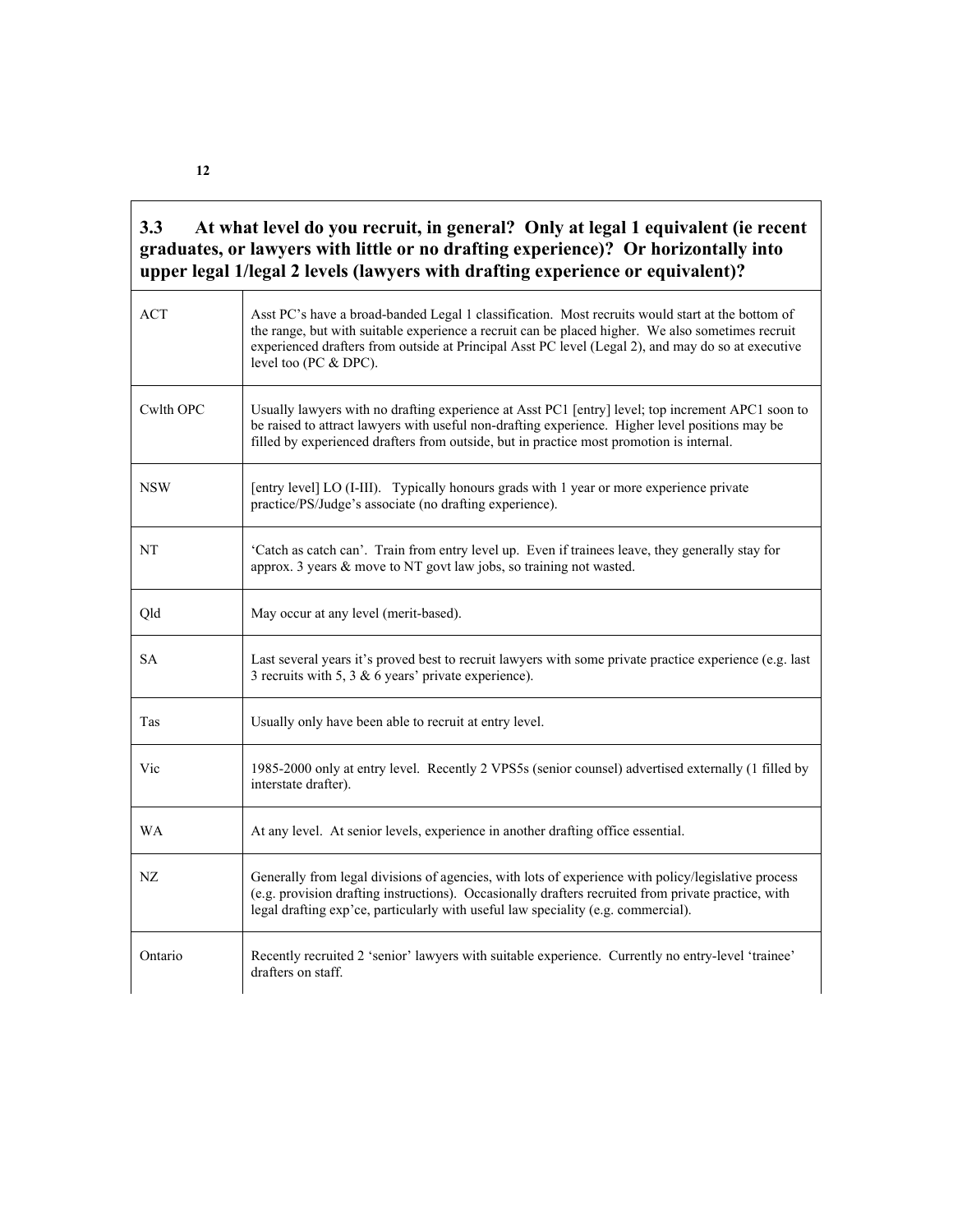### **3.3 At what level do you recruit, in general? Only at legal 1 equivalent (ie recent graduates, or lawyers with little or no drafting experience)? Or horizontally into upper legal 1/legal 2 levels (lawyers with drafting experience or equivalent)?**

| <b>ACT</b> | Asst PC's have a broad-banded Legal 1 classification. Most recruits would start at the bottom of<br>the range, but with suitable experience a recruit can be placed higher. We also sometimes recruit<br>experienced drafters from outside at Principal Asst PC level (Legal 2), and may do so at executive<br>level too (PC & DPC). |
|------------|--------------------------------------------------------------------------------------------------------------------------------------------------------------------------------------------------------------------------------------------------------------------------------------------------------------------------------------|
| Cwlth OPC  | Usually lawyers with no drafting experience at Asst PC1 [entry] level; top increment APC1 soon to<br>be raised to attract lawyers with useful non-drafting experience. Higher level positions may be<br>filled by experienced drafters from outside, but in practice most promotion is internal.                                     |
| <b>NSW</b> | [entry level] LO (I-III). Typically honours grads with 1 year or more experience private<br>practice/PS/Judge's associate (no drafting experience).                                                                                                                                                                                  |
| NT         | 'Catch as catch can'. Train from entry level up. Even if trainees leave, they generally stay for<br>approx. 3 years $\&$ move to NT govt law jobs, so training not wasted.                                                                                                                                                           |
| Qld        | May occur at any level (merit-based).                                                                                                                                                                                                                                                                                                |
| <b>SA</b>  | Last several years it's proved best to recruit lawyers with some private practice experience (e.g. last<br>3 recruits with 5, 3 $\&$ 6 years' private experience).                                                                                                                                                                   |
| Tas        | Usually only have been able to recruit at entry level.                                                                                                                                                                                                                                                                               |
| Vic        | 1985-2000 only at entry level. Recently 2 VPS5s (senior counsel) advertised externally (1 filled by<br>interstate drafter).                                                                                                                                                                                                          |
| WA         | At any level. At senior levels, experience in another drafting office essential.                                                                                                                                                                                                                                                     |
| NZ         | Generally from legal divisions of agencies, with lots of experience with policy/legislative process<br>(e.g. provision drafting instructions). Occasionally drafters recruited from private practice, with<br>legal drafting exp'ce, particularly with useful law speciality (e.g. commercial).                                      |
| Ontario    | Recently recruited 2 'senior' lawyers with suitable experience. Currently no entry-level 'trainee'<br>drafters on staff.                                                                                                                                                                                                             |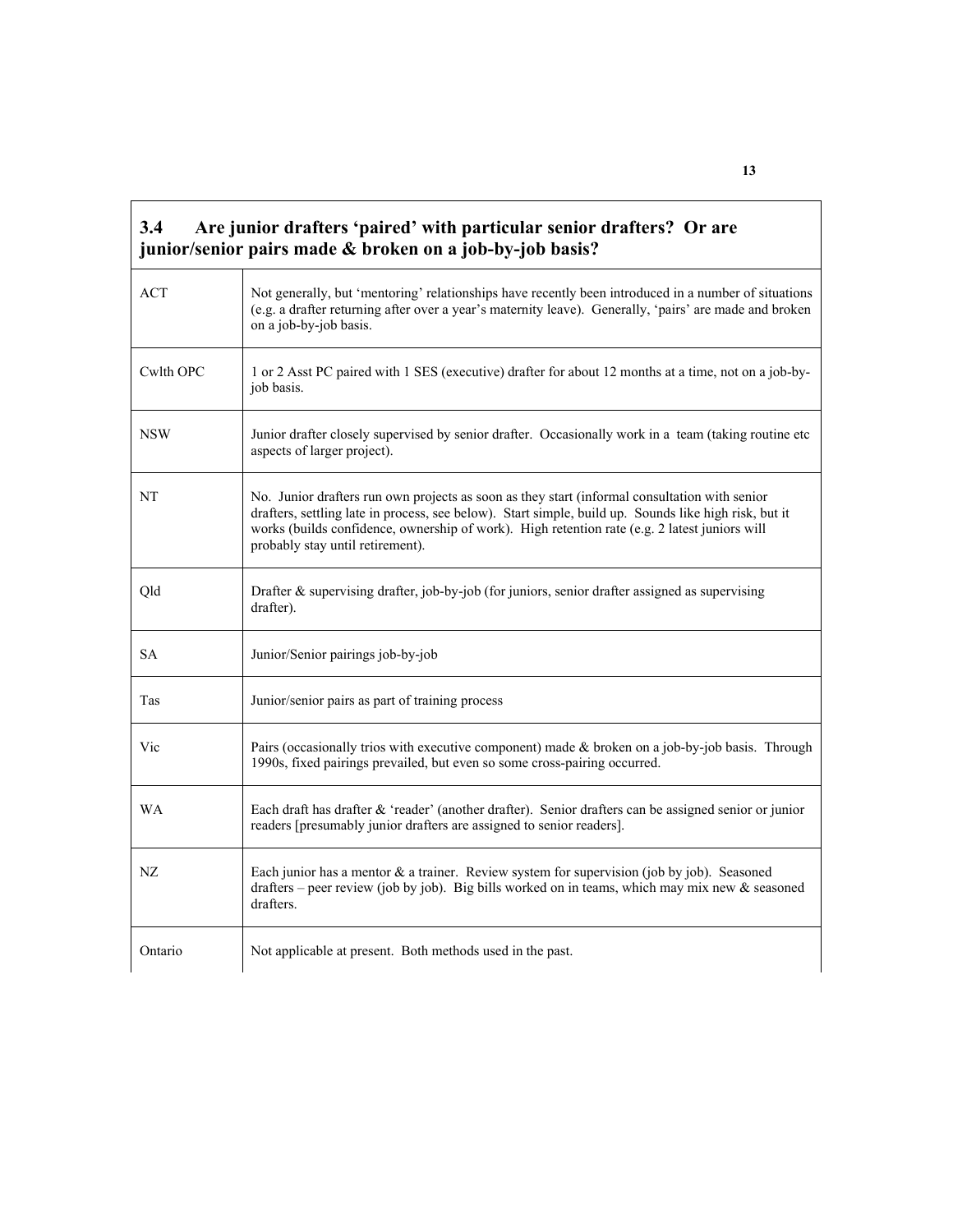| 3.4        | Are junior drafters 'paired' with particular senior drafters? Or are<br>junior/senior pairs made & broken on a job-by-job basis?                                                                                                                                                                                                            |
|------------|---------------------------------------------------------------------------------------------------------------------------------------------------------------------------------------------------------------------------------------------------------------------------------------------------------------------------------------------|
| <b>ACT</b> | Not generally, but 'mentoring' relationships have recently been introduced in a number of situations<br>(e.g. a drafter returning after over a year's maternity leave). Generally, 'pairs' are made and broken<br>on a job-by-job basis.                                                                                                    |
| Cwlth OPC  | 1 or 2 Asst PC paired with 1 SES (executive) drafter for about 12 months at a time, not on a job-by-<br>job basis.                                                                                                                                                                                                                          |
| <b>NSW</b> | Junior drafter closely supervised by senior drafter. Occasionally work in a team (taking routine etc<br>aspects of larger project).                                                                                                                                                                                                         |
| NT         | No. Junior drafters run own projects as soon as they start (informal consultation with senior<br>drafters, settling late in process, see below). Start simple, build up. Sounds like high risk, but it<br>works (builds confidence, ownership of work). High retention rate (e.g. 2 latest juniors will<br>probably stay until retirement). |
| Qld        | Drafter $\&$ supervising drafter, job-by-job (for juniors, senior drafter assigned as supervising<br>drafter).                                                                                                                                                                                                                              |
| <b>SA</b>  | Junior/Senior pairings job-by-job                                                                                                                                                                                                                                                                                                           |
| Tas        | Junior/senior pairs as part of training process                                                                                                                                                                                                                                                                                             |
| Vic        | Pairs (occasionally trios with executive component) made & broken on a job-by-job basis. Through<br>1990s, fixed pairings prevailed, but even so some cross-pairing occurred.                                                                                                                                                               |
| <b>WA</b>  | Each draft has drafter & 'reader' (another drafter). Senior drafters can be assigned senior or junior<br>readers [presumably junior drafters are assigned to senior readers].                                                                                                                                                               |
| NZ         | Each junior has a mentor $\&$ a trainer. Review system for supervision (job by job). Seasoned<br>drafters – peer review (job by job). Big bills worked on in teams, which may mix new $\&$ seasoned<br>drafters.                                                                                                                            |
| Ontario    | Not applicable at present. Both methods used in the past.                                                                                                                                                                                                                                                                                   |

 $\mathbf{r}$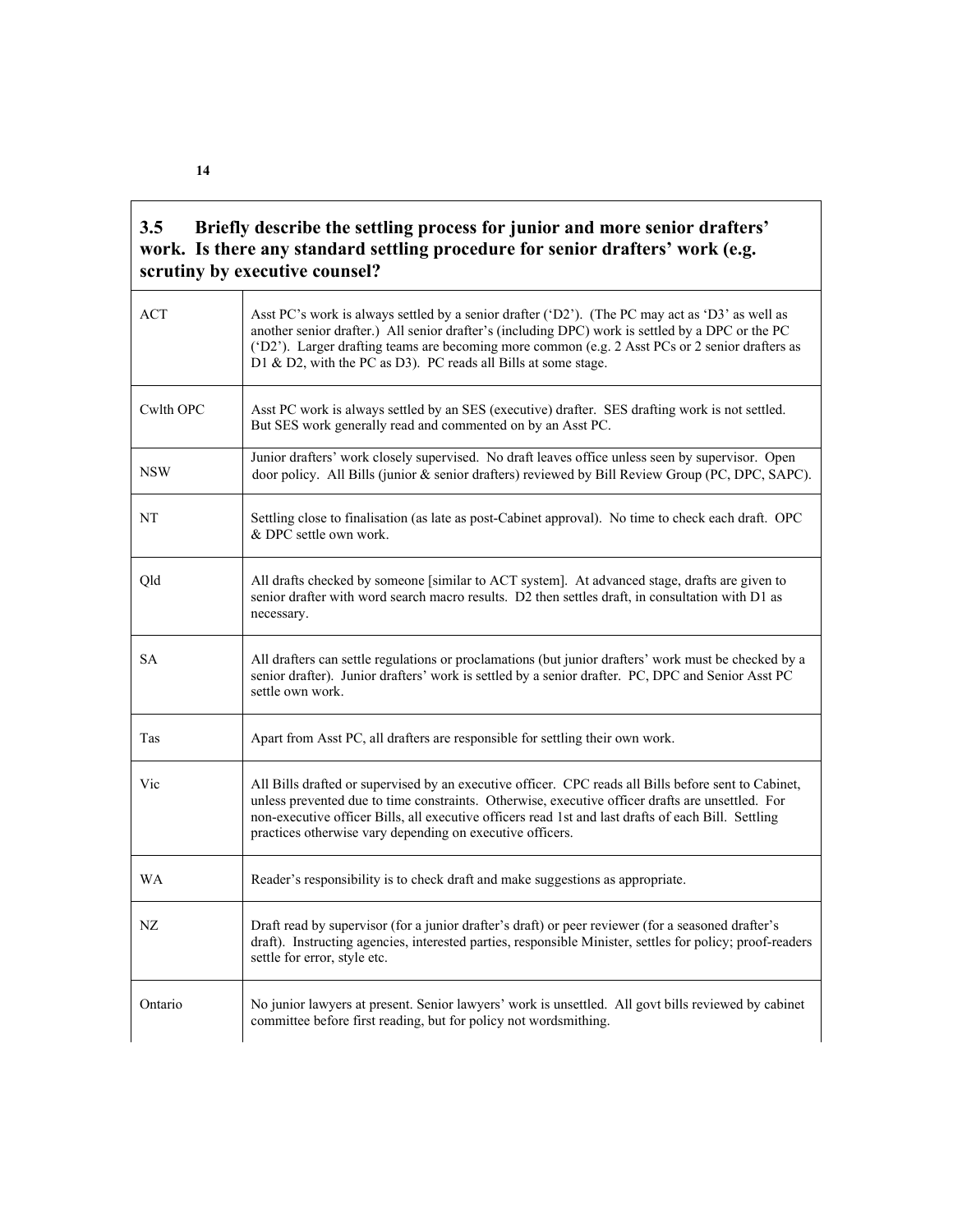#### **3.5 Briefly describe the settling process for junior and more senior drafters' work. Is there any standard settling procedure for senior drafters' work (e.g. scrutiny by executive counsel?**

| <b>ACT</b> | Asst PC's work is always settled by a senior drafter ('D2'). (The PC may act as 'D3' as well as<br>another senior drafter.) All senior drafter's (including DPC) work is settled by a DPC or the PC<br>('D2'). Larger drafting teams are becoming more common (e.g. 2 Asst PCs or 2 senior drafters as<br>D1 & D2, with the PC as D3). PC reads all Bills at some stage.     |
|------------|------------------------------------------------------------------------------------------------------------------------------------------------------------------------------------------------------------------------------------------------------------------------------------------------------------------------------------------------------------------------------|
| Cwlth OPC  | Asst PC work is always settled by an SES (executive) drafter. SES drafting work is not settled.<br>But SES work generally read and commented on by an Asst PC.                                                                                                                                                                                                               |
| <b>NSW</b> | Junior drafters' work closely supervised. No draft leaves office unless seen by supervisor. Open<br>door policy. All Bills (junior & senior drafters) reviewed by Bill Review Group (PC, DPC, SAPC).                                                                                                                                                                         |
| NT         | Settling close to finalisation (as late as post-Cabinet approval). No time to check each draft. OPC<br>& DPC settle own work.                                                                                                                                                                                                                                                |
| Qld        | All drafts checked by someone [similar to ACT system]. At advanced stage, drafts are given to<br>senior drafter with word search macro results. D2 then settles draft, in consultation with D1 as<br>necessary.                                                                                                                                                              |
| <b>SA</b>  | All drafters can settle regulations or proclamations (but junior drafters' work must be checked by a<br>senior drafter). Junior drafters' work is settled by a senior drafter. PC, DPC and Senior Asst PC<br>settle own work.                                                                                                                                                |
| Tas        | Apart from Asst PC, all drafters are responsible for settling their own work.                                                                                                                                                                                                                                                                                                |
| Vic        | All Bills drafted or supervised by an executive officer. CPC reads all Bills before sent to Cabinet,<br>unless prevented due to time constraints. Otherwise, executive officer drafts are unsettled. For<br>non-executive officer Bills, all executive officers read 1st and last drafts of each Bill. Settling<br>practices otherwise vary depending on executive officers. |
| WA         | Reader's responsibility is to check draft and make suggestions as appropriate.                                                                                                                                                                                                                                                                                               |
| NZ         | Draft read by supervisor (for a junior drafter's draft) or peer reviewer (for a seasoned drafter's<br>draft). Instructing agencies, interested parties, responsible Minister, settles for policy; proof-readers<br>settle for error, style etc.                                                                                                                              |
| Ontario    | No junior lawyers at present. Senior lawyers' work is unsettled. All govt bills reviewed by cabinet<br>committee before first reading, but for policy not wordsmithing.                                                                                                                                                                                                      |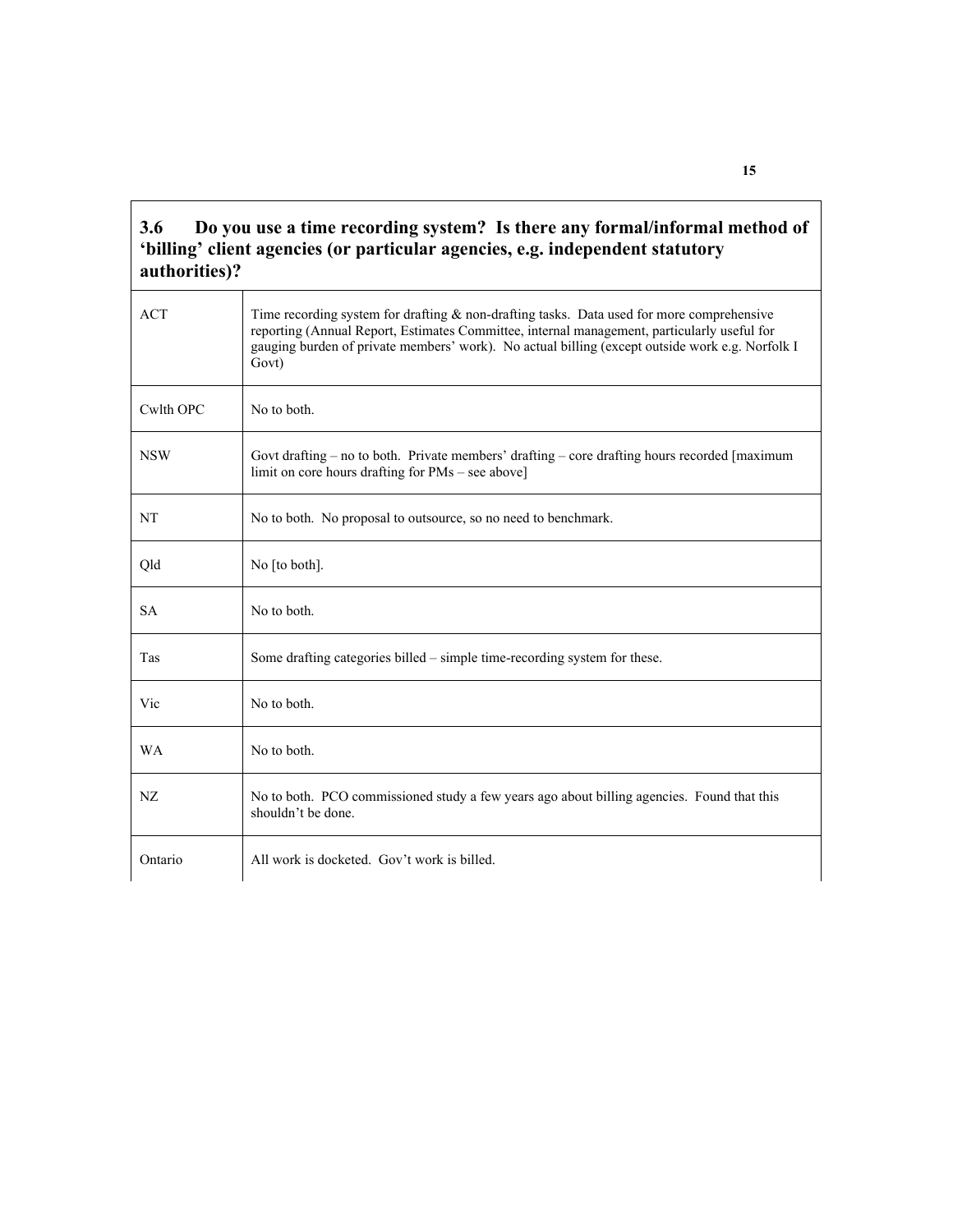#### **3.6 Do you use a time recording system? Is there any formal/informal method of 'billing' client agencies (or particular agencies, e.g. independent statutory authorities)?**

| <b>ACT</b> | Time recording system for drafting $\&$ non-drafting tasks. Data used for more comprehensive<br>reporting (Annual Report, Estimates Committee, internal management, particularly useful for<br>gauging burden of private members' work). No actual billing (except outside work e.g. Norfolk I<br>Govt) |
|------------|---------------------------------------------------------------------------------------------------------------------------------------------------------------------------------------------------------------------------------------------------------------------------------------------------------|
| Cwlth OPC  | No to both.                                                                                                                                                                                                                                                                                             |
| <b>NSW</b> | Govt drafting $-$ no to both. Private members' drafting $-$ core drafting hours recorded [maximum]<br>limit on core hours drafting for PMs – see above]                                                                                                                                                 |
| NT         | No to both. No proposal to outsource, so no need to benchmark.                                                                                                                                                                                                                                          |
| Qld        | No [to both].                                                                                                                                                                                                                                                                                           |
| <b>SA</b>  | No to both.                                                                                                                                                                                                                                                                                             |
| Tas        | Some drafting categories billed – simple time-recording system for these.                                                                                                                                                                                                                               |
| Vic        | No to both.                                                                                                                                                                                                                                                                                             |
| <b>WA</b>  | No to both.                                                                                                                                                                                                                                                                                             |
| NZ         | No to both. PCO commissioned study a few years ago about billing agencies. Found that this<br>shouldn't be done.                                                                                                                                                                                        |
| Ontario    | All work is docketed. Gov't work is billed.                                                                                                                                                                                                                                                             |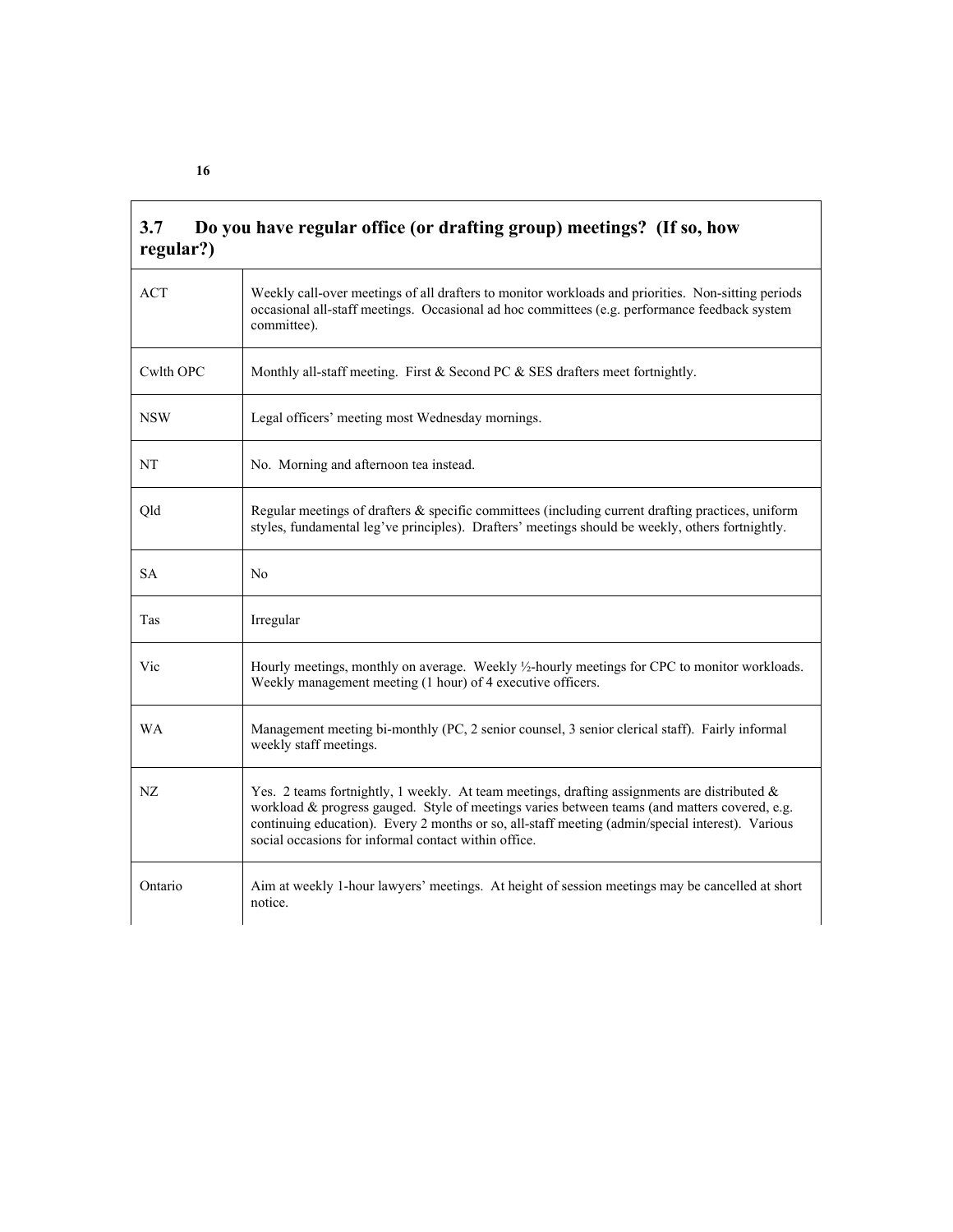| 3.7<br>regular?) | Do you have regular office (or drafting group) meetings? (If so, how                                                                                                                                                                                                                                                                                         |
|------------------|--------------------------------------------------------------------------------------------------------------------------------------------------------------------------------------------------------------------------------------------------------------------------------------------------------------------------------------------------------------|
| <b>ACT</b>       | Weekly call-over meetings of all drafters to monitor workloads and priorities. Non-sitting periods<br>occasional all-staff meetings. Occasional ad hoc committees (e.g. performance feedback system<br>committee).                                                                                                                                           |
| Cwlth OPC        | Monthly all-staff meeting. First & Second PC & SES drafters meet fortnightly.                                                                                                                                                                                                                                                                                |
| <b>NSW</b>       | Legal officers' meeting most Wednesday mornings.                                                                                                                                                                                                                                                                                                             |
| NT               | No. Morning and afternoon tea instead.                                                                                                                                                                                                                                                                                                                       |
| Qld              | Regular meetings of drafters & specific committees (including current drafting practices, uniform<br>styles, fundamental leg've principles). Drafters' meetings should be weekly, others fortnightly.                                                                                                                                                        |
| <b>SA</b>        | No                                                                                                                                                                                                                                                                                                                                                           |
| Tas              | Irregular                                                                                                                                                                                                                                                                                                                                                    |
| Vic              | Hourly meetings, monthly on average. Weekly 1/2-hourly meetings for CPC to monitor workloads.<br>Weekly management meeting (1 hour) of 4 executive officers.                                                                                                                                                                                                 |
| <b>WA</b>        | Management meeting bi-monthly (PC, 2 senior counsel, 3 senior clerical staff). Fairly informal<br>weekly staff meetings.                                                                                                                                                                                                                                     |
| NZ               | Yes. 2 teams fortnightly, 1 weekly. At team meetings, drafting assignments are distributed $\&$<br>workload & progress gauged. Style of meetings varies between teams (and matters covered, e.g.<br>continuing education). Every 2 months or so, all-staff meeting (admin/special interest). Various<br>social occasions for informal contact within office. |
| Ontario          | Aim at weekly 1-hour lawyers' meetings. At height of session meetings may be cancelled at short<br>notice.                                                                                                                                                                                                                                                   |

٦

**16** 

'n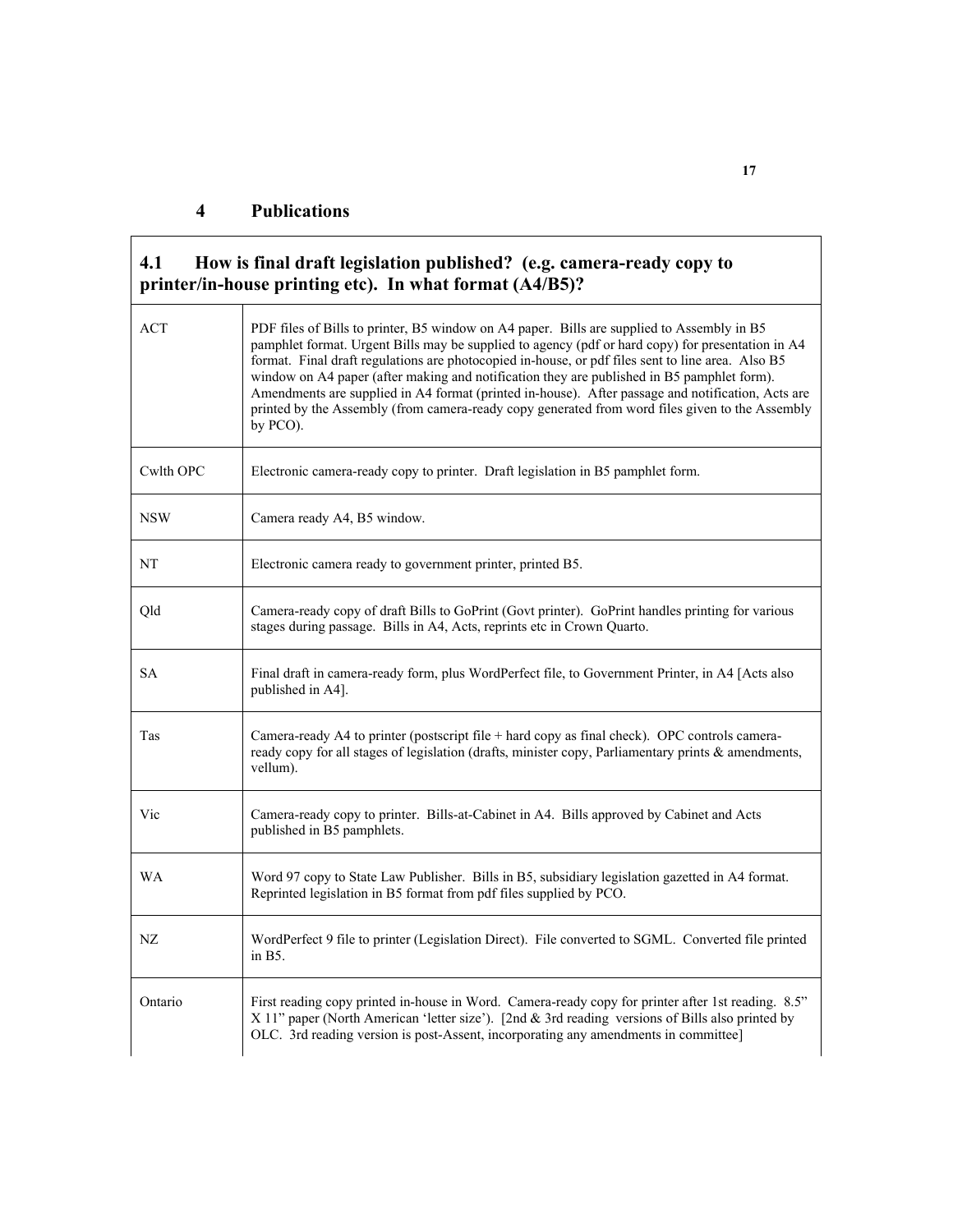| 4.1        | How is final draft legislation published? (e.g. camera-ready copy to<br>printer/in-house printing etc). In what format (A4/B5)?                                                                                                                                                                                                                                                                                                                                                                                                                                                                                        |
|------------|------------------------------------------------------------------------------------------------------------------------------------------------------------------------------------------------------------------------------------------------------------------------------------------------------------------------------------------------------------------------------------------------------------------------------------------------------------------------------------------------------------------------------------------------------------------------------------------------------------------------|
| <b>ACT</b> | PDF files of Bills to printer, B5 window on A4 paper. Bills are supplied to Assembly in B5<br>pamphlet format. Urgent Bills may be supplied to agency (pdf or hard copy) for presentation in A4<br>format. Final draft regulations are photocopied in-house, or pdf files sent to line area. Also B5<br>window on A4 paper (after making and notification they are published in B5 pamphlet form).<br>Amendments are supplied in A4 format (printed in-house). After passage and notification, Acts are<br>printed by the Assembly (from camera-ready copy generated from word files given to the Assembly<br>by PCO). |
| Cwlth OPC  | Electronic camera-ready copy to printer. Draft legislation in B5 pamphlet form.                                                                                                                                                                                                                                                                                                                                                                                                                                                                                                                                        |
| <b>NSW</b> | Camera ready A4, B5 window.                                                                                                                                                                                                                                                                                                                                                                                                                                                                                                                                                                                            |
| NT         | Electronic camera ready to government printer, printed B5.                                                                                                                                                                                                                                                                                                                                                                                                                                                                                                                                                             |
| Qld        | Camera-ready copy of draft Bills to GoPrint (Govt printer). GoPrint handles printing for various<br>stages during passage. Bills in A4, Acts, reprints etc in Crown Quarto.                                                                                                                                                                                                                                                                                                                                                                                                                                            |
| <b>SA</b>  | Final draft in camera-ready form, plus WordPerfect file, to Government Printer, in A4 [Acts also<br>published in A4].                                                                                                                                                                                                                                                                                                                                                                                                                                                                                                  |
| Tas        | Camera-ready A4 to printer (postscript file + hard copy as final check). OPC controls camera-<br>ready copy for all stages of legislation (drafts, minister copy, Parliamentary prints $\&$ amendments,<br>vellum).                                                                                                                                                                                                                                                                                                                                                                                                    |
| Vic        | Camera-ready copy to printer. Bills-at-Cabinet in A4. Bills approved by Cabinet and Acts<br>published in B5 pamphlets.                                                                                                                                                                                                                                                                                                                                                                                                                                                                                                 |
| WA         | Word 97 copy to State Law Publisher. Bills in B5, subsidiary legislation gazetted in A4 format.<br>Reprinted legislation in B5 format from pdf files supplied by PCO.                                                                                                                                                                                                                                                                                                                                                                                                                                                  |
| NZ         | WordPerfect 9 file to printer (Legislation Direct). File converted to SGML. Converted file printed<br>in B5.                                                                                                                                                                                                                                                                                                                                                                                                                                                                                                           |
| Ontario    | First reading copy printed in-house in Word. Camera-ready copy for printer after 1st reading. 8.5"<br>X 11" paper (North American 'letter size'). [2nd & 3rd reading versions of Bills also printed by<br>OLC. 3rd reading version is post-Assent, incorporating any amendments in committee]                                                                                                                                                                                                                                                                                                                          |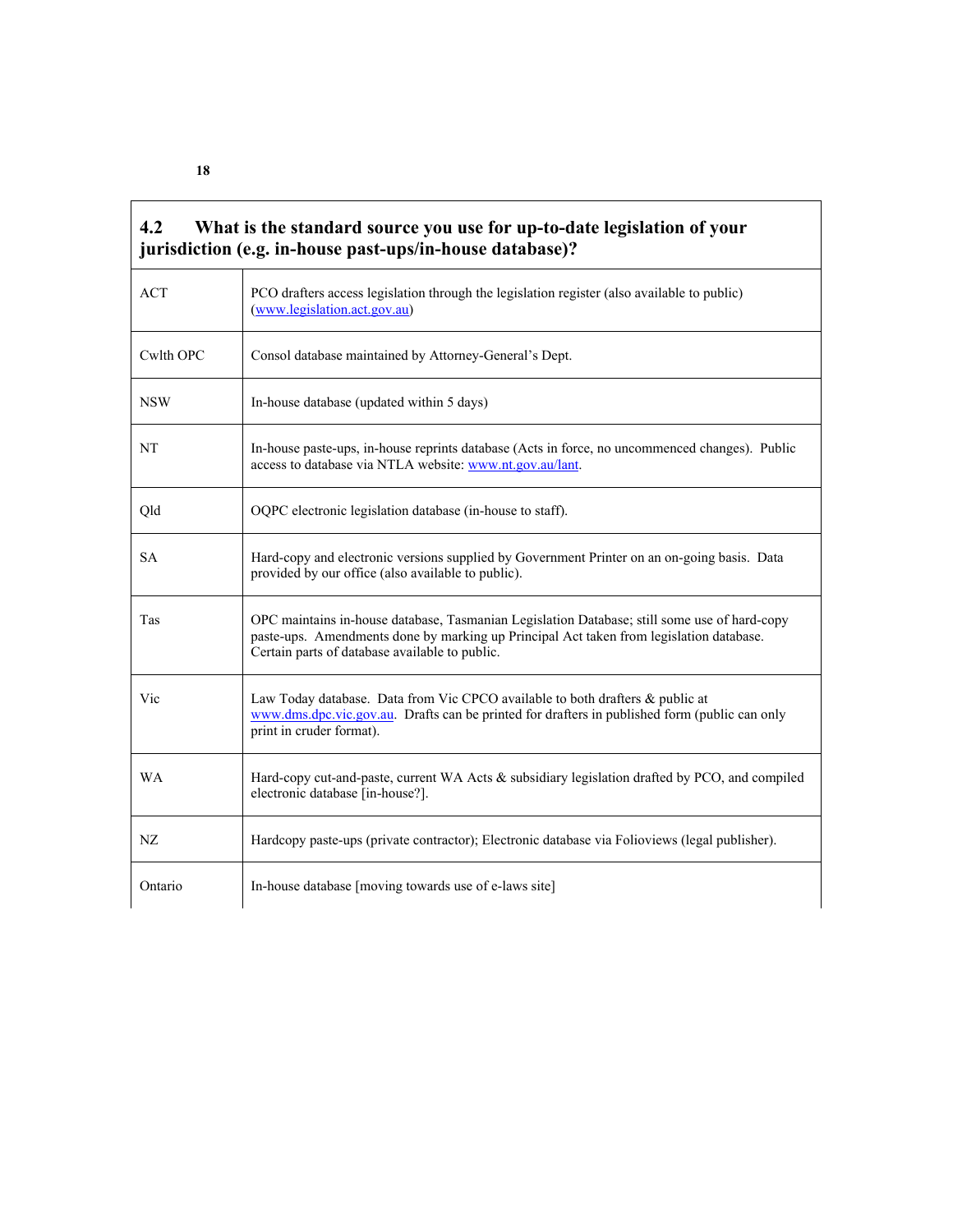| <b>ACT</b>    | PCO drafters access legislation through the legislation register (also available to public)<br>(www.legislation.act.gov.au)                                                                                                               |
|---------------|-------------------------------------------------------------------------------------------------------------------------------------------------------------------------------------------------------------------------------------------|
| Cwlth OPC     | Consol database maintained by Attorney-General's Dept.                                                                                                                                                                                    |
| <b>NSW</b>    | In-house database (updated within 5 days)                                                                                                                                                                                                 |
| NΤ            | In-house paste-ups, in-house reprints database (Acts in force, no uncommenced changes). Public<br>access to database via NTLA website: www.nt.gov.au/lant.                                                                                |
| Qld           | OQPC electronic legislation database (in-house to staff).                                                                                                                                                                                 |
| <b>SA</b>     | Hard-copy and electronic versions supplied by Government Printer on an on-going basis. Data<br>provided by our office (also available to public).                                                                                         |
| Tas           | OPC maintains in-house database, Tasmanian Legislation Database; still some use of hard-copy<br>paste-ups. Amendments done by marking up Principal Act taken from legislation database.<br>Certain parts of database available to public. |
| Vic           | Law Today database. Data from Vic CPCO available to both drafters & public at<br>www.dms.dpc.vic.gov.au. Drafts can be printed for drafters in published form (public can only<br>print in cruder format).                                |
| WA            | Hard-copy cut-and-paste, current WA Acts & subsidiary legislation drafted by PCO, and compiled<br>electronic database [in-house?].                                                                                                        |
|               | Hardcopy paste-ups (private contractor); Electronic database via Folioviews (legal publisher).                                                                                                                                            |
| NZ<br>Ontario | In-house database [moving towards use of e-laws site]                                                                                                                                                                                     |

 $\overline{\mathbf{1}}$ 

**18** 

 $\mathbf{r}$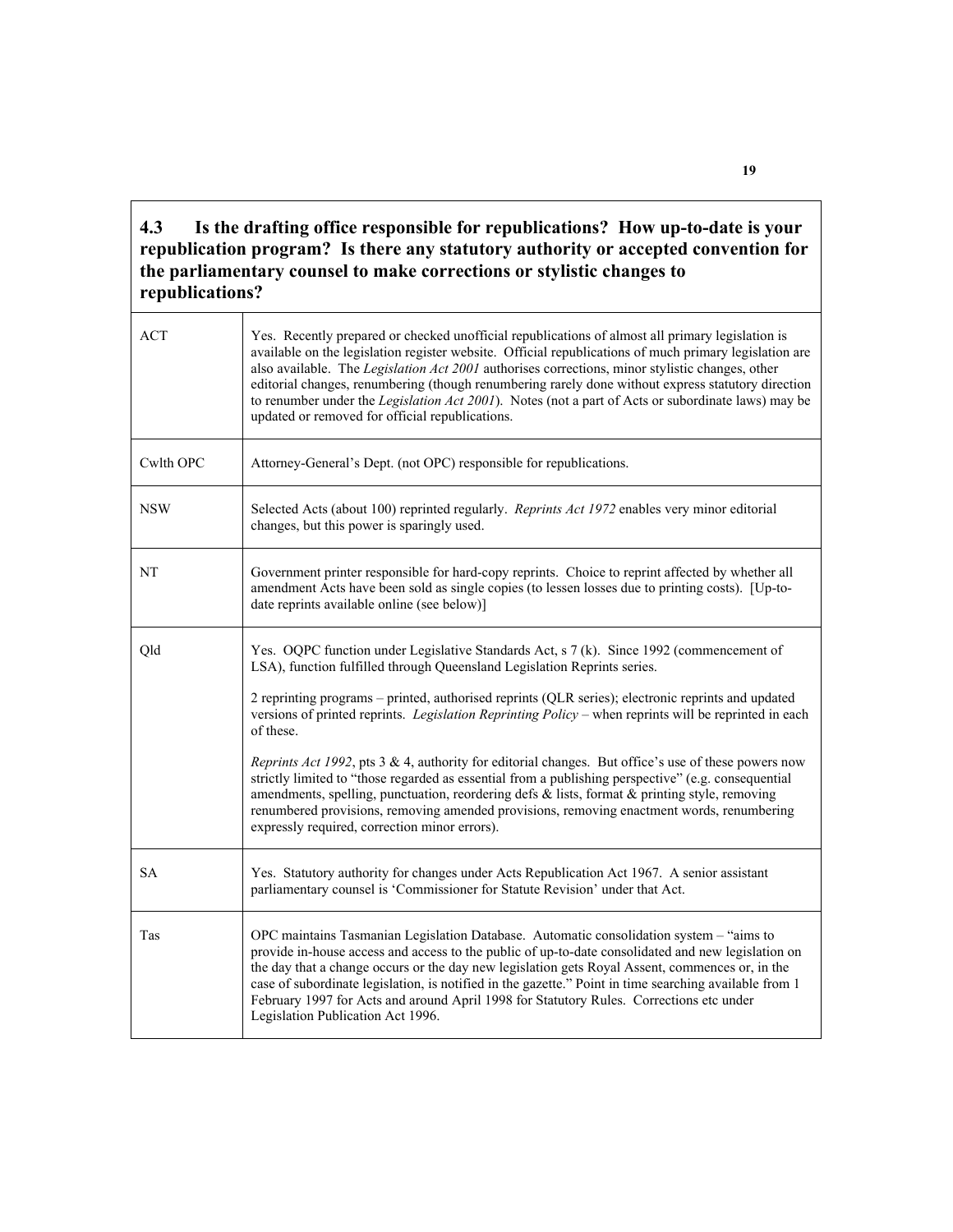#### **4.3 Is the drafting office responsible for republications? How up-to-date is your republication program? Is there any statutory authority or accepted convention for the parliamentary counsel to make corrections or stylistic changes to republications?**

| ACT        | Yes. Recently prepared or checked unofficial republications of almost all primary legislation is<br>available on the legislation register website. Official republications of much primary legislation are<br>also available. The Legislation Act 2001 authorises corrections, minor stylistic changes, other<br>editorial changes, renumbering (though renumbering rarely done without express statutory direction<br>to renumber under the Legislation Act 2001). Notes (not a part of Acts or subordinate laws) may be<br>updated or removed for official republications. |
|------------|------------------------------------------------------------------------------------------------------------------------------------------------------------------------------------------------------------------------------------------------------------------------------------------------------------------------------------------------------------------------------------------------------------------------------------------------------------------------------------------------------------------------------------------------------------------------------|
| Cwlth OPC  | Attorney-General's Dept. (not OPC) responsible for republications.                                                                                                                                                                                                                                                                                                                                                                                                                                                                                                           |
| <b>NSW</b> | Selected Acts (about 100) reprinted regularly. Reprints Act 1972 enables very minor editorial<br>changes, but this power is sparingly used.                                                                                                                                                                                                                                                                                                                                                                                                                                  |
| NT         | Government printer responsible for hard-copy reprints. Choice to reprint affected by whether all<br>amendment Acts have been sold as single copies (to lessen losses due to printing costs). [Up-to-<br>date reprints available online (see below)]                                                                                                                                                                                                                                                                                                                          |
| Qld        | Yes. OQPC function under Legislative Standards Act, s 7 (k). Since 1992 (commencement of<br>LSA), function fulfilled through Queensland Legislation Reprints series.<br>2 reprinting programs – printed, authorised reprints (QLR series); electronic reprints and updated<br>versions of printed reprints. Legislation Reprinting Policy – when reprints will be reprinted in each<br>of these.                                                                                                                                                                             |
|            | <i>Reprints Act 1992</i> , pts 3 & 4, authority for editorial changes. But office's use of these powers now<br>strictly limited to "those regarded as essential from a publishing perspective" (e.g. consequential<br>amendments, spelling, punctuation, reordering defs & lists, format & printing style, removing<br>renumbered provisions, removing amended provisions, removing enactment words, renumbering<br>expressly required, correction minor errors).                                                                                                            |
| <b>SA</b>  | Yes. Statutory authority for changes under Acts Republication Act 1967. A senior assistant<br>parliamentary counsel is 'Commissioner for Statute Revision' under that Act.                                                                                                                                                                                                                                                                                                                                                                                                   |
| Tas        | OPC maintains Tasmanian Legislation Database. Automatic consolidation system - "aims to<br>provide in-house access and access to the public of up-to-date consolidated and new legislation on<br>the day that a change occurs or the day new legislation gets Royal Assent, commences or, in the<br>case of subordinate legislation, is notified in the gazette." Point in time searching available from 1<br>February 1997 for Acts and around April 1998 for Statutory Rules. Corrections etc under<br>Legislation Publication Act 1996.                                   |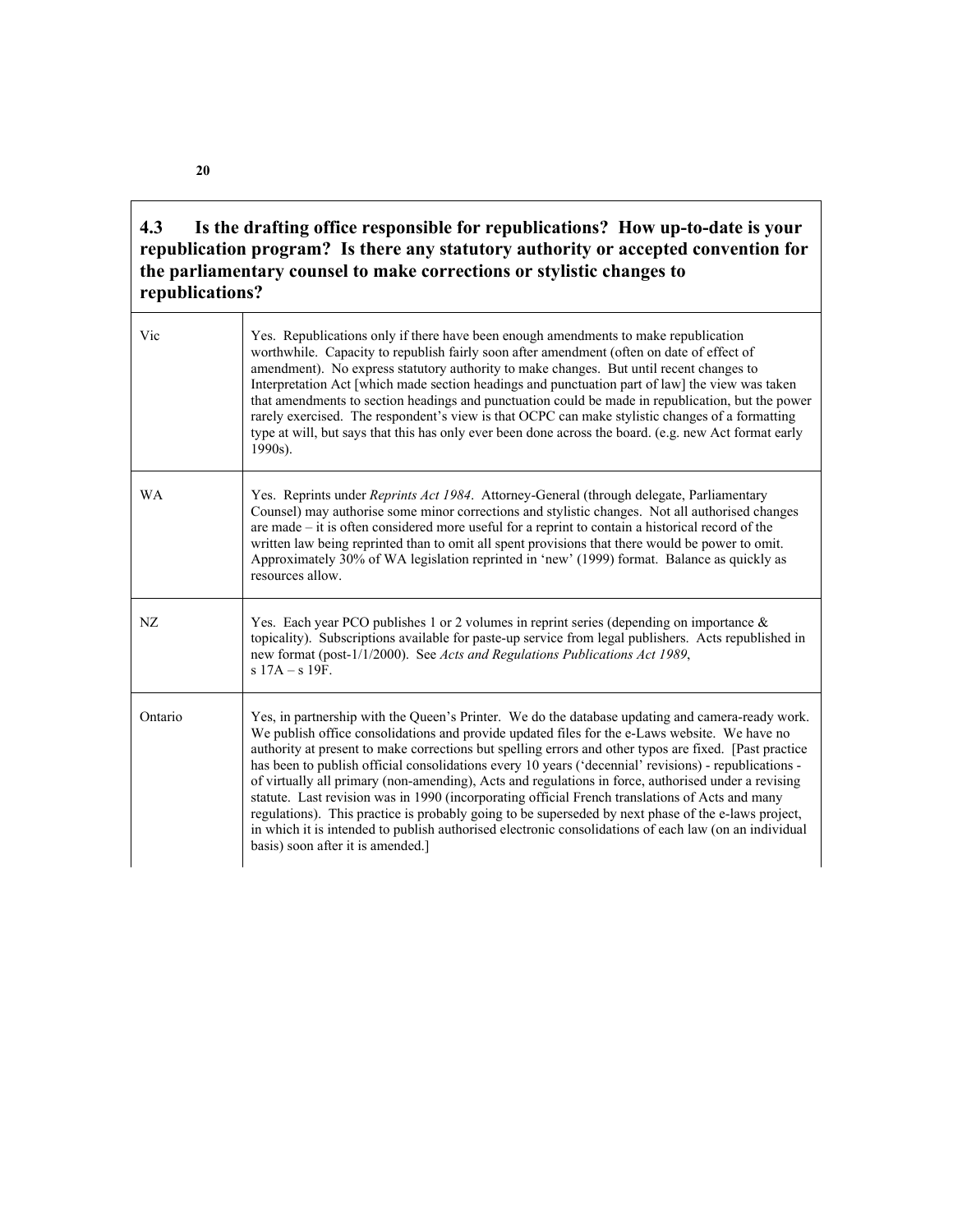#### **4.3 Is the drafting office responsible for republications? How up-to-date is your republication program? Is there any statutory authority or accepted convention for the parliamentary counsel to make corrections or stylistic changes to republications?**

| Vic       | Yes. Republications only if there have been enough amendments to make republication<br>worthwhile. Capacity to republish fairly soon after amendment (often on date of effect of<br>amendment). No express statutory authority to make changes. But until recent changes to<br>Interpretation Act [which made section headings and punctuation part of law] the view was taken<br>that amendments to section headings and punctuation could be made in republication, but the power<br>rarely exercised. The respondent's view is that OCPC can make stylistic changes of a formatting<br>type at will, but says that this has only ever been done across the board. (e.g. new Act format early<br>1990s).                                                                                                                                                                         |
|-----------|------------------------------------------------------------------------------------------------------------------------------------------------------------------------------------------------------------------------------------------------------------------------------------------------------------------------------------------------------------------------------------------------------------------------------------------------------------------------------------------------------------------------------------------------------------------------------------------------------------------------------------------------------------------------------------------------------------------------------------------------------------------------------------------------------------------------------------------------------------------------------------|
| <b>WA</b> | Yes. Reprints under <i>Reprints Act 1984</i> . Attorney-General (through delegate, Parliamentary<br>Counsel) may authorise some minor corrections and stylistic changes. Not all authorised changes<br>are made – it is often considered more useful for a reprint to contain a historical record of the<br>written law being reprinted than to omit all spent provisions that there would be power to omit.<br>Approximately 30% of WA legislation reprinted in 'new' (1999) format. Balance as quickly as<br>resources allow.                                                                                                                                                                                                                                                                                                                                                    |
| NZ        | Yes. Each year PCO publishes 1 or 2 volumes in reprint series (depending on importance $\&$<br>topicality). Subscriptions available for paste-up service from legal publishers. Acts republished in<br>new format (post-1/1/2000). See Acts and Regulations Publications Act 1989,<br>$s$ 17A – $s$ 19F.                                                                                                                                                                                                                                                                                                                                                                                                                                                                                                                                                                           |
| Ontario   | Yes, in partnership with the Queen's Printer. We do the database updating and camera-ready work.<br>We publish office consolidations and provide updated files for the e-Laws website. We have no<br>authority at present to make corrections but spelling errors and other typos are fixed. [Past practice<br>has been to publish official consolidations every 10 years ('decennial' revisions) - republications -<br>of virtually all primary (non-amending), Acts and regulations in force, authorised under a revising<br>statute. Last revision was in 1990 (incorporating official French translations of Acts and many<br>regulations). This practice is probably going to be superseded by next phase of the e-laws project,<br>in which it is intended to publish authorised electronic consolidations of each law (on an individual<br>basis) soon after it is amended. |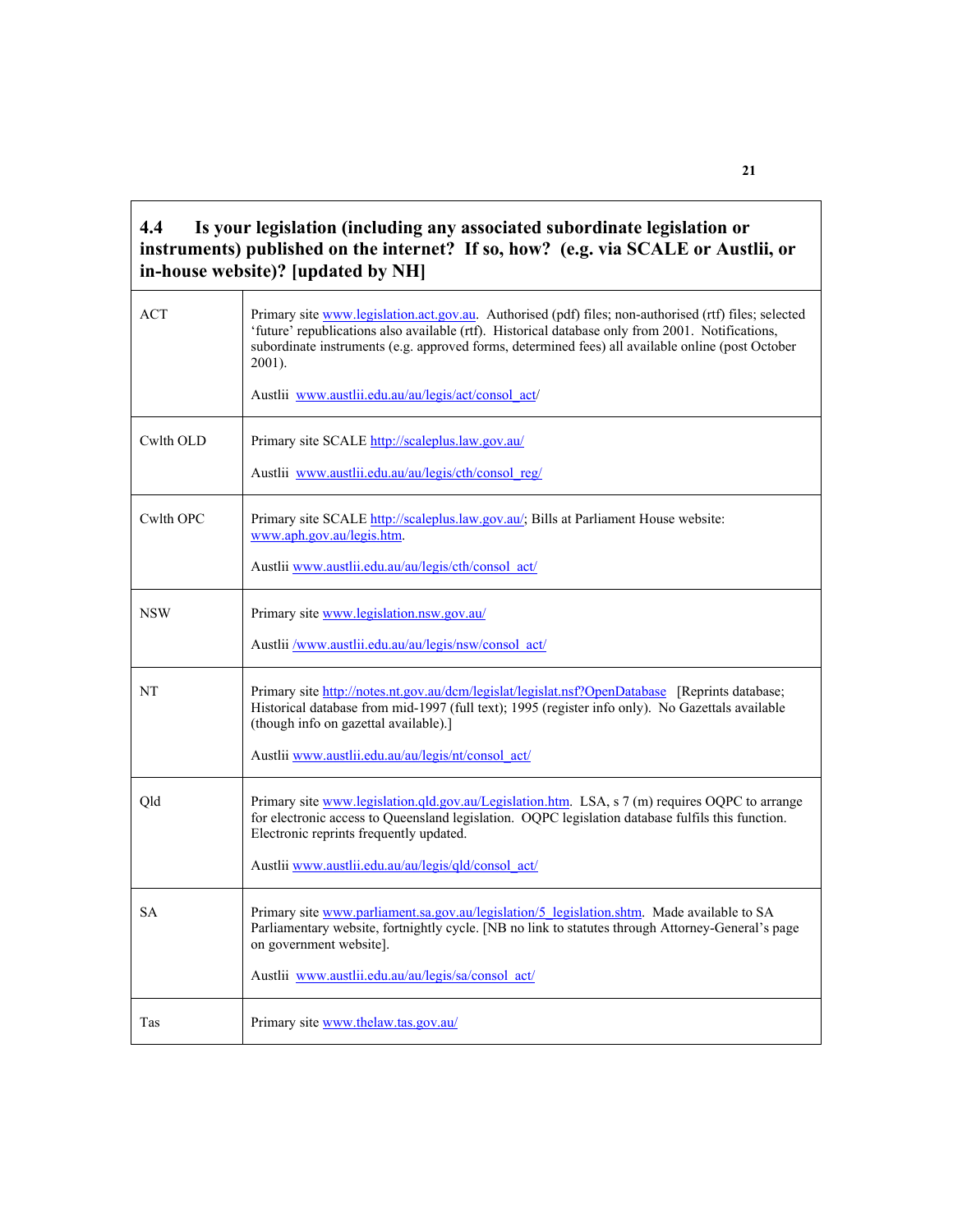#### **4.4 Is your legislation (including any associated subordinate legislation or instruments) published on the internet? If so, how? (e.g. via SCALE or Austlii, or in-house website)? [updated by NH]**

| <b>ACT</b> | Primary site www.legislation.act.gov.au. Authorised (pdf) files; non-authorised (rtf) files; selected<br>'future' republications also available (rtf). Historical database only from 2001. Notifications,<br>subordinate instruments (e.g. approved forms, determined fees) all available online (post October<br>2001).<br>Austlii www.austlii.edu.au/au/legis/act/consol act/ |
|------------|---------------------------------------------------------------------------------------------------------------------------------------------------------------------------------------------------------------------------------------------------------------------------------------------------------------------------------------------------------------------------------|
| Cwlth OLD  | Primary site SCALE http://scaleplus.law.gov.au/<br>Austlii www.austlii.edu.au/au/legis/cth/consol reg/                                                                                                                                                                                                                                                                          |
| Cwlth OPC  | Primary site SCALE http://scaleplus.law.gov.au/; Bills at Parliament House website:<br>www.aph.gov.au/legis.htm.<br>Austlii www.austlii.edu.au/au/legis/cth/consol_act/                                                                                                                                                                                                         |
| <b>NSW</b> | Primary site www.legislation.nsw.gov.au/<br>Austlii /www.austlii.edu.au/au/legis/nsw/consol_act/                                                                                                                                                                                                                                                                                |
| NT         | Primary site http://notes.nt.gov.au/dcm/legislat/legislat.nsf?OpenDatabase [Reprints database;<br>Historical database from mid-1997 (full text); 1995 (register info only). No Gazettals available<br>(though info on gazettal available).]<br>Austlii www.austlii.edu.au/au/legis/nt/consol_act/                                                                               |
| Qld        | Primary site www.legislation.gld.gov.au/Legislation.htm. LSA, s 7 (m) requires OQPC to arrange<br>for electronic access to Queensland legislation. OQPC legislation database fulfils this function.<br>Electronic reprints frequently updated.<br>Austlii www.austlii.edu.au/au/legis/qld/consol act/                                                                           |
| <b>SA</b>  | Primary site www.parliament.sa.gov.au/legislation/5_legislation.shtm. Made available to SA<br>Parliamentary website, fortnightly cycle. [NB no link to statutes through Attorney-General's page<br>on government website].<br>Austlii www.austlii.edu.au/au/legis/sa/consol act/                                                                                                |
| Tas        | Primary site www.thelaw.tas.gov.au/                                                                                                                                                                                                                                                                                                                                             |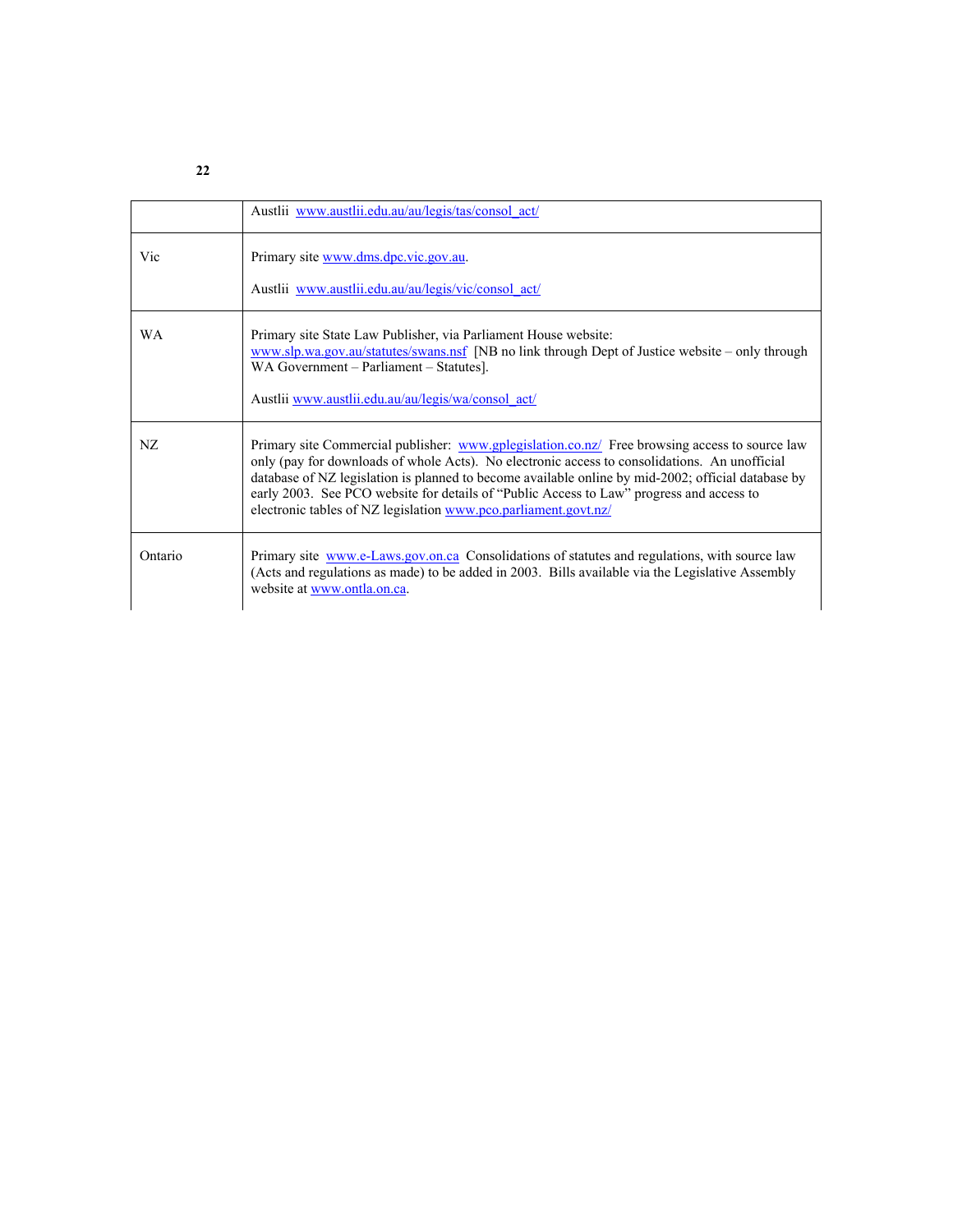| ï<br>٠ | ï<br>٠ |
|--------|--------|
| ٦      | ٦      |

|           | Austlii www.austlii.edu.au/au/legis/tas/consol act/                                                                                                                                                                                                                                                                                                                                                                                                                  |
|-----------|----------------------------------------------------------------------------------------------------------------------------------------------------------------------------------------------------------------------------------------------------------------------------------------------------------------------------------------------------------------------------------------------------------------------------------------------------------------------|
| Vic       | Primary site www.dms.dpc.vic.gov.au.<br>Austlii www.austlii.edu.au/au/legis/vic/consol act/                                                                                                                                                                                                                                                                                                                                                                          |
| <b>WA</b> | Primary site State Law Publisher, via Parliament House website:<br>www.slp.wa.gov.au/statutes/swans.nsf [NB no link through Dept of Justice website – only through<br>WA Government – Parliament – Statutes].<br>Austlii www.austlii.edu.au/au/legis/wa/consol_act/                                                                                                                                                                                                  |
| NZ.       | Primary site Commercial publisher: www.gplegislation.co.nz/ Free browsing access to source law<br>only (pay for downloads of whole Acts). No electronic access to consolidations. An unofficial<br>database of NZ legislation is planned to become available online by mid-2002; official database by<br>early 2003. See PCO website for details of "Public Access to Law" progress and access to<br>electronic tables of NZ legislation www.pco.parliament.govt.nz/ |
| Ontario   | Primary site www.e-Laws.gov.on.ca Consolidations of statutes and regulations, with source law<br>(Acts and regulations as made) to be added in 2003. Bills available via the Legislative Assembly<br>website at www.ontla.on.ca.                                                                                                                                                                                                                                     |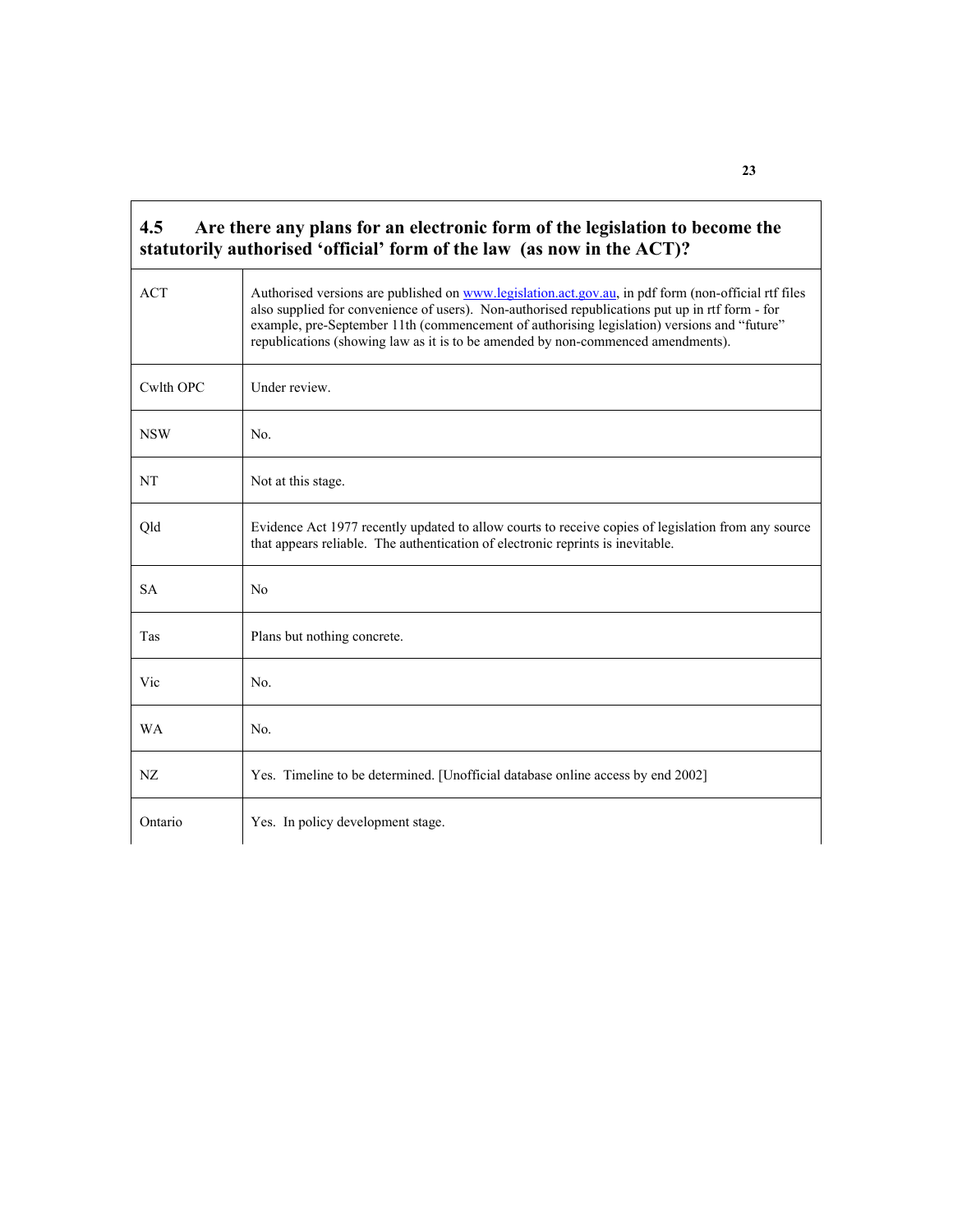| <b>ACT</b> | Authorised versions are published on www.legislation.act.gov.au, in pdf form (non-official rtf files<br>also supplied for convenience of users). Non-authorised republications put up in rtf form - for<br>example, pre-September 11th (commencement of authorising legislation) versions and "future"<br>republications (showing law as it is to be amended by non-commenced amendments). |
|------------|--------------------------------------------------------------------------------------------------------------------------------------------------------------------------------------------------------------------------------------------------------------------------------------------------------------------------------------------------------------------------------------------|
| Cwlth OPC  | Under review.                                                                                                                                                                                                                                                                                                                                                                              |
| <b>NSW</b> | No.                                                                                                                                                                                                                                                                                                                                                                                        |
| <b>NT</b>  | Not at this stage.                                                                                                                                                                                                                                                                                                                                                                         |
| Qld        | Evidence Act 1977 recently updated to allow courts to receive copies of legislation from any source<br>that appears reliable. The authentication of electronic reprints is inevitable.                                                                                                                                                                                                     |
| <b>SA</b>  | N <sub>0</sub>                                                                                                                                                                                                                                                                                                                                                                             |
| Tas        | Plans but nothing concrete.                                                                                                                                                                                                                                                                                                                                                                |
| Vic        | No.                                                                                                                                                                                                                                                                                                                                                                                        |
| <b>WA</b>  | No.                                                                                                                                                                                                                                                                                                                                                                                        |
| NZ         | Yes. Timeline to be determined. [Unofficial database online access by end 2002]                                                                                                                                                                                                                                                                                                            |

r

**23**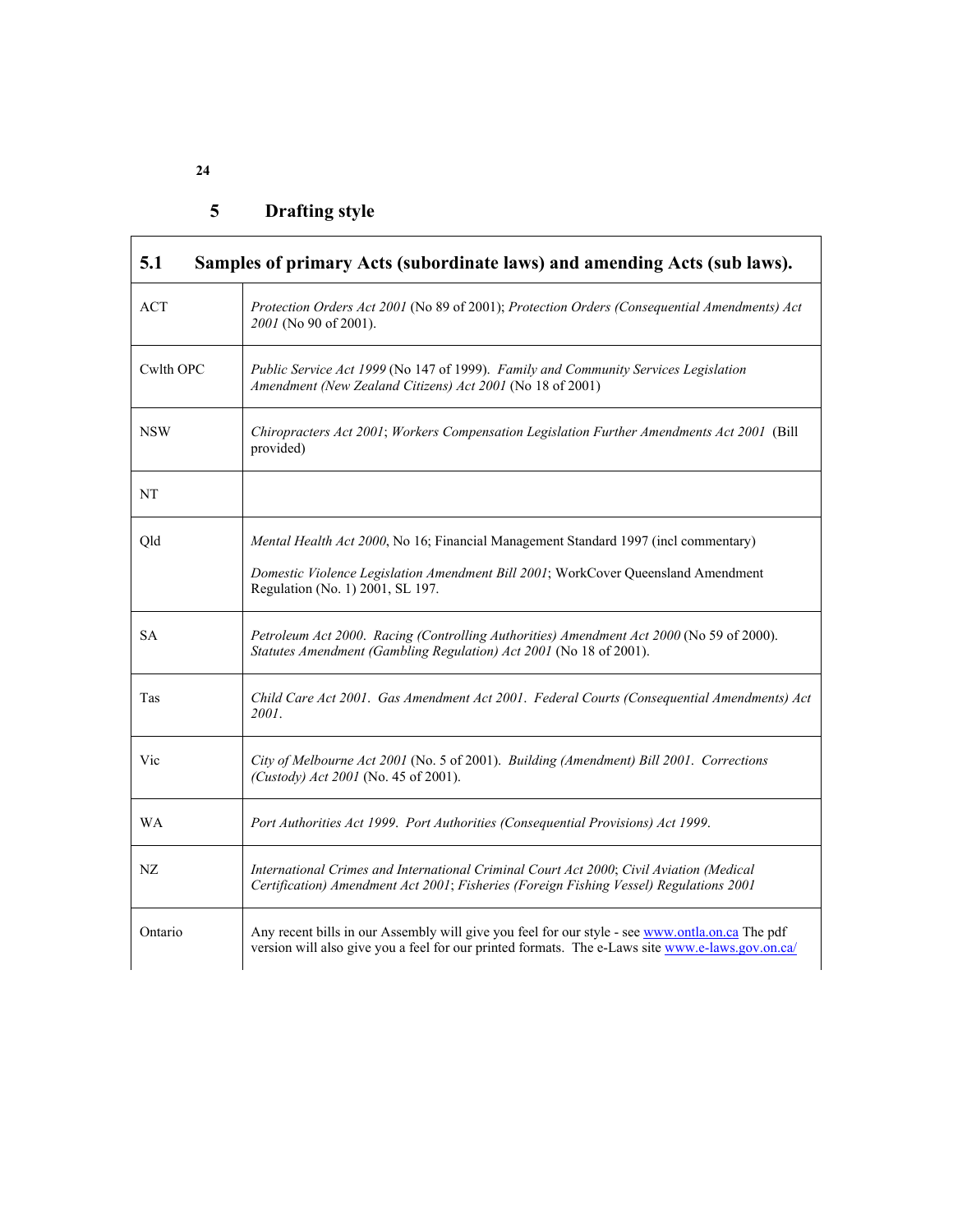# **5 Drafting style**

| ACT                                                                                                                                                                                                                 | Protection Orders Act 2001 (No 89 of 2001); Protection Orders (Consequential Amendments) Act<br>2001 (No 90 of 2001).                                                                               |  |  |  |  |
|---------------------------------------------------------------------------------------------------------------------------------------------------------------------------------------------------------------------|-----------------------------------------------------------------------------------------------------------------------------------------------------------------------------------------------------|--|--|--|--|
| Cwlth OPC                                                                                                                                                                                                           | Public Service Act 1999 (No 147 of 1999). Family and Community Services Legislation<br>Amendment (New Zealand Citizens) Act 2001 (No 18 of 2001)                                                    |  |  |  |  |
| <b>NSW</b>                                                                                                                                                                                                          | Chiropracters Act 2001; Workers Compensation Legislation Further Amendments Act 2001 (Bill<br>provided)                                                                                             |  |  |  |  |
| NT                                                                                                                                                                                                                  |                                                                                                                                                                                                     |  |  |  |  |
| Mental Health Act 2000, No 16; Financial Management Standard 1997 (incl commentary)<br>Old<br>Domestic Violence Legislation Amendment Bill 2001; WorkCover Queensland Amendment<br>Regulation (No. 1) 2001, SL 197. |                                                                                                                                                                                                     |  |  |  |  |
| <b>SA</b>                                                                                                                                                                                                           | Petroleum Act 2000. Racing (Controlling Authorities) Amendment Act 2000 (No 59 of 2000).<br>Statutes Amendment (Gambling Regulation) Act 2001 (No 18 of 2001).                                      |  |  |  |  |
| Tas                                                                                                                                                                                                                 | Child Care Act 2001. Gas Amendment Act 2001. Federal Courts (Consequential Amendments) Act<br>2001.                                                                                                 |  |  |  |  |
| Vic                                                                                                                                                                                                                 | City of Melbourne Act 2001 (No. 5 of 2001). Building (Amendment) Bill 2001. Corrections<br>(Custody) Act 2001 (No. 45 of 2001).                                                                     |  |  |  |  |
| <b>WA</b>                                                                                                                                                                                                           | Port Authorities Act 1999. Port Authorities (Consequential Provisions) Act 1999.                                                                                                                    |  |  |  |  |
| NZ                                                                                                                                                                                                                  | International Crimes and International Criminal Court Act 2000; Civil Aviation (Medical<br>Certification) Amendment Act 2001; Fisheries (Foreign Fishing Vessel) Regulations 2001                   |  |  |  |  |
| Ontario                                                                                                                                                                                                             | Any recent bills in our Assembly will give you feel for our style - see www.ontla.on.ca The pdf<br>version will also give you a feel for our printed formats. The e-Laws site www.e-laws.gov.on.ca/ |  |  |  |  |

**24** 

ŗ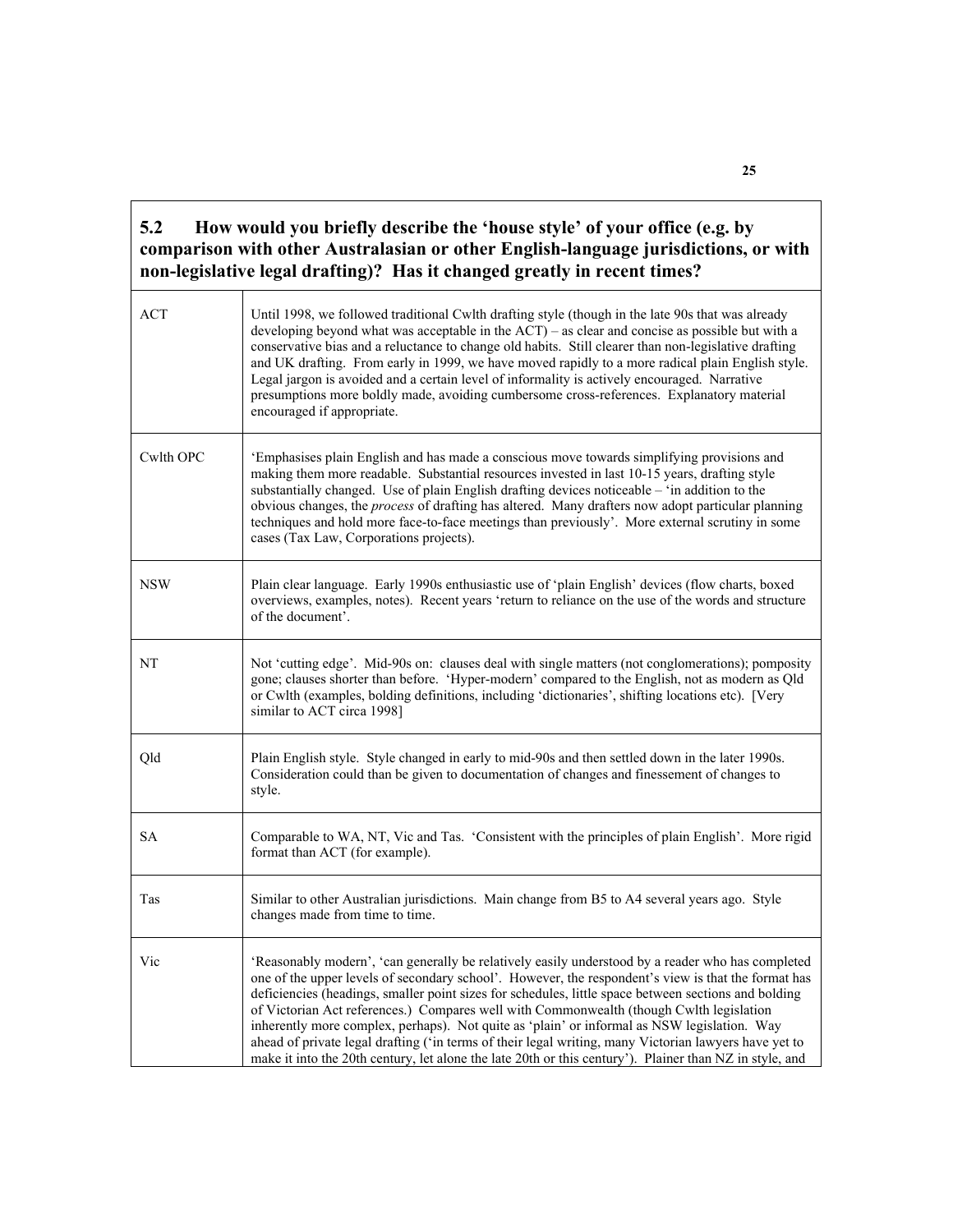#### **5.2 How would you briefly describe the 'house style' of your office (e.g. by comparison with other Australasian or other English-language jurisdictions, or with non-legislative legal drafting)? Has it changed greatly in recent times?**

| <b>ACT</b> | Until 1998, we followed traditional Cwlth drafting style (though in the late 90s that was already<br>developing beyond what was acceptable in the ACT) - as clear and concise as possible but with a<br>conservative bias and a reluctance to change old habits. Still clearer than non-legislative drafting<br>and UK drafting. From early in 1999, we have moved rapidly to a more radical plain English style.<br>Legal jargon is avoided and a certain level of informality is actively encouraged. Narrative<br>presumptions more boldly made, avoiding cumbersome cross-references. Explanatory material<br>encouraged if appropriate.                                                                                   |
|------------|--------------------------------------------------------------------------------------------------------------------------------------------------------------------------------------------------------------------------------------------------------------------------------------------------------------------------------------------------------------------------------------------------------------------------------------------------------------------------------------------------------------------------------------------------------------------------------------------------------------------------------------------------------------------------------------------------------------------------------|
| Cwlth OPC  | 'Emphasises plain English and has made a conscious move towards simplifying provisions and<br>making them more readable. Substantial resources invested in last 10-15 years, drafting style<br>substantially changed. Use of plain English drafting devices noticeable - 'in addition to the<br>obvious changes, the process of drafting has altered. Many drafters now adopt particular planning<br>techniques and hold more face-to-face meetings than previously'. More external scrutiny in some<br>cases (Tax Law, Corporations projects).                                                                                                                                                                                |
| <b>NSW</b> | Plain clear language. Early 1990s enthusiastic use of 'plain English' devices (flow charts, boxed<br>overviews, examples, notes). Recent years 'return to reliance on the use of the words and structure<br>of the document'.                                                                                                                                                                                                                                                                                                                                                                                                                                                                                                  |
| NT         | Not 'cutting edge'. Mid-90s on: clauses deal with single matters (not conglomerations); pomposity<br>gone; clauses shorter than before. 'Hyper-modern' compared to the English, not as modern as Qld<br>or Cwlth (examples, bolding definitions, including 'dictionaries', shifting locations etc). [Very<br>similar to ACT circa 1998]                                                                                                                                                                                                                                                                                                                                                                                        |
| Qld        | Plain English style. Style changed in early to mid-90s and then settled down in the later 1990s.<br>Consideration could than be given to documentation of changes and finessement of changes to<br>style.                                                                                                                                                                                                                                                                                                                                                                                                                                                                                                                      |
| SА         | Comparable to WA, NT, Vic and Tas. 'Consistent with the principles of plain English'. More rigid<br>format than ACT (for example).                                                                                                                                                                                                                                                                                                                                                                                                                                                                                                                                                                                             |
| Tas        | Similar to other Australian jurisdictions. Main change from B5 to A4 several years ago. Style<br>changes made from time to time.                                                                                                                                                                                                                                                                                                                                                                                                                                                                                                                                                                                               |
| Vic        | 'Reasonably modern', 'can generally be relatively easily understood by a reader who has completed<br>one of the upper levels of secondary school'. However, the respondent's view is that the format has<br>deficiencies (headings, smaller point sizes for schedules, little space between sections and bolding<br>of Victorian Act references.) Compares well with Commonwealth (though Cwlth legislation<br>inherently more complex, perhaps). Not quite as 'plain' or informal as NSW legislation. Way<br>ahead of private legal drafting ('in terms of their legal writing, many Victorian lawyers have yet to<br>make it into the 20th century, let alone the late 20th or this century'). Plainer than NZ in style, and |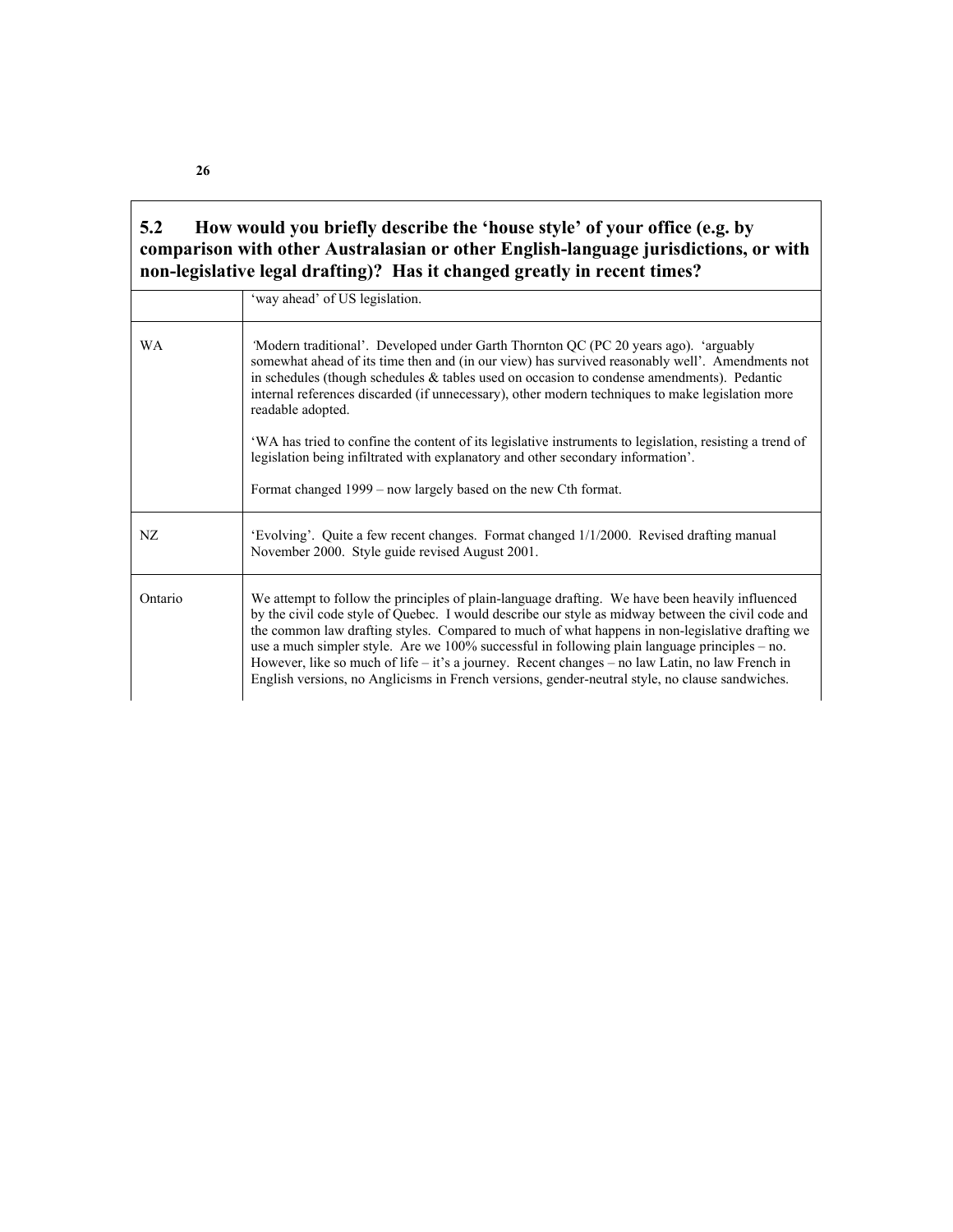#### **5.2 How would you briefly describe the 'house style' of your office (e.g. by comparison with other Australasian or other English-language jurisdictions, or with non-legislative legal drafting)? Has it changed greatly in recent times?**

|           | 'way ahead' of US legislation.                                                                                                                                                                                                                                                                                                                                                                                                                                                                                                                                                                                     |  |  |
|-----------|--------------------------------------------------------------------------------------------------------------------------------------------------------------------------------------------------------------------------------------------------------------------------------------------------------------------------------------------------------------------------------------------------------------------------------------------------------------------------------------------------------------------------------------------------------------------------------------------------------------------|--|--|
| <b>WA</b> | Modern traditional'. Developed under Garth Thornton QC (PC 20 years ago). 'arguably<br>somewhat ahead of its time then and (in our view) has survived reasonably well'. Amendments not<br>in schedules (though schedules $\&$ tables used on occasion to condense amendments). Pedantic<br>internal references discarded (if unnecessary), other modern techniques to make legislation more<br>readable adopted.                                                                                                                                                                                                   |  |  |
|           | WA has tried to confine the content of its legislative instruments to legislation, resisting a trend of<br>legislation being infiltrated with explanatory and other secondary information'.                                                                                                                                                                                                                                                                                                                                                                                                                        |  |  |
|           | Format changed 1999 – now largely based on the new Cth format.                                                                                                                                                                                                                                                                                                                                                                                                                                                                                                                                                     |  |  |
| NZ.       | 'Evolving'. Quite a few recent changes. Format changed 1/1/2000. Revised drafting manual<br>November 2000. Style guide revised August 2001.                                                                                                                                                                                                                                                                                                                                                                                                                                                                        |  |  |
| Ontario   | We attempt to follow the principles of plain-language drafting. We have been heavily influenced<br>by the civil code style of Quebec. I would describe our style as midway between the civil code and<br>the common law drafting styles. Compared to much of what happens in non-legislative drafting we<br>use a much simpler style. Are we $100\%$ successful in following plain language principles – no.<br>However, like so much of life – it's a journey. Recent changes – no law Latin, no law French in<br>English versions, no Anglicisms in French versions, gender-neutral style, no clause sandwiches. |  |  |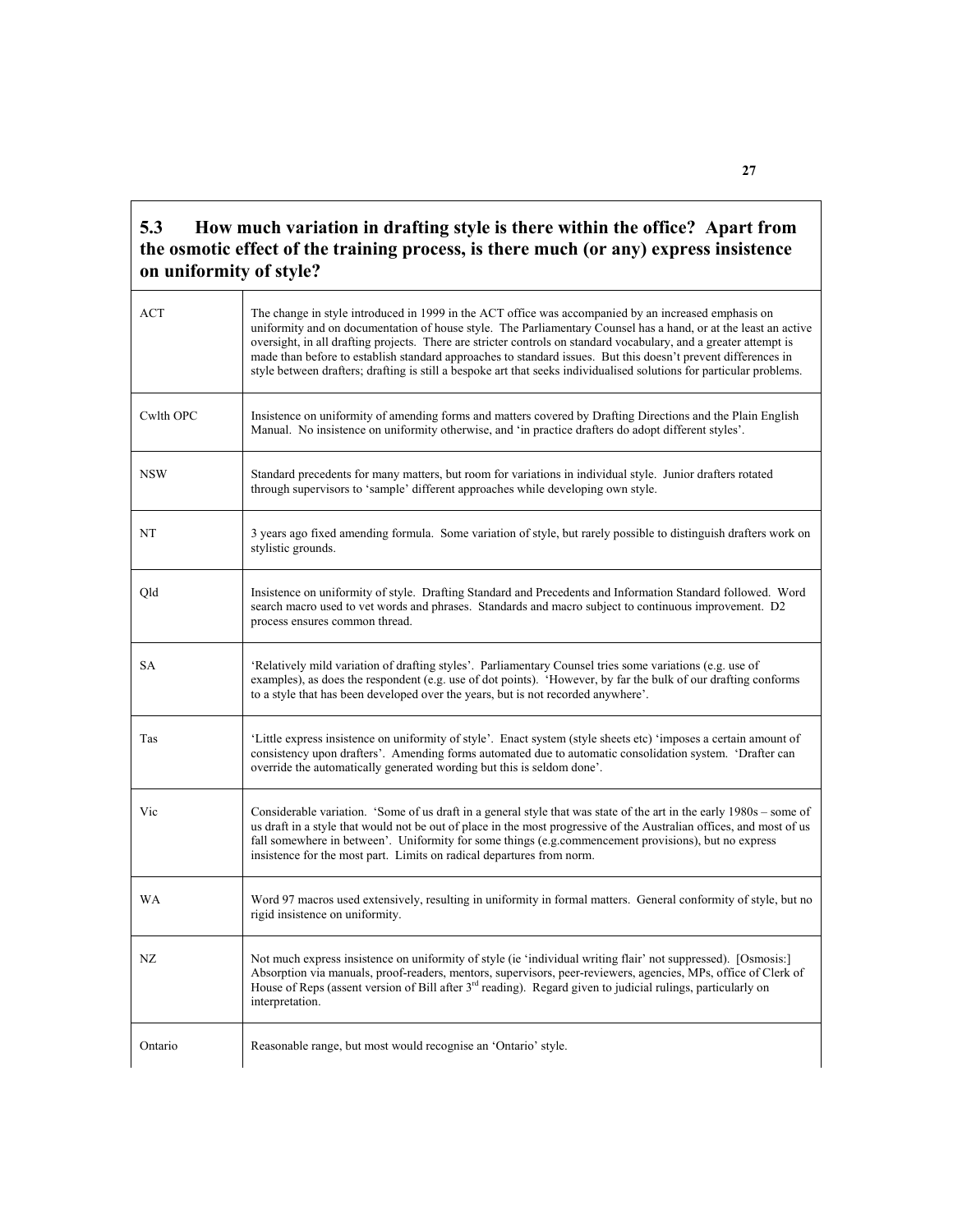#### **5.3 How much variation in drafting style is there within the office? Apart from the osmotic effect of the training process, is there much (or any) express insistence on uniformity of style?**

| <b>ACT</b> | The change in style introduced in 1999 in the ACT office was accompanied by an increased emphasis on<br>uniformity and on documentation of house style. The Parliamentary Counsel has a hand, or at the least an active<br>oversight, in all drafting projects. There are stricter controls on standard vocabulary, and a greater attempt is<br>made than before to establish standard approaches to standard issues. But this doesn't prevent differences in<br>style between drafters; drafting is still a bespoke art that seeks individualised solutions for particular problems. |  |  |  |
|------------|---------------------------------------------------------------------------------------------------------------------------------------------------------------------------------------------------------------------------------------------------------------------------------------------------------------------------------------------------------------------------------------------------------------------------------------------------------------------------------------------------------------------------------------------------------------------------------------|--|--|--|
| Cwlth OPC  | Insistence on uniformity of amending forms and matters covered by Drafting Directions and the Plain English<br>Manual. No insistence on uniformity otherwise, and 'in practice drafters do adopt different styles'.                                                                                                                                                                                                                                                                                                                                                                   |  |  |  |
| <b>NSW</b> | Standard precedents for many matters, but room for variations in individual style. Junior drafters rotated<br>through supervisors to 'sample' different approaches while developing own style.                                                                                                                                                                                                                                                                                                                                                                                        |  |  |  |
| NT         | 3 years ago fixed amending formula. Some variation of style, but rarely possible to distinguish drafters work on<br>stylistic grounds.                                                                                                                                                                                                                                                                                                                                                                                                                                                |  |  |  |
| Qld        | Insistence on uniformity of style. Drafting Standard and Precedents and Information Standard followed. Word<br>search macro used to vet words and phrases. Standards and macro subject to continuous improvement. D2<br>process ensures common thread.                                                                                                                                                                                                                                                                                                                                |  |  |  |
| SA         | 'Relatively mild variation of drafting styles'. Parliamentary Counsel tries some variations (e.g. use of<br>examples), as does the respondent (e.g. use of dot points). 'However, by far the bulk of our drafting conforms<br>to a style that has been developed over the years, but is not recorded anywhere'.                                                                                                                                                                                                                                                                       |  |  |  |
| Tas        | 'Little express insistence on uniformity of style'. Enact system (style sheets etc) 'imposes a certain amount of<br>consistency upon drafters'. Amending forms automated due to automatic consolidation system. 'Drafter can<br>override the automatically generated wording but this is seldom done'.                                                                                                                                                                                                                                                                                |  |  |  |
| Vic        | Considerable variation. 'Some of us draft in a general style that was state of the art in the early 1980s – some of<br>us draft in a style that would not be out of place in the most progressive of the Australian offices, and most of us<br>fall somewhere in between'. Uniformity for some things (e.g.commencement provisions), but no express<br>insistence for the most part. Limits on radical departures from norm.                                                                                                                                                          |  |  |  |
| <b>WA</b>  | Word 97 macros used extensively, resulting in uniformity in formal matters. General conformity of style, but no<br>rigid insistence on uniformity.                                                                                                                                                                                                                                                                                                                                                                                                                                    |  |  |  |
| NZ         | Not much express insistence on uniformity of style (ie 'individual writing flair' not suppressed). [Osmosis:]<br>Absorption via manuals, proof-readers, mentors, supervisors, peer-reviewers, agencies, MPs, office of Clerk of<br>House of Reps (assent version of Bill after $3rd$ reading). Regard given to judicial rulings, particularly on<br>interpretation.                                                                                                                                                                                                                   |  |  |  |
| Ontario    | Reasonable range, but most would recognise an 'Ontario' style.                                                                                                                                                                                                                                                                                                                                                                                                                                                                                                                        |  |  |  |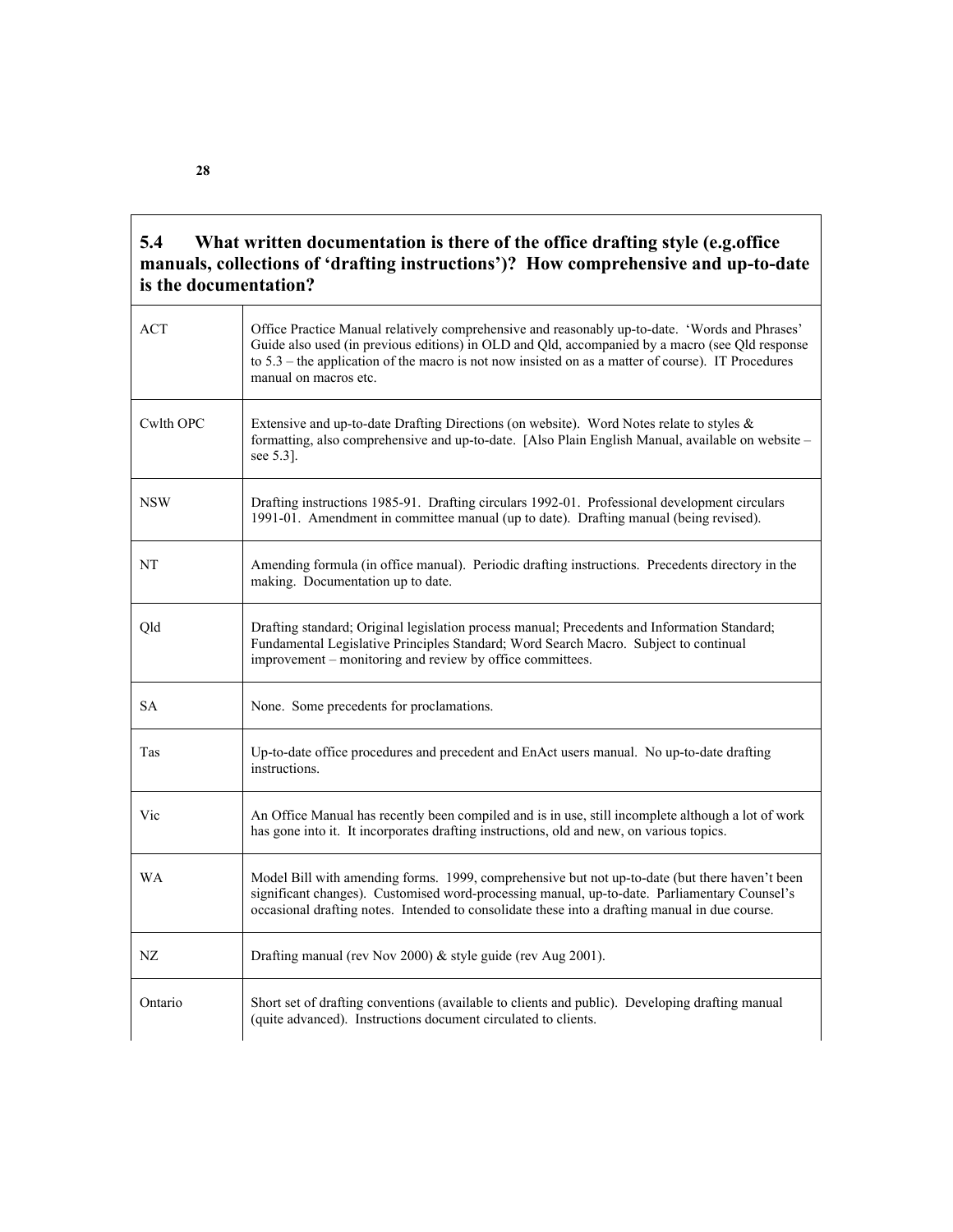#### **5.4 What written documentation is there of the office drafting style (e.g.office manuals, collections of 'drafting instructions')? How comprehensive and up-to-date is the documentation?**

| ACT        | Office Practice Manual relatively comprehensive and reasonably up-to-date. 'Words and Phrases'<br>Guide also used (in previous editions) in OLD and Qld, accompanied by a macro (see Qld response<br>to $5.3$ – the application of the macro is not now insisted on as a matter of course). IT Procedures<br>manual on macros etc. |
|------------|------------------------------------------------------------------------------------------------------------------------------------------------------------------------------------------------------------------------------------------------------------------------------------------------------------------------------------|
| Cwlth OPC  | Extensive and up-to-date Drafting Directions (on website). Word Notes relate to styles &<br>formatting, also comprehensive and up-to-date. [Also Plain English Manual, available on website -<br>see $5.3$ ].                                                                                                                      |
| <b>NSW</b> | Drafting instructions 1985-91. Drafting circulars 1992-01. Professional development circulars<br>1991-01. Amendment in committee manual (up to date). Drafting manual (being revised).                                                                                                                                             |
| NT         | Amending formula (in office manual). Periodic drafting instructions. Precedents directory in the<br>making. Documentation up to date.                                                                                                                                                                                              |
| Qld        | Drafting standard; Original legislation process manual; Precedents and Information Standard;<br>Fundamental Legislative Principles Standard; Word Search Macro. Subject to continual<br>improvement – monitoring and review by office committees.                                                                                  |
| <b>SA</b>  | None. Some precedents for proclamations.                                                                                                                                                                                                                                                                                           |
| Tas        | Up-to-date office procedures and precedent and EnAct users manual. No up-to-date drafting<br>instructions.                                                                                                                                                                                                                         |
| Vic        | An Office Manual has recently been compiled and is in use, still incomplete although a lot of work<br>has gone into it. It incorporates drafting instructions, old and new, on various topics.                                                                                                                                     |
| <b>WA</b>  | Model Bill with amending forms. 1999, comprehensive but not up-to-date (but there haven't been<br>significant changes). Customised word-processing manual, up-to-date. Parliamentary Counsel's<br>occasional drafting notes. Intended to consolidate these into a drafting manual in due course.                                   |
| NZ         | Drafting manual (rev Nov 2000) & style guide (rev Aug 2001).                                                                                                                                                                                                                                                                       |
| Ontario    | Short set of drafting conventions (available to clients and public). Developing drafting manual<br>(quite advanced). Instructions document circulated to clients.                                                                                                                                                                  |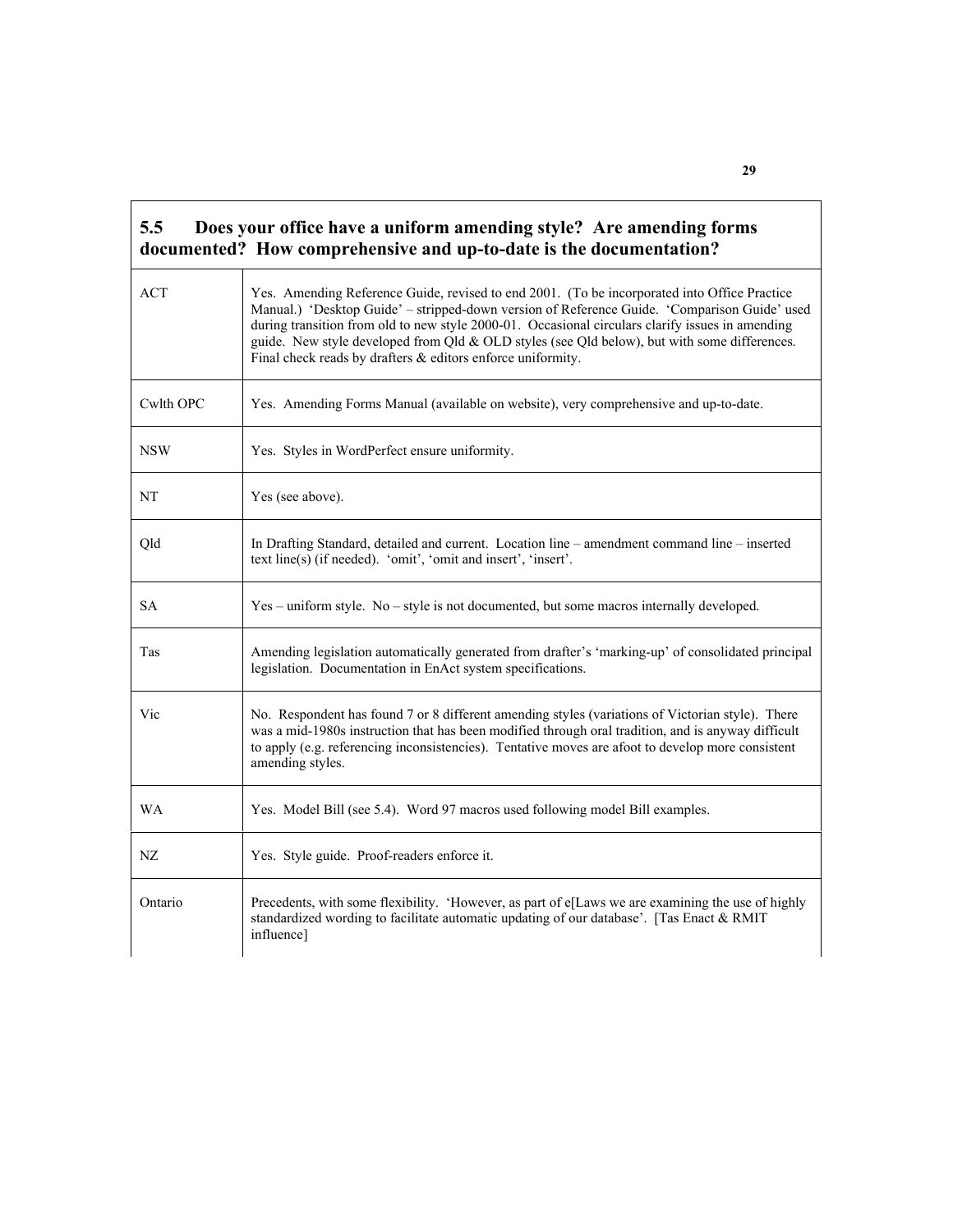| 5.5        | Does your office have a uniform amending style? Are amending forms<br>documented? How comprehensive and up-to-date is the documentation?                                                                                                                                                                                                                                                                                                                        |  |  |  |
|------------|-----------------------------------------------------------------------------------------------------------------------------------------------------------------------------------------------------------------------------------------------------------------------------------------------------------------------------------------------------------------------------------------------------------------------------------------------------------------|--|--|--|
| <b>ACT</b> | Yes. Amending Reference Guide, revised to end 2001. (To be incorporated into Office Practice<br>Manual.) 'Desktop Guide' - stripped-down version of Reference Guide. 'Comparison Guide' used<br>during transition from old to new style 2000-01. Occasional circulars clarify issues in amending<br>guide. New style developed from Qld & OLD styles (see Qld below), but with some differences.<br>Final check reads by drafters & editors enforce uniformity. |  |  |  |
| Cwlth OPC  | Yes. Amending Forms Manual (available on website), very comprehensive and up-to-date.                                                                                                                                                                                                                                                                                                                                                                           |  |  |  |
| <b>NSW</b> | Yes. Styles in WordPerfect ensure uniformity.                                                                                                                                                                                                                                                                                                                                                                                                                   |  |  |  |
| NT         | Yes (see above).                                                                                                                                                                                                                                                                                                                                                                                                                                                |  |  |  |
| Qld        | In Drafting Standard, detailed and current. Location line – amendment command line – inserted<br>text line(s) (if needed). 'omit', 'omit and insert', 'insert'.                                                                                                                                                                                                                                                                                                 |  |  |  |
| <b>SA</b>  | $Yes$ – uniform style. No – style is not documented, but some macros internally developed.                                                                                                                                                                                                                                                                                                                                                                      |  |  |  |
| Tas        | Amending legislation automatically generated from drafter's 'marking-up' of consolidated principal<br>legislation. Documentation in EnAct system specifications.                                                                                                                                                                                                                                                                                                |  |  |  |
| Vic        | No. Respondent has found 7 or 8 different amending styles (variations of Victorian style). There<br>was a mid-1980s instruction that has been modified through oral tradition, and is anyway difficult<br>to apply (e.g. referencing inconsistencies). Tentative moves are afoot to develop more consistent<br>amending styles.                                                                                                                                 |  |  |  |
| <b>WA</b>  | Yes. Model Bill (see 5.4). Word 97 macros used following model Bill examples.                                                                                                                                                                                                                                                                                                                                                                                   |  |  |  |
| NZ         | Yes. Style guide. Proof-readers enforce it.                                                                                                                                                                                                                                                                                                                                                                                                                     |  |  |  |
| Ontario    | Precedents, with some flexibility. 'However, as part of e[Laws we are examining the use of highly<br>standardized wording to facilitate automatic updating of our database'. [Tas Enact & RMIT<br>influence]                                                                                                                                                                                                                                                    |  |  |  |

'n

**29**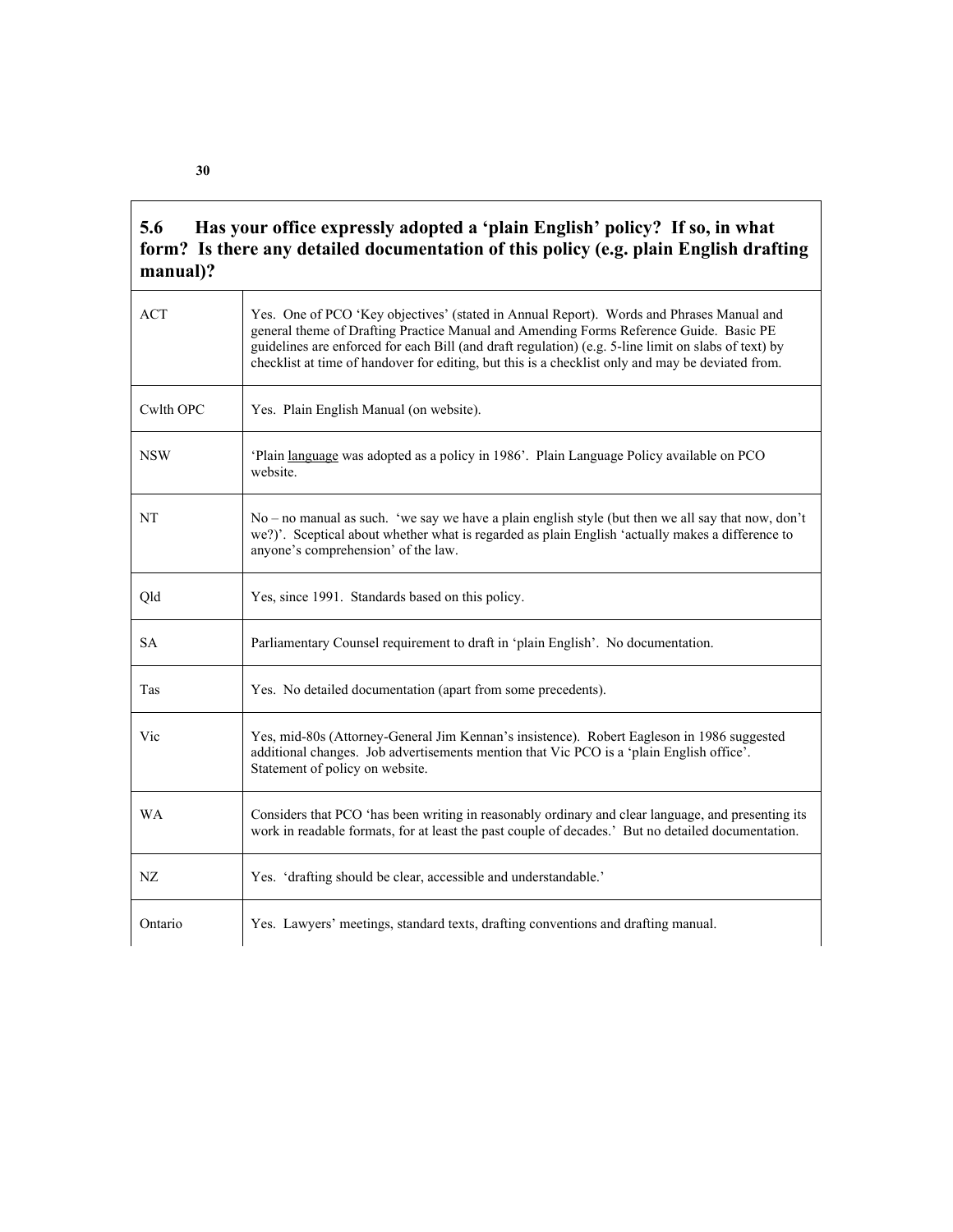### **5.6 Has your office expressly adopted a 'plain English' policy? If so, in what form? Is there any detailed documentation of this policy (e.g. plain English drafting manual)?**

| <b>ACT</b> | Yes. One of PCO 'Key objectives' (stated in Annual Report). Words and Phrases Manual and<br>general theme of Drafting Practice Manual and Amending Forms Reference Guide. Basic PE<br>guidelines are enforced for each Bill (and draft regulation) (e.g. 5-line limit on slabs of text) by<br>checklist at time of handover for editing, but this is a checklist only and may be deviated from. |  |  |  |  |
|------------|-------------------------------------------------------------------------------------------------------------------------------------------------------------------------------------------------------------------------------------------------------------------------------------------------------------------------------------------------------------------------------------------------|--|--|--|--|
| Cwlth OPC  | Yes. Plain English Manual (on website).                                                                                                                                                                                                                                                                                                                                                         |  |  |  |  |
| <b>NSW</b> | Plain language was adopted as a policy in 1986'. Plain Language Policy available on PCO<br>website.                                                                                                                                                                                                                                                                                             |  |  |  |  |
| <b>NT</b>  | No – no manual as such. 'we say we have a plain english style (but then we all say that now, don't<br>we?)'. Sceptical about whether what is regarded as plain English 'actually makes a difference to<br>anyone's comprehension' of the law.                                                                                                                                                   |  |  |  |  |
| Qld        | Yes, since 1991. Standards based on this policy.                                                                                                                                                                                                                                                                                                                                                |  |  |  |  |
| <b>SA</b>  | Parliamentary Counsel requirement to draft in 'plain English'. No documentation.                                                                                                                                                                                                                                                                                                                |  |  |  |  |
| Tas        | Yes. No detailed documentation (apart from some precedents).                                                                                                                                                                                                                                                                                                                                    |  |  |  |  |
| Vic        | Yes, mid-80s (Attorney-General Jim Kennan's insistence). Robert Eagleson in 1986 suggested<br>additional changes. Job advertisements mention that Vic PCO is a 'plain English office'.<br>Statement of policy on website.                                                                                                                                                                       |  |  |  |  |
| <b>WA</b>  | Considers that PCO 'has been writing in reasonably ordinary and clear language, and presenting its<br>work in readable formats, for at least the past couple of decades.' But no detailed documentation.                                                                                                                                                                                        |  |  |  |  |
| NZ         | Yes. 'drafting should be clear, accessible and understandable.'                                                                                                                                                                                                                                                                                                                                 |  |  |  |  |
| Ontario    | Yes. Lawyers' meetings, standard texts, drafting conventions and drafting manual.                                                                                                                                                                                                                                                                                                               |  |  |  |  |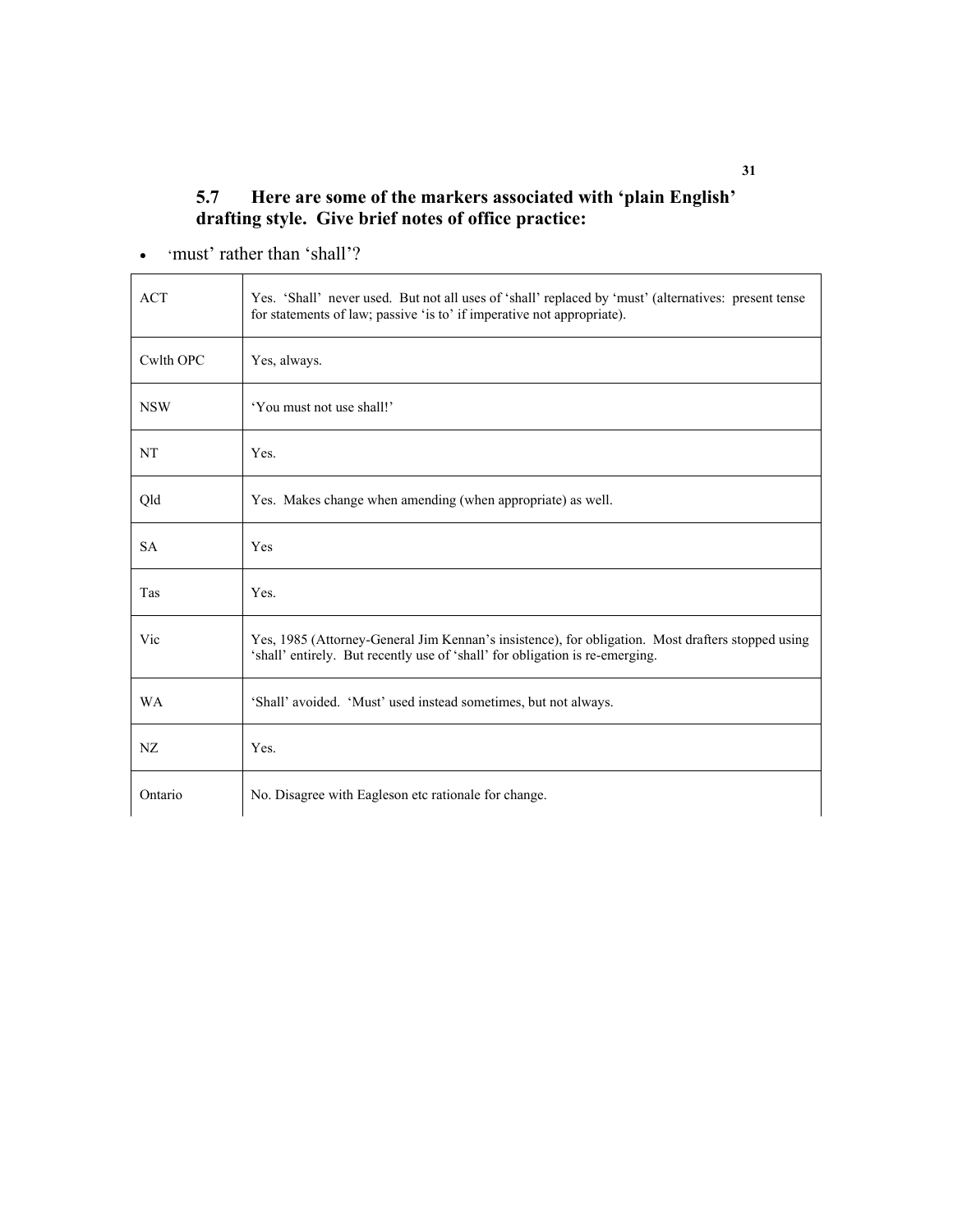### **5.7 Here are some of the markers associated with 'plain English' drafting style. Give brief notes of office practice:**

• 'must' rather than 'shall'?

| <b>ACT</b> | Yes. 'Shall' never used. But not all uses of 'shall' replaced by 'must' (alternatives: present tense<br>for statements of law; passive 'is to' if imperative not appropriate).    |  |  |
|------------|-----------------------------------------------------------------------------------------------------------------------------------------------------------------------------------|--|--|
| Cwlth OPC  | Yes, always.                                                                                                                                                                      |  |  |
| <b>NSW</b> | 'You must not use shall!'                                                                                                                                                         |  |  |
| <b>NT</b>  | Yes.                                                                                                                                                                              |  |  |
| Qld        | Yes. Makes change when amending (when appropriate) as well.                                                                                                                       |  |  |
| <b>SA</b>  | Yes                                                                                                                                                                               |  |  |
| Tas        | Yes.                                                                                                                                                                              |  |  |
| Vic        | Yes, 1985 (Attorney-General Jim Kennan's insistence), for obligation. Most drafters stopped using<br>'shall' entirely. But recently use of 'shall' for obligation is re-emerging. |  |  |
| <b>WA</b>  | 'Shall' avoided. 'Must' used instead sometimes, but not always.                                                                                                                   |  |  |
| NZ         | Yes.                                                                                                                                                                              |  |  |
| Ontario    | No. Disagree with Eagleson etc rationale for change.                                                                                                                              |  |  |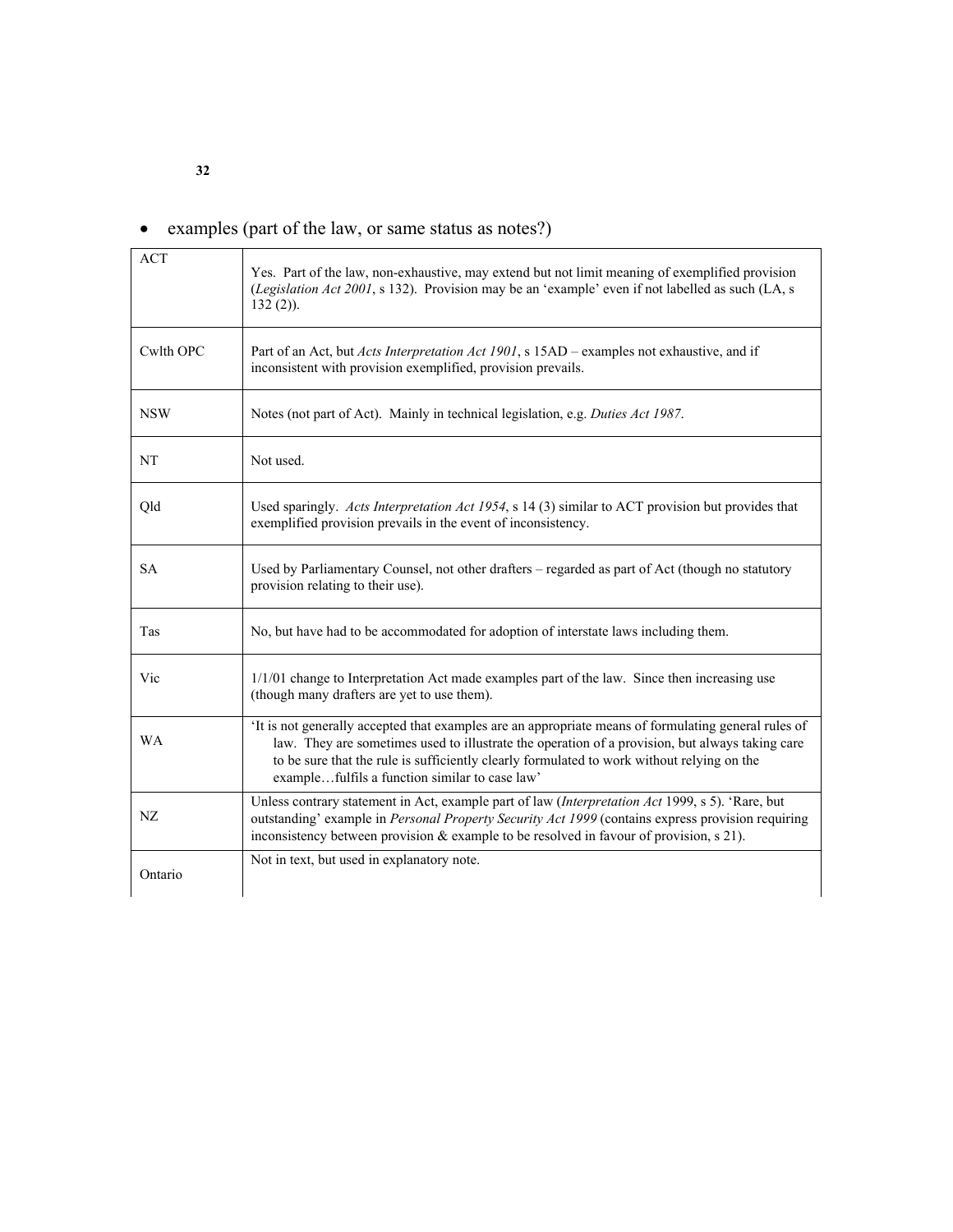## • examples (part of the law, or same status as notes?)

| <b>ACT</b> | Yes. Part of the law, non-exhaustive, may extend but not limit meaning of exemplified provision<br>(Legislation Act 2001, s 132). Provision may be an 'example' even if not labelled as such (LA, s<br>$132(2)$ ).                                                                                                                                     |  |  |  |  |
|------------|--------------------------------------------------------------------------------------------------------------------------------------------------------------------------------------------------------------------------------------------------------------------------------------------------------------------------------------------------------|--|--|--|--|
| Cwlth OPC  | Part of an Act, but Acts Interpretation Act 1901, s 15AD – examples not exhaustive, and if<br>inconsistent with provision exemplified, provision prevails.                                                                                                                                                                                             |  |  |  |  |
| <b>NSW</b> | Notes (not part of Act). Mainly in technical legislation, e.g. Duties Act 1987.                                                                                                                                                                                                                                                                        |  |  |  |  |
| NT         | Not used.                                                                                                                                                                                                                                                                                                                                              |  |  |  |  |
| Qld        | Used sparingly. Acts Interpretation Act 1954, s 14 (3) similar to ACT provision but provides that<br>exemplified provision prevails in the event of inconsistency.                                                                                                                                                                                     |  |  |  |  |
| <b>SA</b>  | Used by Parliamentary Counsel, not other drafters - regarded as part of Act (though no statutory<br>provision relating to their use).                                                                                                                                                                                                                  |  |  |  |  |
| Tas        | No, but have had to be accommodated for adoption of interstate laws including them.                                                                                                                                                                                                                                                                    |  |  |  |  |
| Vic        | 1/1/01 change to Interpretation Act made examples part of the law. Since then increasing use<br>(though many drafters are yet to use them).                                                                                                                                                                                                            |  |  |  |  |
| <b>WA</b>  | It is not generally accepted that examples are an appropriate means of formulating general rules of<br>law. They are sometimes used to illustrate the operation of a provision, but always taking care<br>to be sure that the rule is sufficiently clearly formulated to work without relying on the<br>examplefulfils a function similar to case law' |  |  |  |  |
| NZ         | Unless contrary statement in Act, example part of law (Interpretation Act 1999, s 5). 'Rare, but<br>outstanding' example in Personal Property Security Act 1999 (contains express provision requiring<br>inconsistency between provision $\&$ example to be resolved in favour of provision, s 21).                                                    |  |  |  |  |
| Ontario    | Not in text, but used in explanatory note.                                                                                                                                                                                                                                                                                                             |  |  |  |  |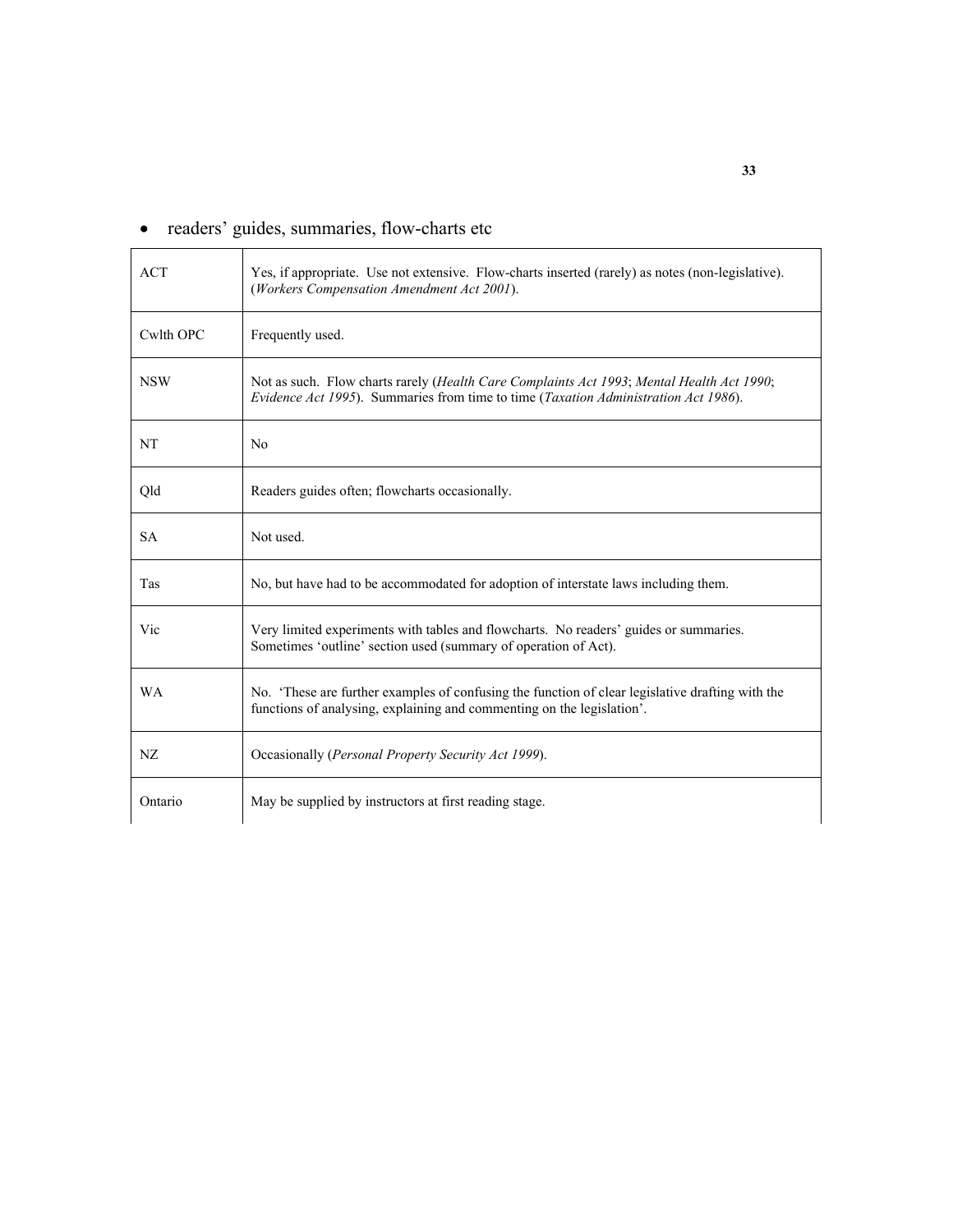## • readers' guides, summaries, flow-charts etc

| <b>ACT</b> | Yes, if appropriate. Use not extensive. Flow-charts inserted (rarely) as notes (non-legislative).<br>(Workers Compensation Amendment Act 2001).                                  |  |  |
|------------|----------------------------------------------------------------------------------------------------------------------------------------------------------------------------------|--|--|
| Cwlth OPC  | Frequently used.                                                                                                                                                                 |  |  |
| <b>NSW</b> | Not as such. Flow charts rarely (Health Care Complaints Act 1993; Mental Health Act 1990;<br>Evidence Act 1995). Summaries from time to time (Taxation Administration Act 1986). |  |  |
| NT         | N <sub>0</sub>                                                                                                                                                                   |  |  |
| Qld        | Readers guides often; flowcharts occasionally.                                                                                                                                   |  |  |
| <b>SA</b>  | Not used.                                                                                                                                                                        |  |  |
| Tas        | No, but have had to be accommodated for adoption of interstate laws including them.                                                                                              |  |  |
| Vic        | Very limited experiments with tables and flowcharts. No readers' guides or summaries.<br>Sometimes 'outline' section used (summary of operation of Act).                         |  |  |
| <b>WA</b>  | No. 'These are further examples of confusing the function of clear legislative drafting with the<br>functions of analysing, explaining and commenting on the legislation'.       |  |  |
| NZ         | Occasionally (Personal Property Security Act 1999).                                                                                                                              |  |  |
| Ontario    | May be supplied by instructors at first reading stage.                                                                                                                           |  |  |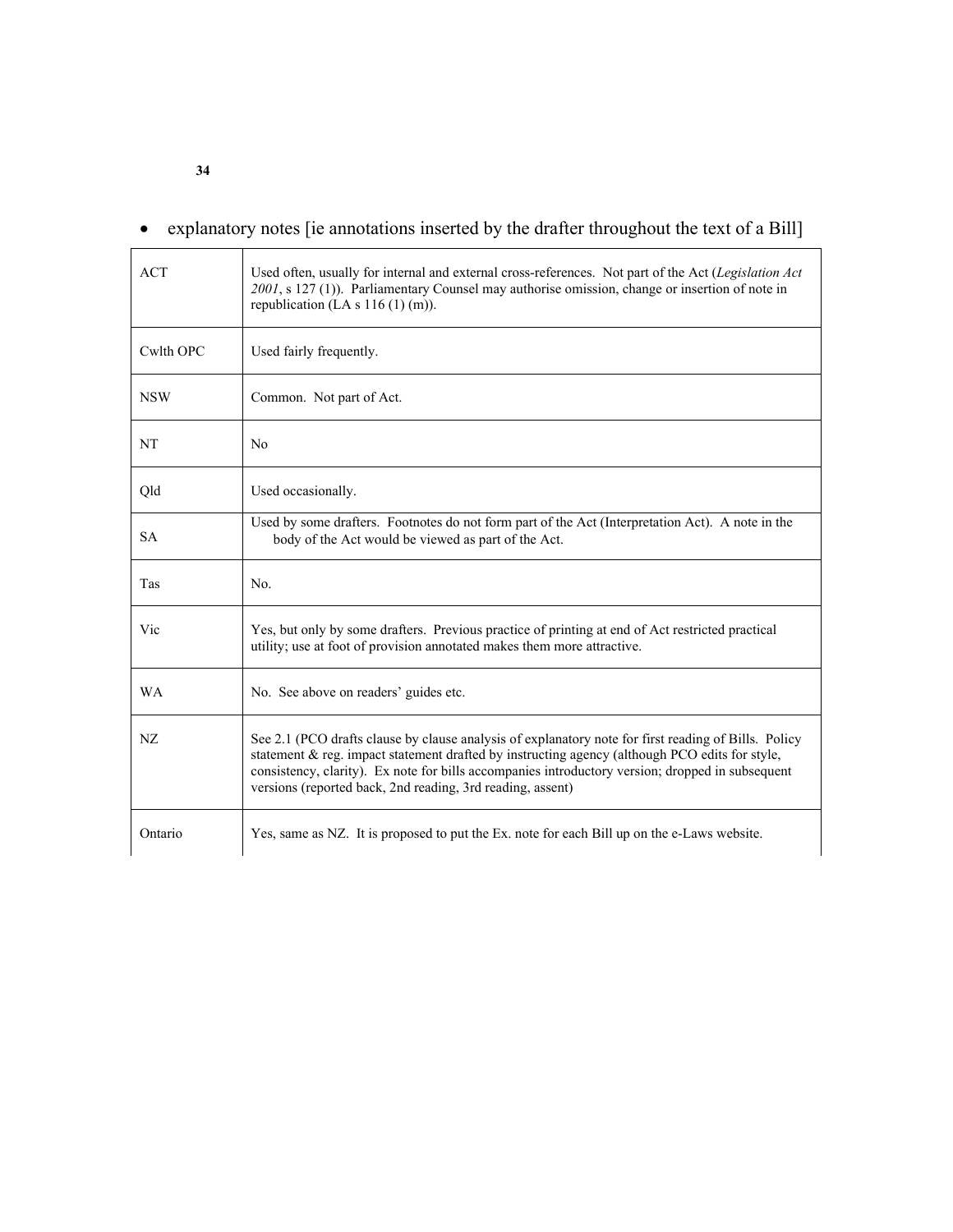## • explanatory notes [ie annotations inserted by the drafter throughout the text of a Bill]

| <b>ACT</b> | Used often, usually for internal and external cross-references. Not part of the Act (Legislation Act<br>2001, s 127 (1)). Parliamentary Counsel may authorise omission, change or insertion of note in<br>republication (LA s $116(1)$ (m)).                                                                                                                             |  |  |  |
|------------|--------------------------------------------------------------------------------------------------------------------------------------------------------------------------------------------------------------------------------------------------------------------------------------------------------------------------------------------------------------------------|--|--|--|
| Cwlth OPC  | Used fairly frequently.                                                                                                                                                                                                                                                                                                                                                  |  |  |  |
| <b>NSW</b> | Common. Not part of Act.                                                                                                                                                                                                                                                                                                                                                 |  |  |  |
| NT         | N <sub>0</sub>                                                                                                                                                                                                                                                                                                                                                           |  |  |  |
| Qld        | Used occasionally.                                                                                                                                                                                                                                                                                                                                                       |  |  |  |
| <b>SA</b>  | Used by some drafters. Footnotes do not form part of the Act (Interpretation Act). A note in the<br>body of the Act would be viewed as part of the Act.                                                                                                                                                                                                                  |  |  |  |
| Tas        | No.                                                                                                                                                                                                                                                                                                                                                                      |  |  |  |
| Vic        | Yes, but only by some drafters. Previous practice of printing at end of Act restricted practical<br>utility; use at foot of provision annotated makes them more attractive.                                                                                                                                                                                              |  |  |  |
| <b>WA</b>  | No. See above on readers' guides etc.                                                                                                                                                                                                                                                                                                                                    |  |  |  |
| NZ         | See 2.1 (PCO drafts clause by clause analysis of explanatory note for first reading of Bills. Policy<br>statement & reg. impact statement drafted by instructing agency (although PCO edits for style,<br>consistency, clarity). Ex note for bills accompanies introductory version; dropped in subsequent<br>versions (reported back, 2nd reading, 3rd reading, assent) |  |  |  |
| Ontario    | Yes, same as NZ. It is proposed to put the Ex. note for each Bill up on the e-Laws website.                                                                                                                                                                                                                                                                              |  |  |  |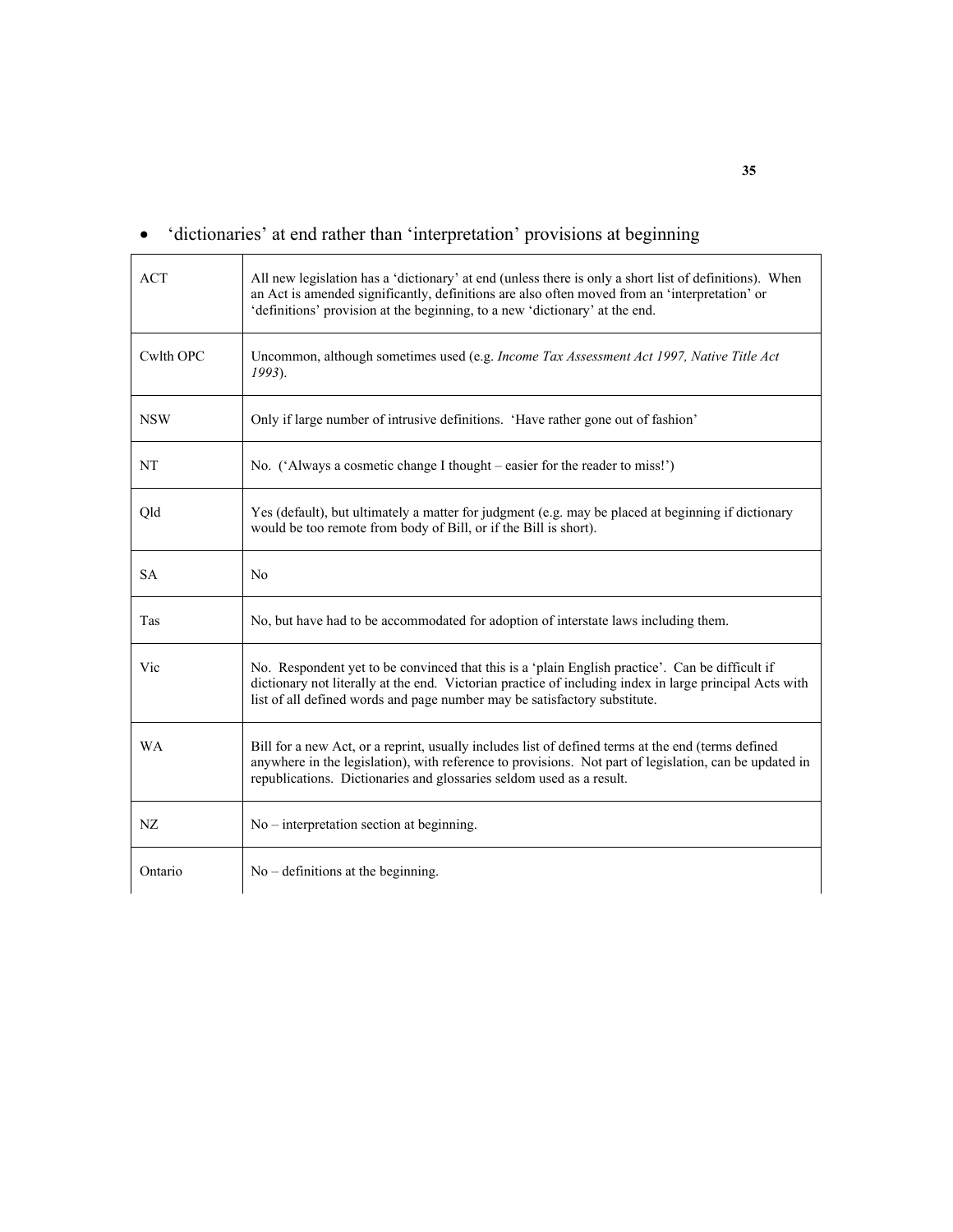|  | 'dictionaries' at end rather than 'interpretation' provisions at beginning |  |  |
|--|----------------------------------------------------------------------------|--|--|
|  |                                                                            |  |  |

| <b>ACT</b> | All new legislation has a 'dictionary' at end (unless there is only a short list of definitions). When<br>an Act is amended significantly, definitions are also often moved from an 'interpretation' or<br>'definitions' provision at the beginning, to a new 'dictionary' at the end.  |
|------------|-----------------------------------------------------------------------------------------------------------------------------------------------------------------------------------------------------------------------------------------------------------------------------------------|
| Cwlth OPC  | Uncommon, although sometimes used (e.g. Income Tax Assessment Act 1997, Native Title Act<br>$1993$ ).                                                                                                                                                                                   |
| <b>NSW</b> | Only if large number of intrusive definitions. 'Have rather gone out of fashion'                                                                                                                                                                                                        |
| NT         | No. ('Always a cosmetic change I thought – easier for the reader to miss!')                                                                                                                                                                                                             |
| Qld        | Yes (default), but ultimately a matter for judgment (e.g. may be placed at beginning if dictionary<br>would be too remote from body of Bill, or if the Bill is short).                                                                                                                  |
| <b>SA</b>  | N <sub>0</sub>                                                                                                                                                                                                                                                                          |
| Tas        | No, but have had to be accommodated for adoption of interstate laws including them.                                                                                                                                                                                                     |
| Vic        | No. Respondent yet to be convinced that this is a 'plain English practice'. Can be difficult if<br>dictionary not literally at the end. Victorian practice of including index in large principal Acts with<br>list of all defined words and page number may be satisfactory substitute. |
| <b>WA</b>  | Bill for a new Act, or a reprint, usually includes list of defined terms at the end (terms defined<br>anywhere in the legislation), with reference to provisions. Not part of legislation, can be updated in<br>republications. Dictionaries and glossaries seldom used as a result.    |
| NZ         | $No$ – interpretation section at beginning.                                                                                                                                                                                                                                             |
| Ontario    | $No$ – definitions at the beginning.                                                                                                                                                                                                                                                    |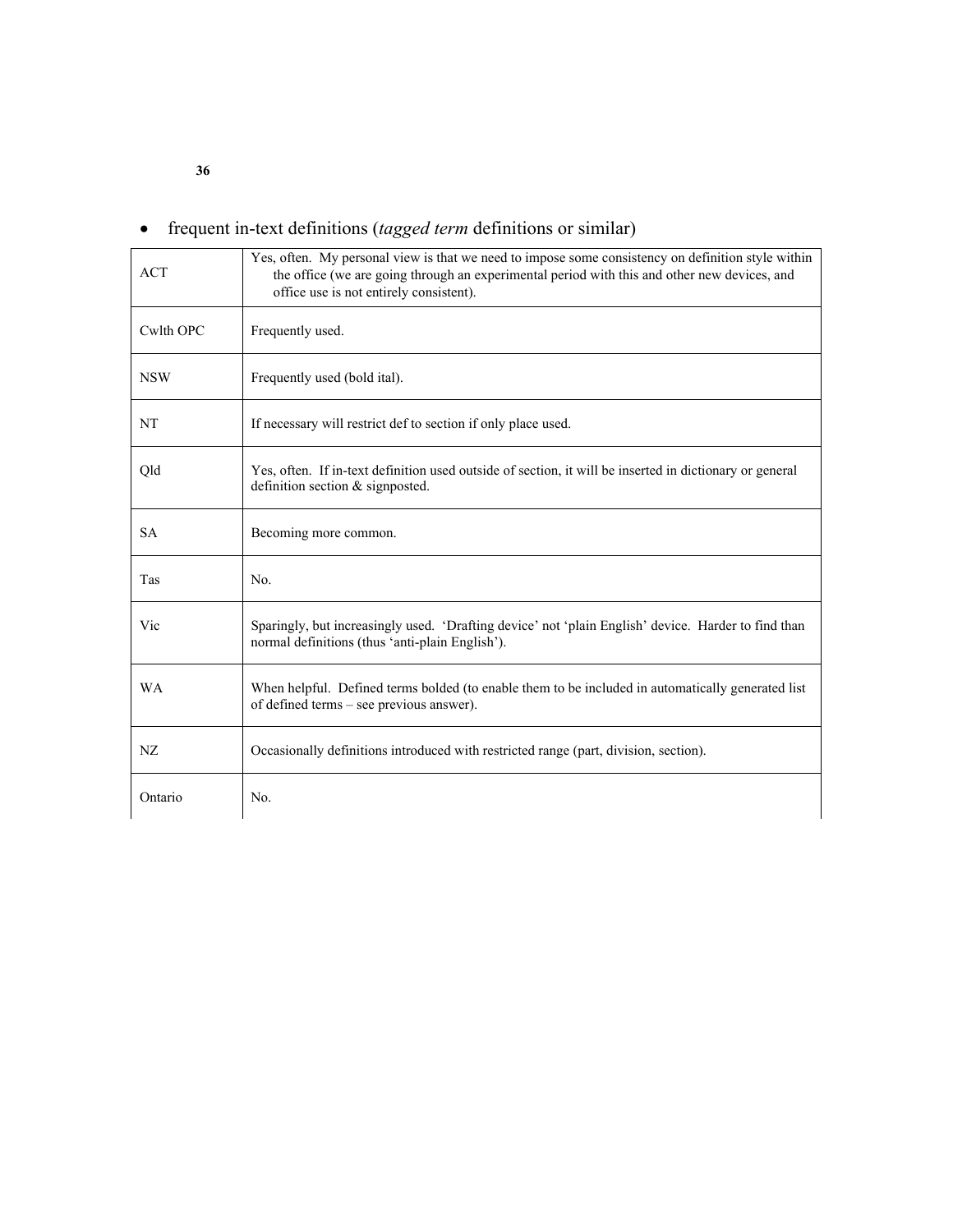| <b>ACT</b> | Yes, often. My personal view is that we need to impose some consistency on definition style within<br>the office (we are going through an experimental period with this and other new devices, and<br>office use is not entirely consistent). |
|------------|-----------------------------------------------------------------------------------------------------------------------------------------------------------------------------------------------------------------------------------------------|
| Cwlth OPC  | Frequently used.                                                                                                                                                                                                                              |
| <b>NSW</b> | Frequently used (bold ital).                                                                                                                                                                                                                  |
| NT         | If necessary will restrict def to section if only place used.                                                                                                                                                                                 |
| Qld        | Yes, often. If in-text definition used outside of section, it will be inserted in dictionary or general<br>definition section $&$ signposted.                                                                                                 |
| <b>SA</b>  | Becoming more common.                                                                                                                                                                                                                         |
| Tas        | No.                                                                                                                                                                                                                                           |
| Vic        | Sparingly, but increasingly used. 'Drafting device' not 'plain English' device. Harder to find than<br>normal definitions (thus 'anti-plain English').                                                                                        |
| <b>WA</b>  | When helpful. Defined terms bolded (to enable them to be included in automatically generated list<br>of defined terms – see previous answer).                                                                                                 |
| NZ         | Occasionally definitions introduced with restricted range (part, division, section).                                                                                                                                                          |
| Ontario    | No.                                                                                                                                                                                                                                           |

## • frequent in-text definitions (*tagged term* definitions or similar)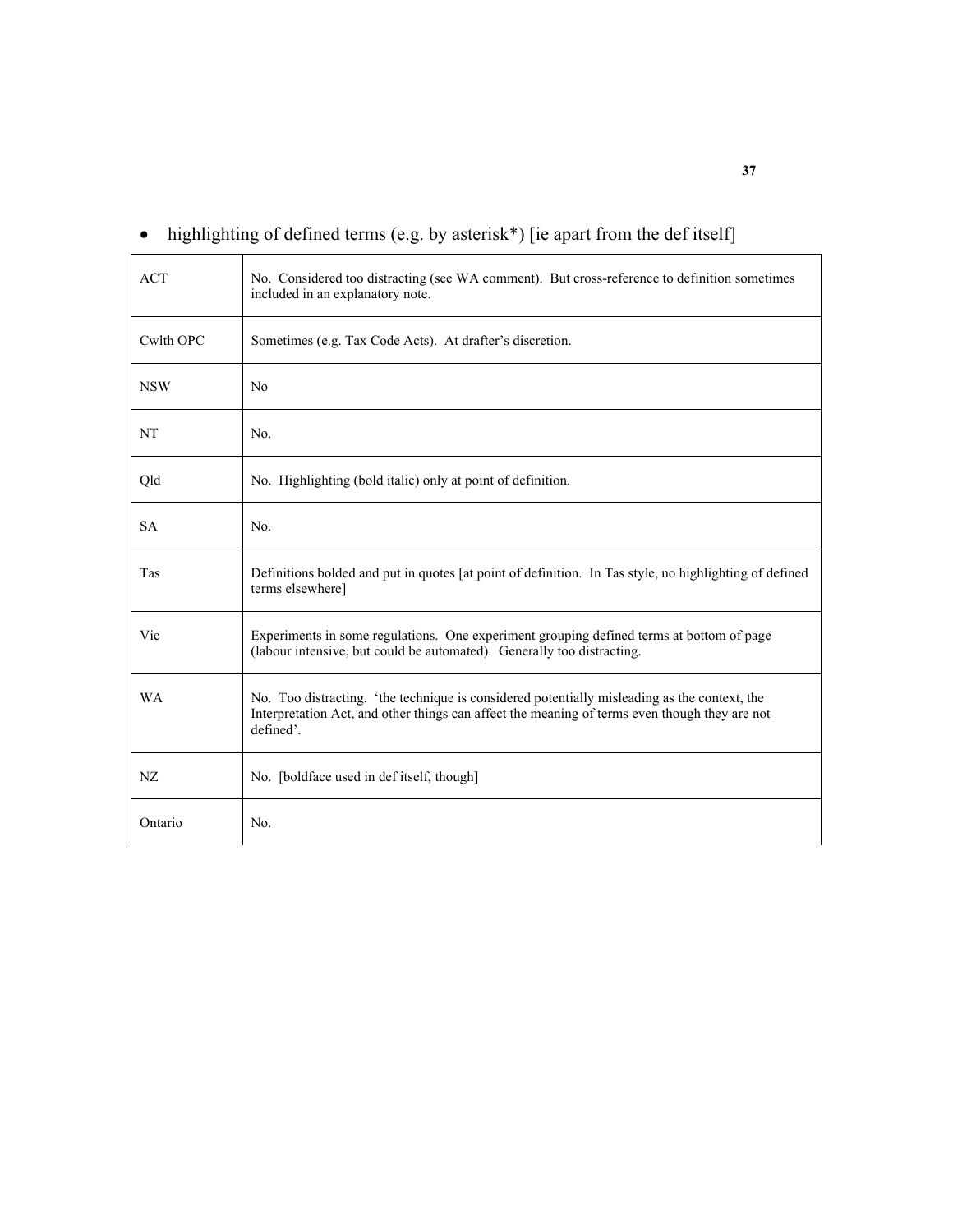| <b>ACT</b> | No. Considered too distracting (see WA comment). But cross-reference to definition sometimes<br>included in an explanatory note.                                                                           |
|------------|------------------------------------------------------------------------------------------------------------------------------------------------------------------------------------------------------------|
| Cwlth OPC  | Sometimes (e.g. Tax Code Acts). At drafter's discretion.                                                                                                                                                   |
| <b>NSW</b> | No                                                                                                                                                                                                         |
| NT         | No.                                                                                                                                                                                                        |
| Old        | No. Highlighting (bold italic) only at point of definition.                                                                                                                                                |
| <b>SA</b>  | No.                                                                                                                                                                                                        |
| Tas        | Definitions bolded and put in quotes [at point of definition. In Tas style, no highlighting of defined<br>terms elsewhere]                                                                                 |
| Vic        | Experiments in some regulations. One experiment grouping defined terms at bottom of page<br>(labour intensive, but could be automated). Generally too distracting.                                         |
| <b>WA</b>  | No. Too distracting. 'the technique is considered potentially misleading as the context, the<br>Interpretation Act, and other things can affect the meaning of terms even though they are not<br>defined'. |
| NZ         | No. [boldface used in def itself, though]                                                                                                                                                                  |
| Ontario    | No.                                                                                                                                                                                                        |

# • highlighting of defined terms (e.g. by asterisk\*) [ie apart from the def itself]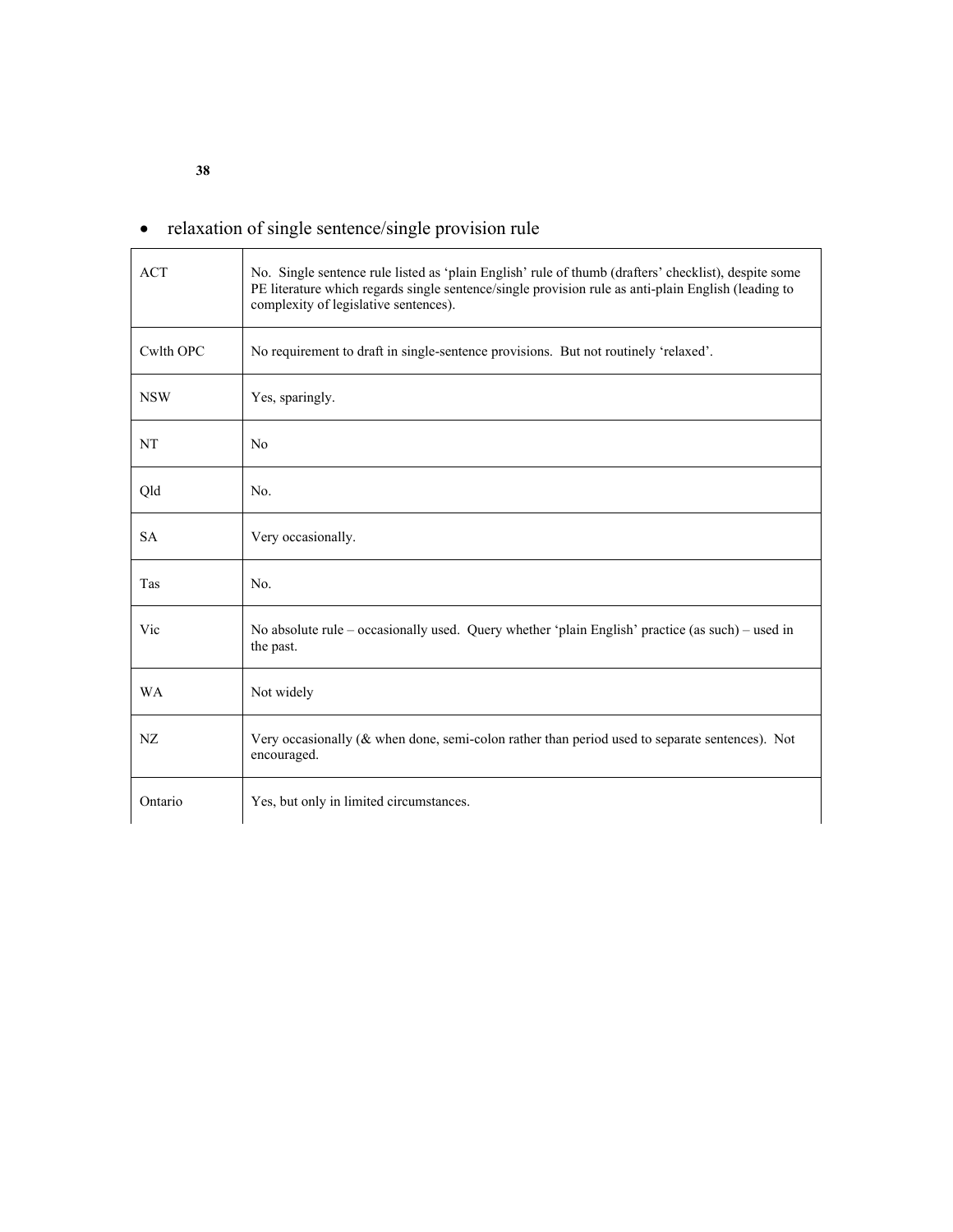# • relaxation of single sentence/single provision rule

| <b>ACT</b> | No. Single sentence rule listed as 'plain English' rule of thumb (drafters' checklist), despite some<br>PE literature which regards single sentence/single provision rule as anti-plain English (leading to<br>complexity of legislative sentences). |
|------------|------------------------------------------------------------------------------------------------------------------------------------------------------------------------------------------------------------------------------------------------------|
| Cwlth OPC  | No requirement to draft in single-sentence provisions. But not routinely 'relaxed'.                                                                                                                                                                  |
| <b>NSW</b> | Yes, sparingly.                                                                                                                                                                                                                                      |
| <b>NT</b>  | No                                                                                                                                                                                                                                                   |
| Qld        | No.                                                                                                                                                                                                                                                  |
| <b>SA</b>  | Very occasionally.                                                                                                                                                                                                                                   |
| Tas        | No.                                                                                                                                                                                                                                                  |
| Vic        | No absolute rule – occasionally used. Query whether 'plain English' practice (as such) – used in<br>the past.                                                                                                                                        |
| <b>WA</b>  | Not widely                                                                                                                                                                                                                                           |
| NZ         | Very occasionally ( $\&$ when done, semi-colon rather than period used to separate sentences). Not<br>encouraged.                                                                                                                                    |
| Ontario    | Yes, but only in limited circumstances.                                                                                                                                                                                                              |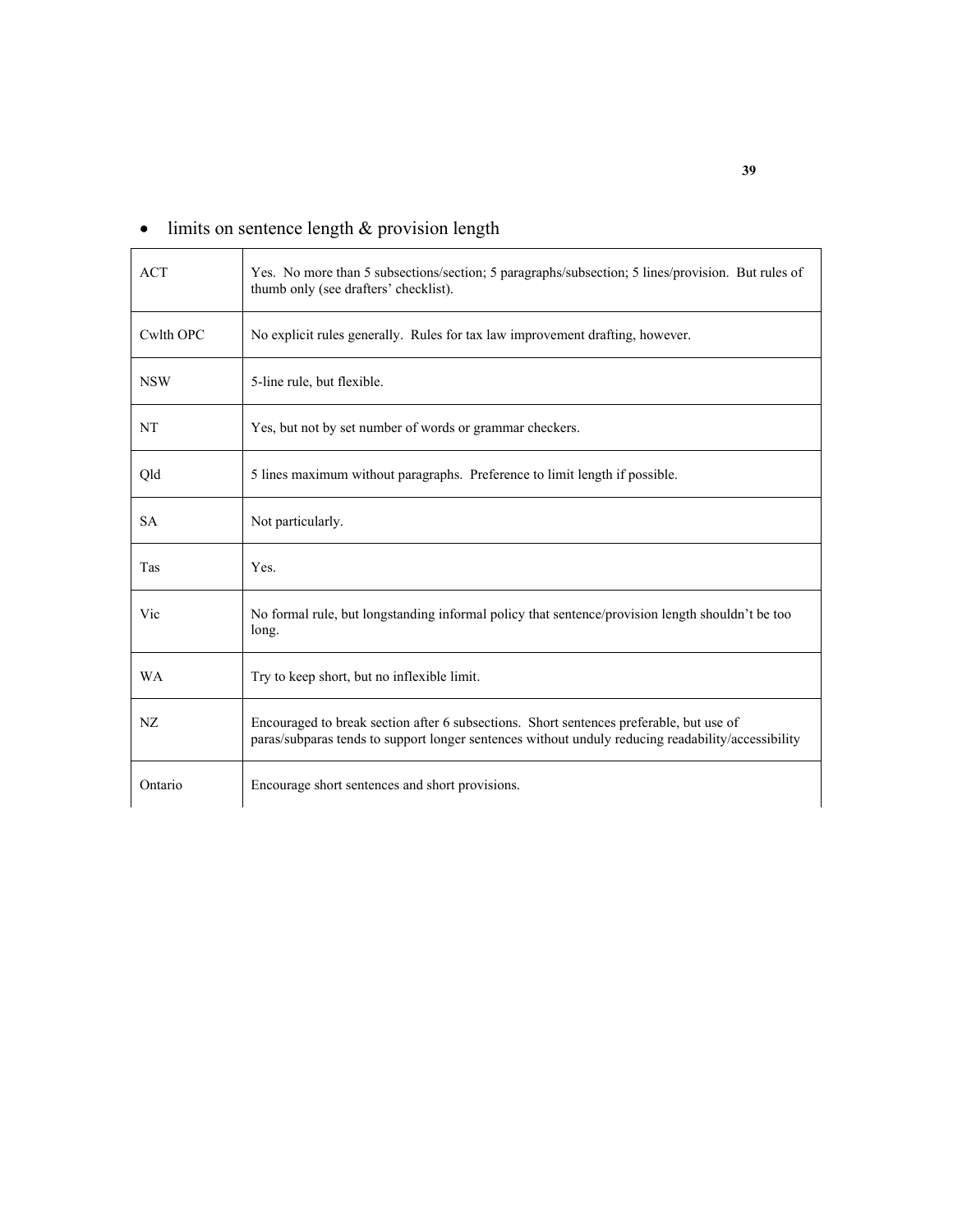| <b>ACT</b> | Yes. No more than 5 subsections/section; 5 paragraphs/subsection; 5 lines/provision. But rules of<br>thumb only (see drafters' checklist).                                                    |
|------------|-----------------------------------------------------------------------------------------------------------------------------------------------------------------------------------------------|
| Cwlth OPC  | No explicit rules generally. Rules for tax law improvement drafting, however.                                                                                                                 |
| <b>NSW</b> | 5-line rule, but flexible.                                                                                                                                                                    |
| NT         | Yes, but not by set number of words or grammar checkers.                                                                                                                                      |
| Qld        | 5 lines maximum without paragraphs. Preference to limit length if possible.                                                                                                                   |
| <b>SA</b>  | Not particularly.                                                                                                                                                                             |
| Tas        | Yes.                                                                                                                                                                                          |
| Vic        | No formal rule, but longstanding informal policy that sentence/provision length shouldn't be too<br>long.                                                                                     |
| <b>WA</b>  | Try to keep short, but no inflexible limit.                                                                                                                                                   |
| NZ         | Encouraged to break section after 6 subsections. Short sentences preferable, but use of<br>paras/subparas tends to support longer sentences without unduly reducing readability/accessibility |
| Ontario    | Encourage short sentences and short provisions.                                                                                                                                               |

# • limits on sentence length & provision length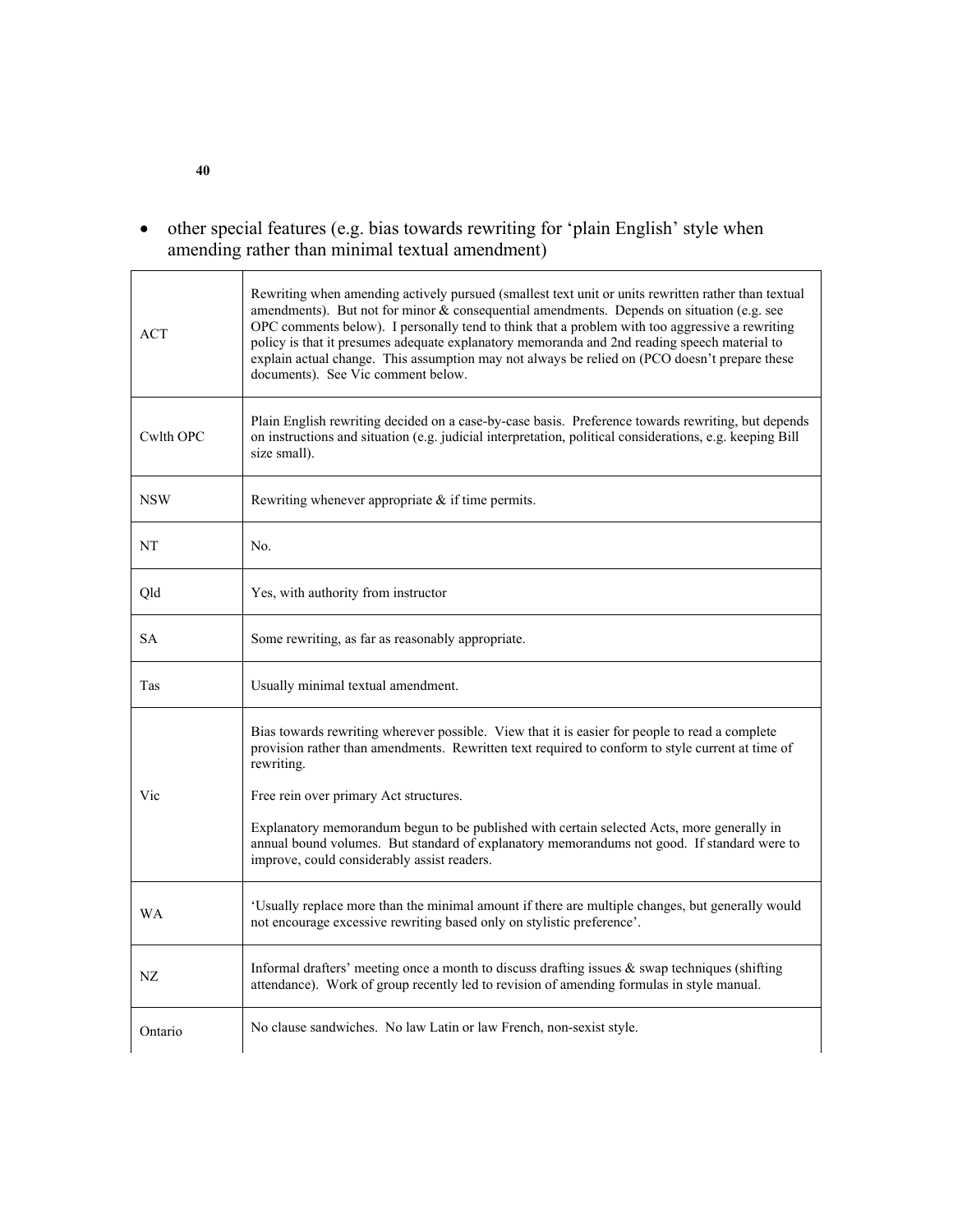• other special features (e.g. bias towards rewriting for 'plain English' style when amending rather than minimal textual amendment)

| <b>ACT</b> | Rewriting when amending actively pursued (smallest text unit or units rewritten rather than textual<br>amendments). But not for minor & consequential amendments. Depends on situation (e.g. see<br>OPC comments below). I personally tend to think that a problem with too aggressive a rewriting<br>policy is that it presumes adequate explanatory memoranda and 2nd reading speech material to<br>explain actual change. This assumption may not always be relied on (PCO doesn't prepare these<br>documents). See Vic comment below. |
|------------|-------------------------------------------------------------------------------------------------------------------------------------------------------------------------------------------------------------------------------------------------------------------------------------------------------------------------------------------------------------------------------------------------------------------------------------------------------------------------------------------------------------------------------------------|
| Cwlth OPC  | Plain English rewriting decided on a case-by-case basis. Preference towards rewriting, but depends<br>on instructions and situation (e.g. judicial interpretation, political considerations, e.g. keeping Bill<br>size small).                                                                                                                                                                                                                                                                                                            |
| <b>NSW</b> | Rewriting whenever appropriate $\&$ if time permits.                                                                                                                                                                                                                                                                                                                                                                                                                                                                                      |
| NT         | No.                                                                                                                                                                                                                                                                                                                                                                                                                                                                                                                                       |
| $\rm Qld$  | Yes, with authority from instructor                                                                                                                                                                                                                                                                                                                                                                                                                                                                                                       |
| <b>SA</b>  | Some rewriting, as far as reasonably appropriate.                                                                                                                                                                                                                                                                                                                                                                                                                                                                                         |
| Tas        | Usually minimal textual amendment.                                                                                                                                                                                                                                                                                                                                                                                                                                                                                                        |
|            |                                                                                                                                                                                                                                                                                                                                                                                                                                                                                                                                           |
| Vic        | Bias towards rewriting wherever possible. View that it is easier for people to read a complete<br>provision rather than amendments. Rewritten text required to conform to style current at time of<br>rewriting.<br>Free rein over primary Act structures.<br>Explanatory memorandum begun to be published with certain selected Acts, more generally in<br>annual bound volumes. But standard of explanatory memorandums not good. If standard were to<br>improve, could considerably assist readers.                                    |
| <b>WA</b>  | 'Usually replace more than the minimal amount if there are multiple changes, but generally would<br>not encourage excessive rewriting based only on stylistic preference'.                                                                                                                                                                                                                                                                                                                                                                |
| NZ.        | Informal drafters' meeting once a month to discuss drafting issues $\&$ swap techniques (shifting<br>attendance). Work of group recently led to revision of amending formulas in style manual.                                                                                                                                                                                                                                                                                                                                            |